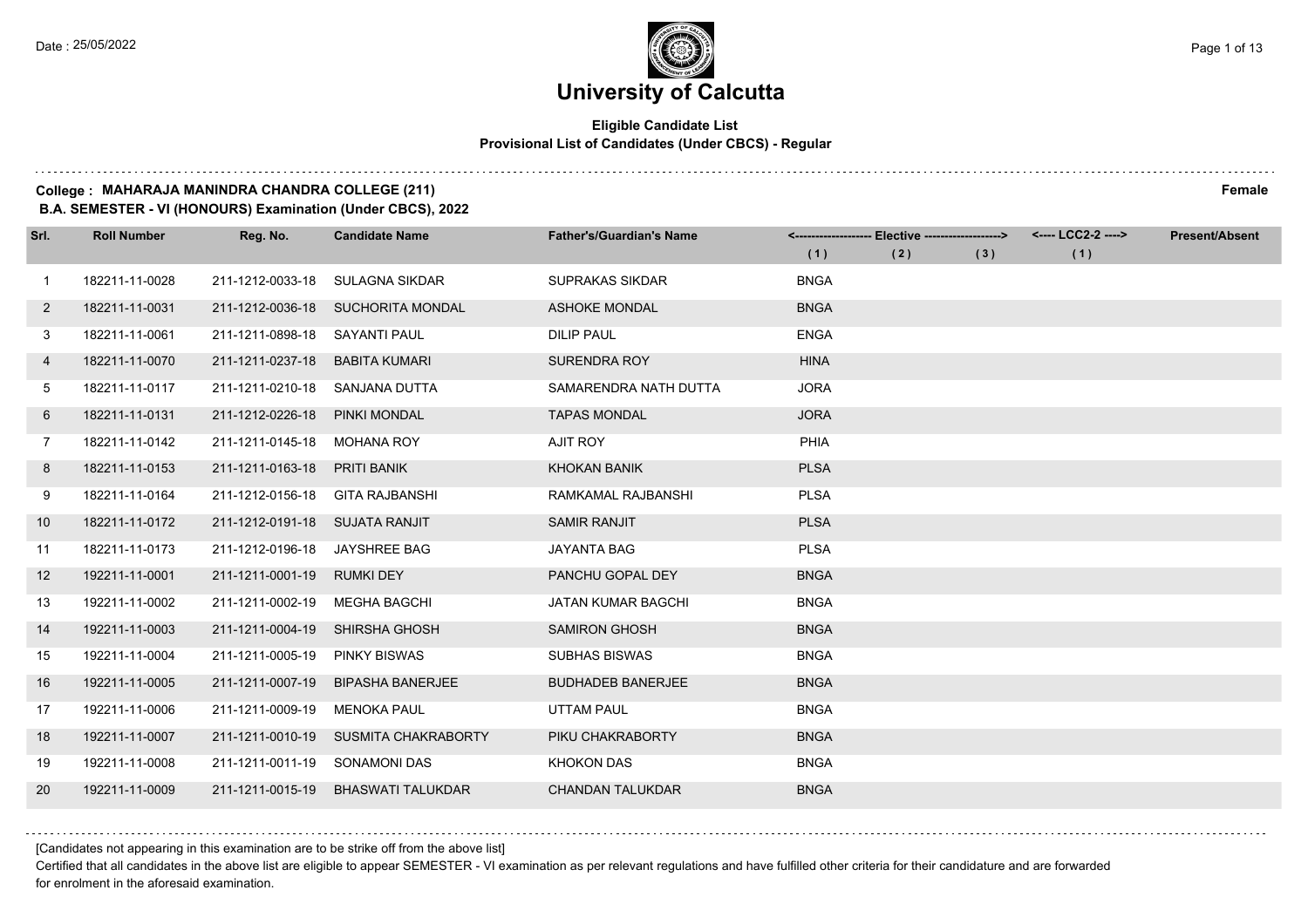#### **Eligible Candidate List Provisional List of Candidates (Under CBCS) - Regular**

#### **College : MAHARAJA MANINDRA CHANDRA COLLEGE (211) Female**

**B.A. SEMESTER - VI (HONOURS) Examination (Under CBCS), 2022**

| Srl.           | <b>Roll Number</b> | Reg. No.                       | <b>Candidate Name</b>             | <b>Father's/Guardian's Name</b> |             | <-------------------- Elective ------------------> |     | <---- LCC2-2 ----> | <b>Present/Absent</b> |
|----------------|--------------------|--------------------------------|-----------------------------------|---------------------------------|-------------|----------------------------------------------------|-----|--------------------|-----------------------|
|                |                    |                                |                                   |                                 | (1)         | (2)                                                | (3) | (1)                |                       |
| 1              | 182211-11-0028     | 211-1212-0033-18               | SULAGNA SIKDAR                    | <b>SUPRAKAS SIKDAR</b>          | <b>BNGA</b> |                                                    |     |                    |                       |
| $\mathbf{2}$   | 182211-11-0031     |                                | 211-1212-0036-18 SUCHORITA MONDAL | <b>ASHOKE MONDAL</b>            | <b>BNGA</b> |                                                    |     |                    |                       |
| 3              | 182211-11-0061     | 211-1211-0898-18 SAYANTI PAUL  |                                   | <b>DILIP PAUL</b>               | <b>ENGA</b> |                                                    |     |                    |                       |
| 4              | 182211-11-0070     | 211-1211-0237-18               | <b>BABITA KUMARI</b>              | <b>SURENDRA ROY</b>             | <b>HINA</b> |                                                    |     |                    |                       |
| 5              | 182211-11-0117     | 211-1211-0210-18               | SANJANA DUTTA                     | SAMARENDRA NATH DUTTA           | <b>JORA</b> |                                                    |     |                    |                       |
| 6              | 182211-11-0131     | 211-1212-0226-18               | <b>PINKI MONDAL</b>               | <b>TAPAS MONDAL</b>             | <b>JORA</b> |                                                    |     |                    |                       |
| $7\phantom{.}$ | 182211-11-0142     | 211-1211-0145-18               | MOHANA ROY                        | AJIT ROY                        | PHIA        |                                                    |     |                    |                       |
| 8              | 182211-11-0153     | 211-1211-0163-18               | PRITI BANIK                       | KHOKAN BANIK                    | <b>PLSA</b> |                                                    |     |                    |                       |
| 9              | 182211-11-0164     | 211-1212-0156-18               | <b>GITA RAJBANSHI</b>             | RAMKAMAL RAJBANSHI              | <b>PLSA</b> |                                                    |     |                    |                       |
| 10             | 182211-11-0172     | 211-1212-0191-18 SUJATA RANJIT |                                   | <b>SAMIR RANJIT</b>             | <b>PLSA</b> |                                                    |     |                    |                       |
| 11             | 182211-11-0173     | 211-1212-0196-18 JAYSHREE BAG  |                                   | JAYANTA BAG                     | <b>PLSA</b> |                                                    |     |                    |                       |
| 12             | 192211-11-0001     | 211-1211-0001-19               | RUMKI DEY                         | PANCHU GOPAL DEY                | <b>BNGA</b> |                                                    |     |                    |                       |
| 13             | 192211-11-0002     | 211-1211-0002-19               | <b>MEGHA BAGCHI</b>               | <b>JATAN KUMAR BAGCHI</b>       | <b>BNGA</b> |                                                    |     |                    |                       |
| 14             | 192211-11-0003     | 211-1211-0004-19               | SHIRSHA GHOSH                     | <b>SAMIRON GHOSH</b>            | <b>BNGA</b> |                                                    |     |                    |                       |
| 15             | 192211-11-0004     | 211-1211-0005-19               | <b>PINKY BISWAS</b>               | <b>SUBHAS BISWAS</b>            | <b>BNGA</b> |                                                    |     |                    |                       |
| 16             | 192211-11-0005     | 211-1211-0007-19               | <b>BIPASHA BANERJEE</b>           | <b>BUDHADEB BANERJEE</b>        | <b>BNGA</b> |                                                    |     |                    |                       |
| 17             | 192211-11-0006     | 211-1211-0009-19               | <b>MENOKA PAUL</b>                | <b>UTTAM PAUL</b>               | <b>BNGA</b> |                                                    |     |                    |                       |
| 18             | 192211-11-0007     | 211-1211-0010-19               | SUSMITA CHAKRABORTY               | PIKU CHAKRABORTY                | <b>BNGA</b> |                                                    |     |                    |                       |
| 19             | 192211-11-0008     | 211-1211-0011-19               | SONAMONI DAS                      | <b>KHOKON DAS</b>               | <b>BNGA</b> |                                                    |     |                    |                       |
| 20             | 192211-11-0009     | 211-1211-0015-19               | <b>BHASWATI TALUKDAR</b>          | <b>CHANDAN TALUKDAR</b>         | <b>BNGA</b> |                                                    |     |                    |                       |

[Candidates not appearing in this examination are to be strike off from the above list]

Certified that all candidates in the above list are eligible to appear SEMESTER - VI examination as per relevant regulations and have fulfilled other criteria for their candidature and are forwarded for enrolment in the aforesaid examination.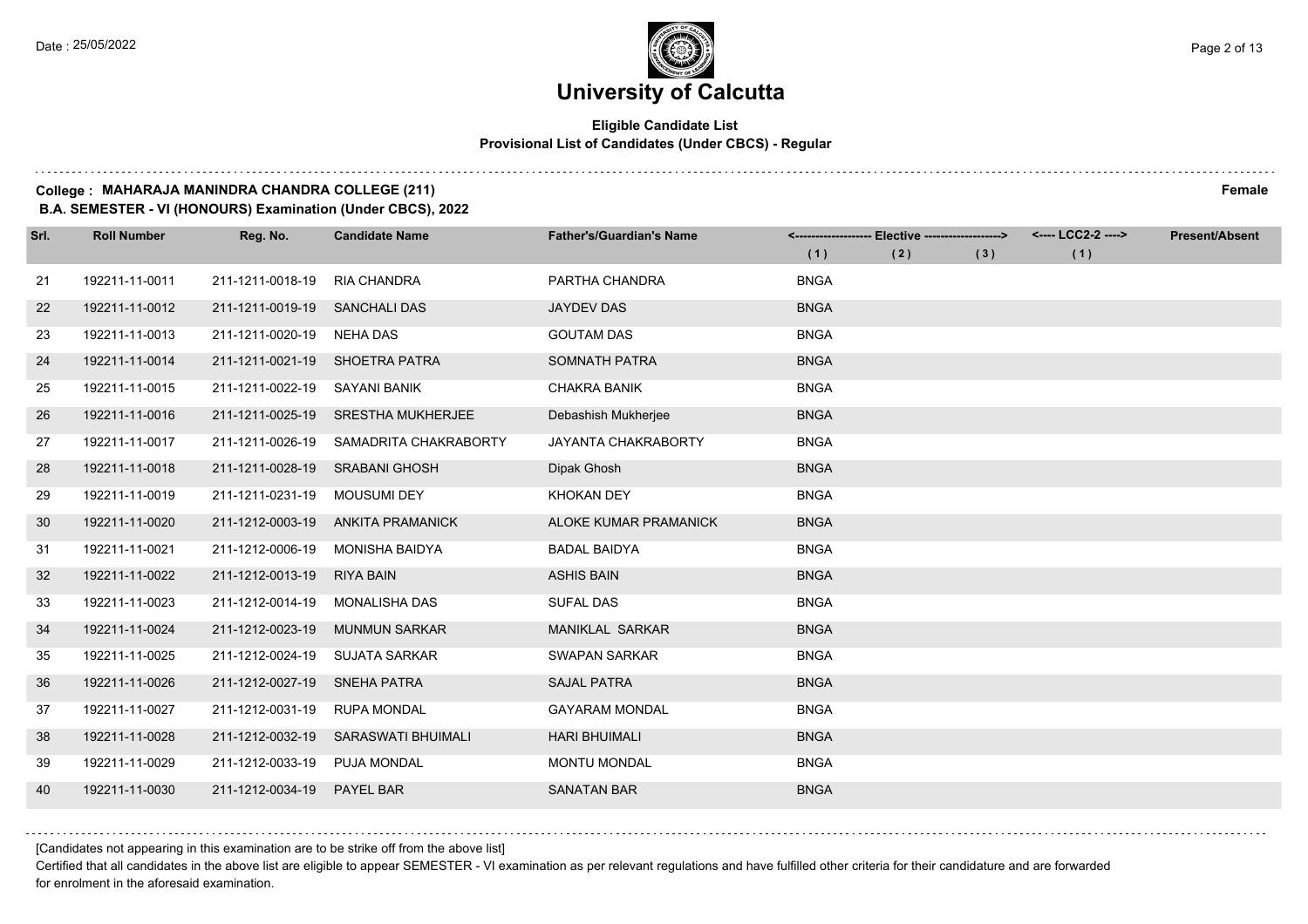#### **Eligible Candidate List Provisional List of Candidates (Under CBCS) - Regular**

#### **College : MAHARAJA MANINDRA CHANDRA COLLEGE (211) Female**

**B.A. SEMESTER - VI (HONOURS) Examination (Under CBCS), 2022**

| Srl. | <b>Roll Number</b> | Reg. No.                       | <b>Candidate Name</b>                  | <b>Father's/Guardian's Name</b> |             | <-------------------- Elective ------------------> |     | <---- LCC2-2 ----> | <b>Present/Absent</b> |
|------|--------------------|--------------------------------|----------------------------------------|---------------------------------|-------------|----------------------------------------------------|-----|--------------------|-----------------------|
|      |                    |                                |                                        |                                 | (1)         | (2)                                                | (3) | (1)                |                       |
| 21   | 192211-11-0011     | 211-1211-0018-19               | <b>RIA CHANDRA</b>                     | PARTHA CHANDRA                  | <b>BNGA</b> |                                                    |     |                    |                       |
| 22   | 192211-11-0012     | 211-1211-0019-19 SANCHALI DAS  |                                        | <b>JAYDEV DAS</b>               | <b>BNGA</b> |                                                    |     |                    |                       |
| 23   | 192211-11-0013     | 211-1211-0020-19               | NEHA DAS                               | <b>GOUTAM DAS</b>               | <b>BNGA</b> |                                                    |     |                    |                       |
| 24   | 192211-11-0014     | 211-1211-0021-19 SHOETRA PATRA |                                        | SOMNATH PATRA                   | <b>BNGA</b> |                                                    |     |                    |                       |
| 25   | 192211-11-0015     | 211-1211-0022-19               | SAYANI BANIK                           | <b>CHAKRA BANIK</b>             | <b>BNGA</b> |                                                    |     |                    |                       |
| 26   | 192211-11-0016     | 211-1211-0025-19               | <b>SRESTHA MUKHERJEE</b>               | Debashish Mukherjee             | <b>BNGA</b> |                                                    |     |                    |                       |
| 27   | 192211-11-0017     |                                | 211-1211-0026-19 SAMADRITA CHAKRABORTY | <b>JAYANTA CHAKRABORTY</b>      | <b>BNGA</b> |                                                    |     |                    |                       |
| 28   | 192211-11-0018     | 211-1211-0028-19 SRABANI GHOSH |                                        | Dipak Ghosh                     | <b>BNGA</b> |                                                    |     |                    |                       |
| 29   | 192211-11-0019     | 211-1211-0231-19               | MOUSUMI DEY                            | <b>KHOKAN DEY</b>               | <b>BNGA</b> |                                                    |     |                    |                       |
| 30   | 192211-11-0020     | 211-1212-0003-19               | ANKITA PRAMANICK                       | ALOKE KUMAR PRAMANICK           | <b>BNGA</b> |                                                    |     |                    |                       |
| 31   | 192211-11-0021     | 211-1212-0006-19               | MONISHA BAIDYA                         | <b>BADAL BAIDYA</b>             | <b>BNGA</b> |                                                    |     |                    |                       |
| 32   | 192211-11-0022     | 211-1212-0013-19               | <b>RIYA BAIN</b>                       | <b>ASHIS BAIN</b>               | <b>BNGA</b> |                                                    |     |                    |                       |
| 33   | 192211-11-0023     | 211-1212-0014-19               | MONALISHA DAS                          | <b>SUFAL DAS</b>                | <b>BNGA</b> |                                                    |     |                    |                       |
| 34   | 192211-11-0024     | 211-1212-0023-19               | <b>MUNMUN SARKAR</b>                   | <b>MANIKLAL SARKAR</b>          | <b>BNGA</b> |                                                    |     |                    |                       |
| 35   | 192211-11-0025     | 211-1212-0024-19               | <b>SUJATA SARKAR</b>                   | <b>SWAPAN SARKAR</b>            | <b>BNGA</b> |                                                    |     |                    |                       |
| 36   | 192211-11-0026     | 211-1212-0027-19               | <b>SNEHA PATRA</b>                     | <b>SAJAL PATRA</b>              | <b>BNGA</b> |                                                    |     |                    |                       |
| 37   | 192211-11-0027     | 211-1212-0031-19               | <b>RUPA MONDAL</b>                     | <b>GAYARAM MONDAL</b>           | <b>BNGA</b> |                                                    |     |                    |                       |
| 38   | 192211-11-0028     | 211-1212-0032-19               | SARASWATI BHUIMALI                     | <b>HARI BHUIMALI</b>            | <b>BNGA</b> |                                                    |     |                    |                       |
| 39   | 192211-11-0029     | 211-1212-0033-19               | <b>PUJA MONDAL</b>                     | <b>MONTU MONDAL</b>             | <b>BNGA</b> |                                                    |     |                    |                       |
| 40   | 192211-11-0030     | 211-1212-0034-19               | <b>PAYEL BAR</b>                       | <b>SANATAN BAR</b>              | <b>BNGA</b> |                                                    |     |                    |                       |

[Candidates not appearing in this examination are to be strike off from the above list]

Certified that all candidates in the above list are eligible to appear SEMESTER - VI examination as per relevant regulations and have fulfilled other criteria for their candidature and are forwarded for enrolment in the aforesaid examination.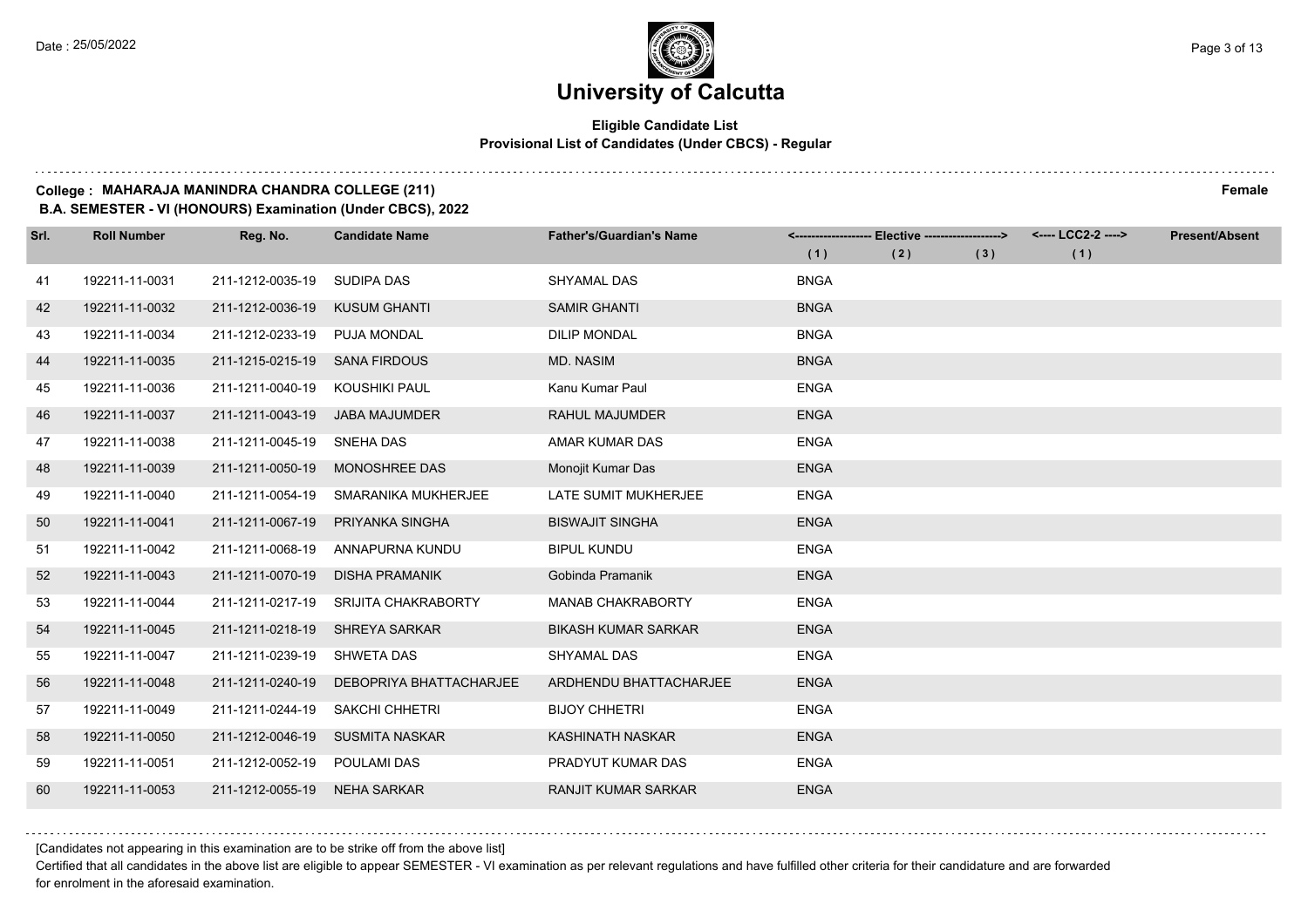#### **Eligible Candidate List Provisional List of Candidates (Under CBCS) - Regular**

#### **College : MAHARAJA MANINDRA CHANDRA COLLEGE (211) Female**

**B.A. SEMESTER - VI (HONOURS) Examination (Under CBCS), 2022**

| Srl. | <b>Roll Number</b> | Reg. No.                   | <b>Candidate Name</b>      | <b>Father's/Guardian's Name</b> |             | <------------------- Elective ------------------> |     | <---- LCC2-2 ----> | <b>Present/Absent</b> |
|------|--------------------|----------------------------|----------------------------|---------------------------------|-------------|---------------------------------------------------|-----|--------------------|-----------------------|
|      |                    |                            |                            |                                 | (1)         | (2)                                               | (3) | (1)                |                       |
| 41   | 192211-11-0031     | 211-1212-0035-19           | <b>SUDIPA DAS</b>          | <b>SHYAMAL DAS</b>              | <b>BNGA</b> |                                                   |     |                    |                       |
| 42   | 192211-11-0032     | 211-1212-0036-19           | <b>KUSUM GHANTI</b>        | <b>SAMIR GHANTI</b>             | <b>BNGA</b> |                                                   |     |                    |                       |
| 43   | 192211-11-0034     | 211-1212-0233-19           | <b>PUJA MONDAL</b>         | <b>DILIP MONDAL</b>             | <b>BNGA</b> |                                                   |     |                    |                       |
| 44   | 192211-11-0035     | 211-1215-0215-19           | <b>SANA FIRDOUS</b>        | <b>MD. NASIM</b>                | <b>BNGA</b> |                                                   |     |                    |                       |
| 45   | 192211-11-0036     | 211-1211-0040-19           | KOUSHIKI PAUL              | Kanu Kumar Paul                 | <b>ENGA</b> |                                                   |     |                    |                       |
| 46   | 192211-11-0037     | 211-1211-0043-19           | JABA MAJUMDER              | <b>RAHUL MAJUMDER</b>           | <b>ENGA</b> |                                                   |     |                    |                       |
| 47   | 192211-11-0038     | 211-1211-0045-19 SNEHA DAS |                            | AMAR KUMAR DAS                  | <b>ENGA</b> |                                                   |     |                    |                       |
| 48   | 192211-11-0039     | 211-1211-0050-19           | MONOSHREE DAS              | Monojit Kumar Das               | <b>ENGA</b> |                                                   |     |                    |                       |
| 49   | 192211-11-0040     | 211-1211-0054-19           | SMARANIKA MUKHERJEE        | LATE SUMIT MUKHERJEE            | <b>ENGA</b> |                                                   |     |                    |                       |
| 50   | 192211-11-0041     | 211-1211-0067-19           | PRIYANKA SINGHA            | <b>BISWAJIT SINGHA</b>          | <b>ENGA</b> |                                                   |     |                    |                       |
| 51   | 192211-11-0042     | 211-1211-0068-19           | ANNAPURNA KUNDU            | <b>BIPUL KUNDU</b>              | <b>ENGA</b> |                                                   |     |                    |                       |
| 52   | 192211-11-0043     | 211-1211-0070-19           | <b>DISHA PRAMANIK</b>      | Gobinda Pramanik                | <b>ENGA</b> |                                                   |     |                    |                       |
| 53   | 192211-11-0044     | 211-1211-0217-19           | <b>SRIJITA CHAKRABORTY</b> | <b>MANAB CHAKRABORTY</b>        | <b>ENGA</b> |                                                   |     |                    |                       |
| 54   | 192211-11-0045     | 211-1211-0218-19           | <b>SHREYA SARKAR</b>       | <b>BIKASH KUMAR SARKAR</b>      | <b>ENGA</b> |                                                   |     |                    |                       |
| 55   | 192211-11-0047     | 211-1211-0239-19           | SHWETA DAS                 | SHYAMAL DAS                     | <b>ENGA</b> |                                                   |     |                    |                       |
| 56   | 192211-11-0048     | 211-1211-0240-19           | DEBOPRIYA BHATTACHARJEE    | ARDHENDU BHATTACHARJEE          | <b>ENGA</b> |                                                   |     |                    |                       |
| 57   | 192211-11-0049     | 211-1211-0244-19           | <b>SAKCHI CHHETRI</b>      | <b>BIJOY CHHETRI</b>            | <b>ENGA</b> |                                                   |     |                    |                       |
| 58   | 192211-11-0050     | 211-1212-0046-19           | <b>SUSMITA NASKAR</b>      | <b>KASHINATH NASKAR</b>         | <b>ENGA</b> |                                                   |     |                    |                       |
| 59   | 192211-11-0051     | 211-1212-0052-19           | POULAMI DAS                | PRADYUT KUMAR DAS               | <b>ENGA</b> |                                                   |     |                    |                       |
| 60   | 192211-11-0053     | 211-1212-0055-19           | <b>NEHA SARKAR</b>         | <b>RANJIT KUMAR SARKAR</b>      | <b>ENGA</b> |                                                   |     |                    |                       |

[Candidates not appearing in this examination are to be strike off from the above list]

Certified that all candidates in the above list are eligible to appear SEMESTER - VI examination as per relevant regulations and have fulfilled other criteria for their candidature and are forwarded for enrolment in the aforesaid examination.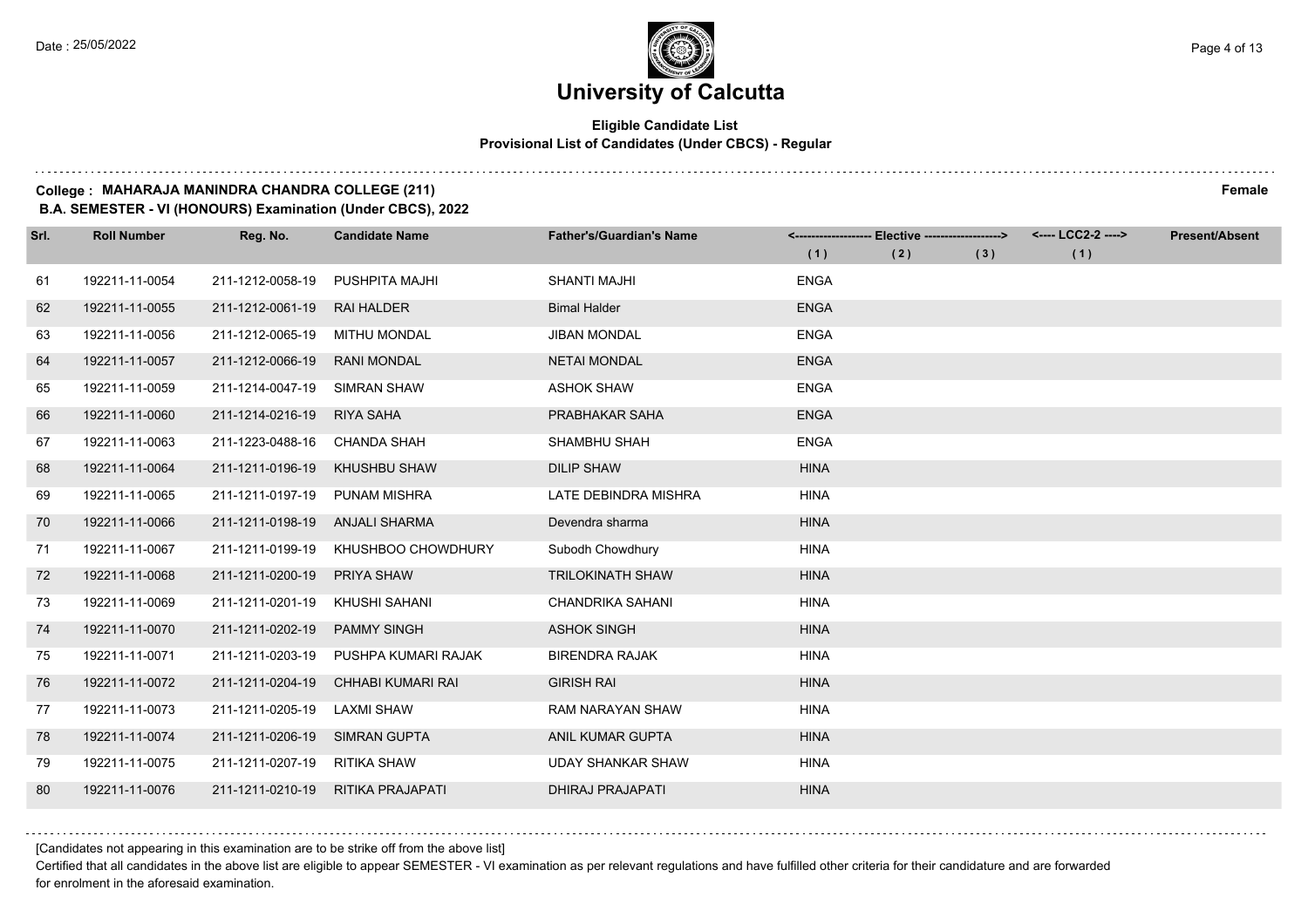#### **Eligible Candidate List Provisional List of Candidates (Under CBCS) - Regular**

#### **College : MAHARAJA MANINDRA CHANDRA COLLEGE (211) Female**

**B.A. SEMESTER - VI (HONOURS) Examination (Under CBCS), 2022**

| Srl. | <b>Roll Number</b> | Reg. No.                     | <b>Candidate Name</b> | <b>Father's/Guardian's Name</b> |             | <------------------- Elective -------------------> |     | <---- LCC2-2 ----> | <b>Present/Absent</b> |
|------|--------------------|------------------------------|-----------------------|---------------------------------|-------------|----------------------------------------------------|-----|--------------------|-----------------------|
|      |                    |                              |                       |                                 | (1)         | (2)                                                | (3) | (1)                |                       |
| 61   | 192211-11-0054     | 211-1212-0058-19             | <b>PUSHPITA MAJHI</b> | <b>SHANTI MAJHI</b>             | <b>ENGA</b> |                                                    |     |                    |                       |
| 62   | 192211-11-0055     | 211-1212-0061-19             | <b>RAI HALDER</b>     | <b>Bimal Halder</b>             | <b>ENGA</b> |                                                    |     |                    |                       |
| 63   | 192211-11-0056     | 211-1212-0065-19             | <b>MITHU MONDAL</b>   | <b>JIBAN MONDAL</b>             | <b>ENGA</b> |                                                    |     |                    |                       |
| 64   | 192211-11-0057     | 211-1212-0066-19             | <b>RANI MONDAL</b>    | <b>NETAI MONDAL</b>             | <b>ENGA</b> |                                                    |     |                    |                       |
| 65   | 192211-11-0059     | 211-1214-0047-19             | <b>SIMRAN SHAW</b>    | <b>ASHOK SHAW</b>               | <b>ENGA</b> |                                                    |     |                    |                       |
| 66   | 192211-11-0060     | 211-1214-0216-19             | <b>RIYA SAHA</b>      | PRABHAKAR SAHA                  | <b>ENGA</b> |                                                    |     |                    |                       |
| 67   | 192211-11-0063     | 211-1223-0488-16 CHANDA SHAH |                       | SHAMBHU SHAH                    | <b>ENGA</b> |                                                    |     |                    |                       |
| 68   | 192211-11-0064     | 211-1211-0196-19             | <b>KHUSHBU SHAW</b>   | <b>DILIP SHAW</b>               | <b>HINA</b> |                                                    |     |                    |                       |
| 69   | 192211-11-0065     | 211-1211-0197-19             | <b>PUNAM MISHRA</b>   | LATE DEBINDRA MISHRA            | <b>HINA</b> |                                                    |     |                    |                       |
| 70   | 192211-11-0066     | 211-1211-0198-19             | <b>ANJALI SHARMA</b>  | Devendra sharma                 | <b>HINA</b> |                                                    |     |                    |                       |
| 71   | 192211-11-0067     | 211-1211-0199-19             | KHUSHBOO CHOWDHURY    | Subodh Chowdhury                | <b>HINA</b> |                                                    |     |                    |                       |
| 72   | 192211-11-0068     | 211-1211-0200-19             | <b>PRIYA SHAW</b>     | <b>TRILOKINATH SHAW</b>         | <b>HINA</b> |                                                    |     |                    |                       |
| 73   | 192211-11-0069     | 211-1211-0201-19             | KHUSHI SAHANI         | <b>CHANDRIKA SAHANI</b>         | <b>HINA</b> |                                                    |     |                    |                       |
| 74   | 192211-11-0070     | 211-1211-0202-19             | <b>PAMMY SINGH</b>    | <b>ASHOK SINGH</b>              | <b>HINA</b> |                                                    |     |                    |                       |
| 75   | 192211-11-0071     | 211-1211-0203-19             | PUSHPA KUMARI RAJAK   | <b>BIRENDRA RAJAK</b>           | <b>HINA</b> |                                                    |     |                    |                       |
| 76   | 192211-11-0072     | 211-1211-0204-19             | CHHABI KUMARI RAI     | <b>GIRISH RAI</b>               | <b>HINA</b> |                                                    |     |                    |                       |
| 77   | 192211-11-0073     | 211-1211-0205-19             | <b>LAXMI SHAW</b>     | RAM NARAYAN SHAW                | <b>HINA</b> |                                                    |     |                    |                       |
| 78   | 192211-11-0074     | 211-1211-0206-19             | <b>SIMRAN GUPTA</b>   | ANIL KUMAR GUPTA                | <b>HINA</b> |                                                    |     |                    |                       |
| 79   | 192211-11-0075     | 211-1211-0207-19             | RITIKA SHAW           | <b>UDAY SHANKAR SHAW</b>        | <b>HINA</b> |                                                    |     |                    |                       |
| 80   | 192211-11-0076     | 211-1211-0210-19             | RITIKA PRAJAPATI      | <b>DHIRAJ PRAJAPATI</b>         | <b>HINA</b> |                                                    |     |                    |                       |

[Candidates not appearing in this examination are to be strike off from the above list]

Certified that all candidates in the above list are eligible to appear SEMESTER - VI examination as per relevant regulations and have fulfilled other criteria for their candidature and are forwarded for enrolment in the aforesaid examination.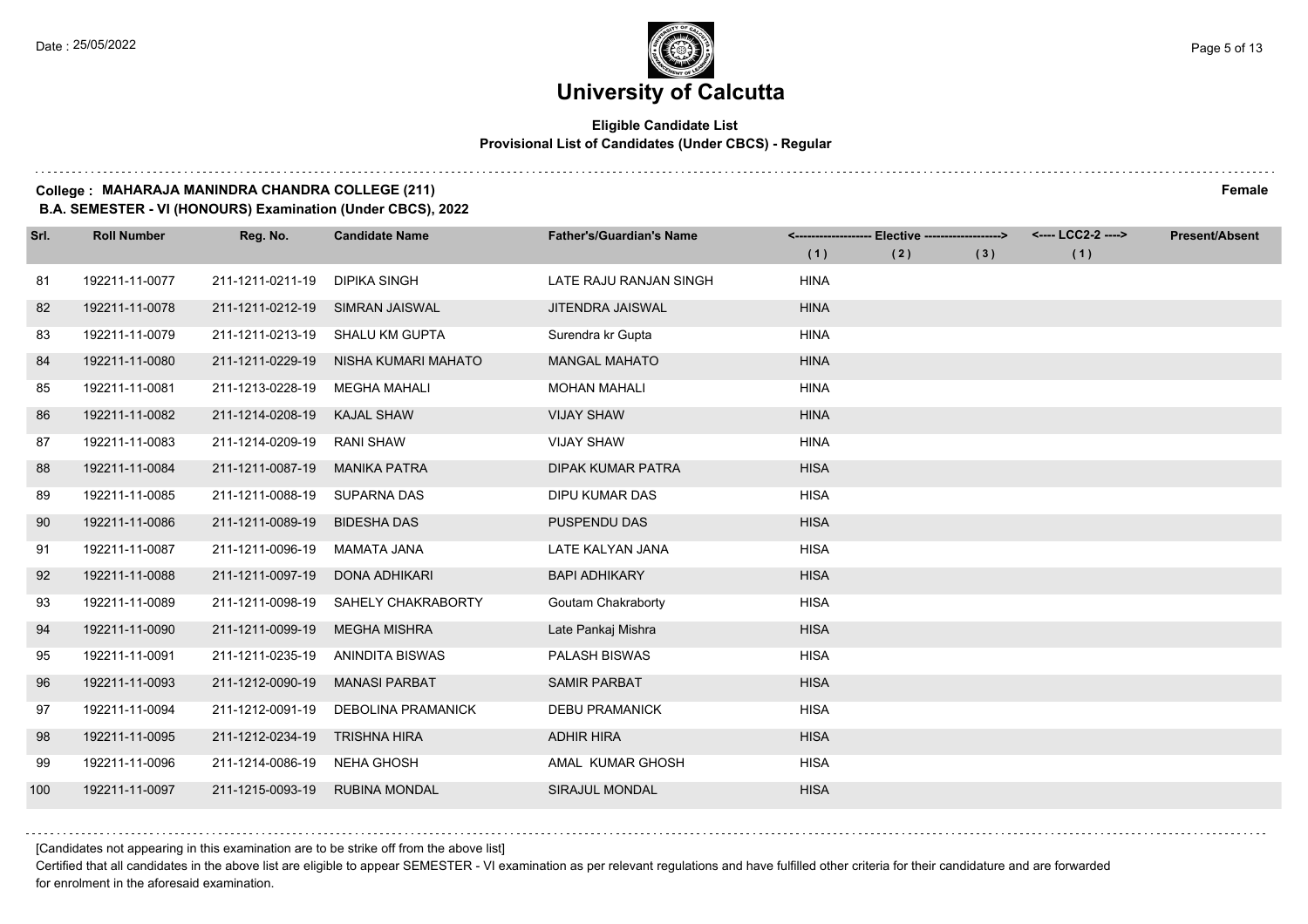#### **Eligible Candidate List Provisional List of Candidates (Under CBCS) - Regular**

#### **College : MAHARAJA MANINDRA CHANDRA COLLEGE (211) Female**

**B.A. SEMESTER - VI (HONOURS) Examination (Under CBCS), 2022**

| Srl. | <b>Roll Number</b> | Reg. No.         | <b>Candidate Name</b>     | <b>Father's/Guardian's Name</b> |             | <------------------- Elective ------------------> |     | <---- LCC2-2 ----> | <b>Present/Absent</b> |
|------|--------------------|------------------|---------------------------|---------------------------------|-------------|---------------------------------------------------|-----|--------------------|-----------------------|
|      |                    |                  |                           |                                 | (1)         | (2)                                               | (3) | (1)                |                       |
| 81   | 192211-11-0077     | 211-1211-0211-19 | DIPIKA SINGH              | LATE RAJU RANJAN SINGH          | <b>HINA</b> |                                                   |     |                    |                       |
| 82   | 192211-11-0078     | 211-1211-0212-19 | SIMRAN JAISWAL            | <b>JITENDRA JAISWAL</b>         | <b>HINA</b> |                                                   |     |                    |                       |
| 83   | 192211-11-0079     | 211-1211-0213-19 | SHALU KM GUPTA            | Surendra kr Gupta               | <b>HINA</b> |                                                   |     |                    |                       |
| 84   | 192211-11-0080     | 211-1211-0229-19 | NISHA KUMARI MAHATO       | <b>MANGAL MAHATO</b>            | <b>HINA</b> |                                                   |     |                    |                       |
| 85   | 192211-11-0081     | 211-1213-0228-19 | <b>MEGHA MAHALI</b>       | <b>MOHAN MAHALI</b>             | <b>HINA</b> |                                                   |     |                    |                       |
| 86   | 192211-11-0082     | 211-1214-0208-19 | <b>KAJAL SHAW</b>         | <b>VIJAY SHAW</b>               | <b>HINA</b> |                                                   |     |                    |                       |
| 87   | 192211-11-0083     | 211-1214-0209-19 | <b>RANI SHAW</b>          | <b>VIJAY SHAW</b>               | <b>HINA</b> |                                                   |     |                    |                       |
| 88   | 192211-11-0084     | 211-1211-0087-19 | <b>MANIKA PATRA</b>       | <b>DIPAK KUMAR PATRA</b>        | <b>HISA</b> |                                                   |     |                    |                       |
| 89   | 192211-11-0085     | 211-1211-0088-19 | SUPARNA DAS               | DIPU KUMAR DAS                  | <b>HISA</b> |                                                   |     |                    |                       |
| 90   | 192211-11-0086     | 211-1211-0089-19 | <b>BIDESHA DAS</b>        | PUSPENDU DAS                    | <b>HISA</b> |                                                   |     |                    |                       |
| 91   | 192211-11-0087     | 211-1211-0096-19 | MAMATA JANA               | LATE KALYAN JANA                | <b>HISA</b> |                                                   |     |                    |                       |
| 92   | 192211-11-0088     | 211-1211-0097-19 | DONA ADHIKARI             | <b>BAPI ADHIKARY</b>            | <b>HISA</b> |                                                   |     |                    |                       |
| 93   | 192211-11-0089     | 211-1211-0098-19 | SAHELY CHAKRABORTY        | Goutam Chakraborty              | <b>HISA</b> |                                                   |     |                    |                       |
| 94   | 192211-11-0090     | 211-1211-0099-19 | <b>MEGHA MISHRA</b>       | Late Pankaj Mishra              | <b>HISA</b> |                                                   |     |                    |                       |
| 95   | 192211-11-0091     | 211-1211-0235-19 | ANINDITA BISWAS           | <b>PALASH BISWAS</b>            | <b>HISA</b> |                                                   |     |                    |                       |
| 96   | 192211-11-0093     | 211-1212-0090-19 | <b>MANASI PARBAT</b>      | <b>SAMIR PARBAT</b>             | <b>HISA</b> |                                                   |     |                    |                       |
| 97   | 192211-11-0094     | 211-1212-0091-19 | <b>DEBOLINA PRAMANICK</b> | <b>DEBU PRAMANICK</b>           | <b>HISA</b> |                                                   |     |                    |                       |
| 98   | 192211-11-0095     | 211-1212-0234-19 | <b>TRISHNA HIRA</b>       | <b>ADHIR HIRA</b>               | <b>HISA</b> |                                                   |     |                    |                       |
| 99   | 192211-11-0096     | 211-1214-0086-19 | NEHA GHOSH                | AMAL KUMAR GHOSH                | <b>HISA</b> |                                                   |     |                    |                       |
| 100  | 192211-11-0097     | 211-1215-0093-19 | <b>RUBINA MONDAL</b>      | SIRAJUL MONDAL                  | <b>HISA</b> |                                                   |     |                    |                       |

[Candidates not appearing in this examination are to be strike off from the above list]

Certified that all candidates in the above list are eligible to appear SEMESTER - VI examination as per relevant regulations and have fulfilled other criteria for their candidature and are forwarded for enrolment in the aforesaid examination.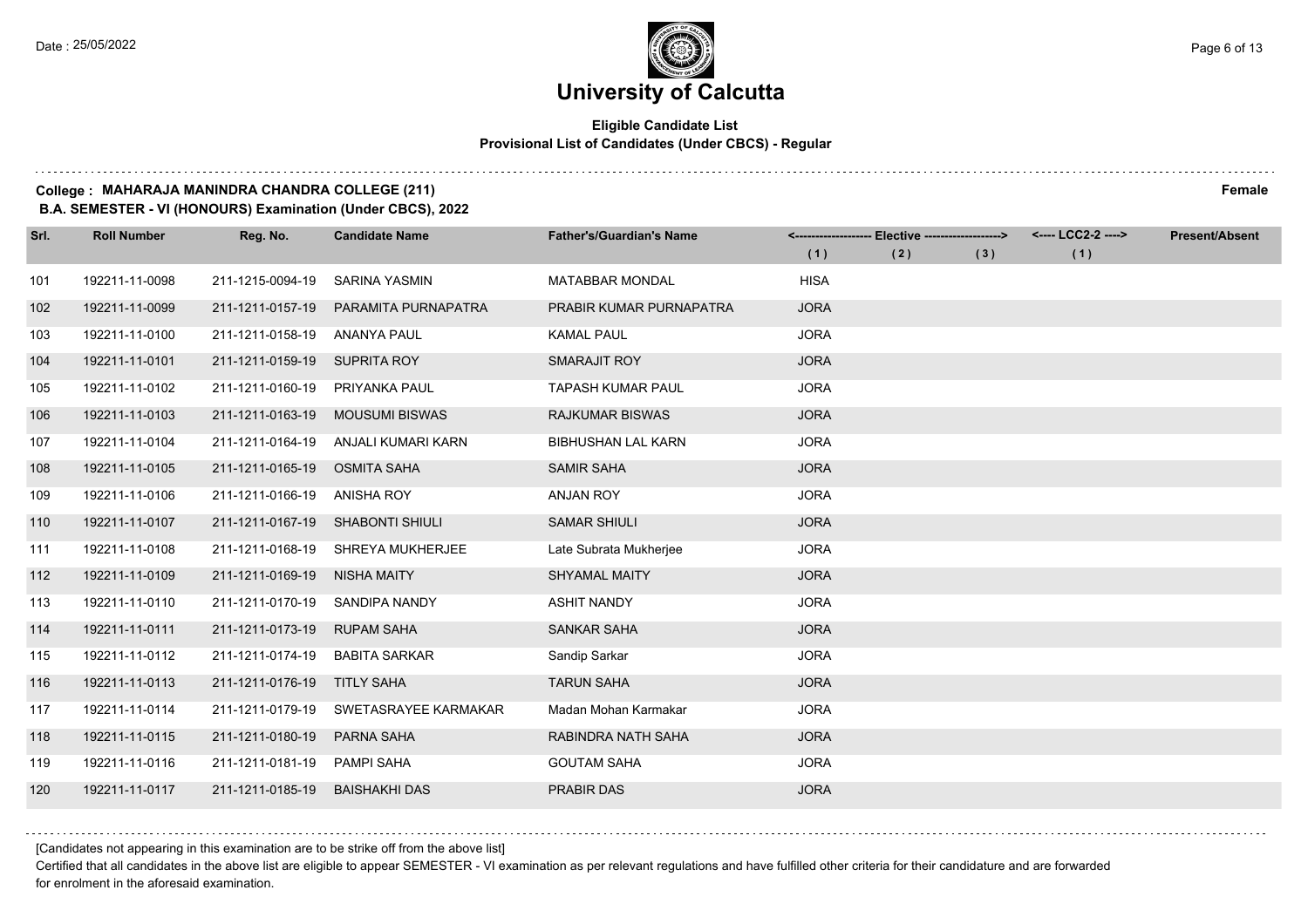#### **Eligible Candidate List Provisional List of Candidates (Under CBCS) - Regular**

#### **College : MAHARAJA MANINDRA CHANDRA COLLEGE (211) Female**

**B.A. SEMESTER - VI (HONOURS) Examination (Under CBCS), 2022**

| Srl. | <b>Roll Number</b> | Reg. No.         | <b>Candidate Name</b>  | <b>Father's/Guardian's Name</b> |             | <------------------- Elective ------------------> |     | <---- LCC2-2 ----> | <b>Present/Absent</b> |
|------|--------------------|------------------|------------------------|---------------------------------|-------------|---------------------------------------------------|-----|--------------------|-----------------------|
|      |                    |                  |                        |                                 | (1)         | (2)                                               | (3) | (1)                |                       |
| 101  | 192211-11-0098     | 211-1215-0094-19 | <b>SARINA YASMIN</b>   | <b>MATABBAR MONDAL</b>          | <b>HISA</b> |                                                   |     |                    |                       |
| 102  | 192211-11-0099     | 211-1211-0157-19 | PARAMITA PURNAPATRA    | PRABIR KUMAR PURNAPATRA         | <b>JORA</b> |                                                   |     |                    |                       |
| 103  | 192211-11-0100     | 211-1211-0158-19 | <b>ANANYA PAUL</b>     | <b>KAMAL PAUL</b>               | <b>JORA</b> |                                                   |     |                    |                       |
| 104  | 192211-11-0101     | 211-1211-0159-19 | <b>SUPRITA ROY</b>     | SMARAJIT ROY                    | <b>JORA</b> |                                                   |     |                    |                       |
| 105  | 192211-11-0102     | 211-1211-0160-19 | <b>PRIYANKA PAUL</b>   | <b>TAPASH KUMAR PAUL</b>        | <b>JORA</b> |                                                   |     |                    |                       |
| 106  | 192211-11-0103     | 211-1211-0163-19 | <b>MOUSUMI BISWAS</b>  | <b>RAJKUMAR BISWAS</b>          | <b>JORA</b> |                                                   |     |                    |                       |
| 107  | 192211-11-0104     | 211-1211-0164-19 | ANJALI KUMARI KARN     | <b>BIBHUSHAN LAL KARN</b>       | <b>JORA</b> |                                                   |     |                    |                       |
| 108  | 192211-11-0105     | 211-1211-0165-19 | <b>OSMITA SAHA</b>     | <b>SAMIR SAHA</b>               | <b>JORA</b> |                                                   |     |                    |                       |
| 109  | 192211-11-0106     | 211-1211-0166-19 | <b>ANISHA ROY</b>      | <b>ANJAN ROY</b>                | <b>JORA</b> |                                                   |     |                    |                       |
| 110  | 192211-11-0107     | 211-1211-0167-19 | <b>SHABONTI SHIULI</b> | <b>SAMAR SHIULI</b>             | <b>JORA</b> |                                                   |     |                    |                       |
| 111  | 192211-11-0108     | 211-1211-0168-19 | SHREYA MUKHERJEE       | Late Subrata Mukherjee          | <b>JORA</b> |                                                   |     |                    |                       |
| 112  | 192211-11-0109     | 211-1211-0169-19 | <b>NISHA MAITY</b>     | <b>SHYAMAL MAITY</b>            | <b>JORA</b> |                                                   |     |                    |                       |
| 113  | 192211-11-0110     | 211-1211-0170-19 | SANDIPA NANDY          | <b>ASHIT NANDY</b>              | <b>JORA</b> |                                                   |     |                    |                       |
| 114  | 192211-11-0111     | 211-1211-0173-19 | <b>RUPAM SAHA</b>      | <b>SANKAR SAHA</b>              | <b>JORA</b> |                                                   |     |                    |                       |
| 115  | 192211-11-0112     | 211-1211-0174-19 | <b>BABITA SARKAR</b>   | Sandip Sarkar                   | <b>JORA</b> |                                                   |     |                    |                       |
| 116  | 192211-11-0113     | 211-1211-0176-19 | <b>TITLY SAHA</b>      | <b>TARUN SAHA</b>               | <b>JORA</b> |                                                   |     |                    |                       |
| 117  | 192211-11-0114     | 211-1211-0179-19 | SWETASRAYEE KARMAKAR   | Madan Mohan Karmakar            | <b>JORA</b> |                                                   |     |                    |                       |
| 118  | 192211-11-0115     | 211-1211-0180-19 | <b>PARNA SAHA</b>      | RABINDRA NATH SAHA              | <b>JORA</b> |                                                   |     |                    |                       |
| 119  | 192211-11-0116     | 211-1211-0181-19 | <b>PAMPI SAHA</b>      | <b>GOUTAM SAHA</b>              | <b>JORA</b> |                                                   |     |                    |                       |
| 120  | 192211-11-0117     | 211-1211-0185-19 | <b>BAISHAKHI DAS</b>   | <b>PRABIR DAS</b>               | <b>JORA</b> |                                                   |     |                    |                       |

[Candidates not appearing in this examination are to be strike off from the above list]

Certified that all candidates in the above list are eligible to appear SEMESTER - VI examination as per relevant regulations and have fulfilled other criteria for their candidature and are forwarded for enrolment in the aforesaid examination.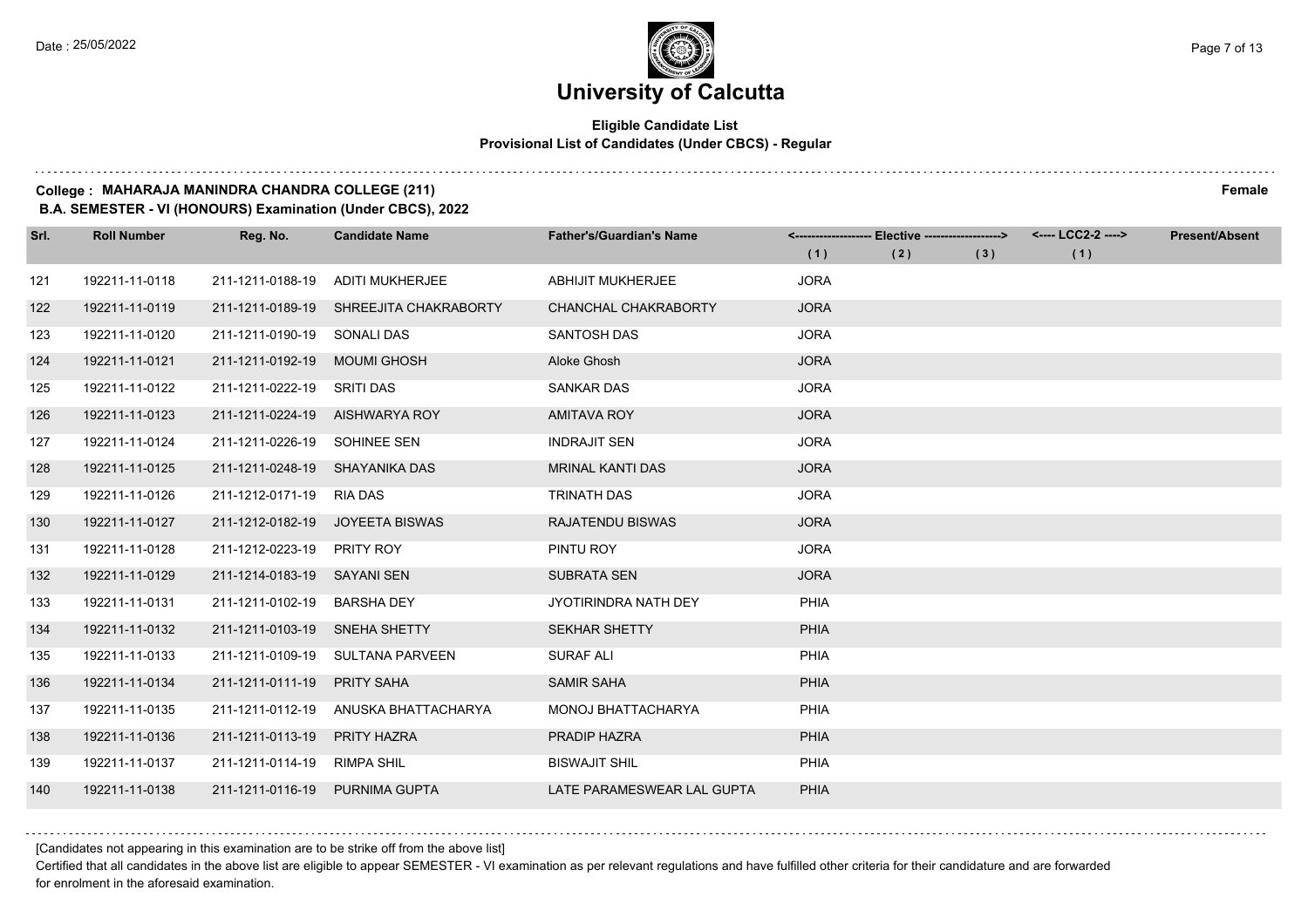#### **Eligible Candidate List Provisional List of Candidates (Under CBCS) - Regular**

#### **College : MAHARAJA MANINDRA CHANDRA COLLEGE (211) Female**

**B.A. SEMESTER - VI (HONOURS) Examination (Under CBCS), 2022**

| Srl. | <b>Roll Number</b> | Reg. No.                       | <b>Candidate Name</b>           | <b>Father's/Guardian's Name</b> |             | <------------------- Elective ------------------> |     | <---- LCC2-2 ----> | <b>Present/Absent</b> |
|------|--------------------|--------------------------------|---------------------------------|---------------------------------|-------------|---------------------------------------------------|-----|--------------------|-----------------------|
|      |                    |                                |                                 |                                 | (1)         | (2)                                               | (3) | (1)                |                       |
| 121  | 192211-11-0118     | 211-1211-0188-19               | <b>ADITI MUKHERJEE</b>          | <b>ABHIJIT MUKHERJEE</b>        | <b>JORA</b> |                                                   |     |                    |                       |
| 122  | 192211-11-0119     | 211-1211-0189-19               | SHREEJITA CHAKRABORTY           | CHANCHAL CHAKRABORTY            | <b>JORA</b> |                                                   |     |                    |                       |
| 123  | 192211-11-0120     | 211-1211-0190-19 SONALI DAS    |                                 | <b>SANTOSH DAS</b>              | <b>JORA</b> |                                                   |     |                    |                       |
| 124  | 192211-11-0121     | 211-1211-0192-19               | MOUMI GHOSH                     | Aloke Ghosh                     | <b>JORA</b> |                                                   |     |                    |                       |
| 125  | 192211-11-0122     | 211-1211-0222-19               | <b>SRITI DAS</b>                | <b>SANKAR DAS</b>               | <b>JORA</b> |                                                   |     |                    |                       |
| 126  | 192211-11-0123     |                                | 211-1211-0224-19 AISHWARYA ROY  | <b>AMITAVA ROY</b>              | <b>JORA</b> |                                                   |     |                    |                       |
| 127  | 192211-11-0124     | 211-1211-0226-19 SOHINEE SEN   |                                 | <b>INDRAJIT SEN</b>             | <b>JORA</b> |                                                   |     |                    |                       |
| 128  | 192211-11-0125     | 211-1211-0248-19 SHAYANIKA DAS |                                 | <b>MRINAL KANTI DAS</b>         | <b>JORA</b> |                                                   |     |                    |                       |
| 129  | 192211-11-0126     | 211-1212-0171-19               | <b>RIA DAS</b>                  | <b>TRINATH DAS</b>              | <b>JORA</b> |                                                   |     |                    |                       |
| 130  | 192211-11-0127     |                                | 211-1212-0182-19 JOYEETA BISWAS | <b>RAJATENDU BISWAS</b>         | <b>JORA</b> |                                                   |     |                    |                       |
| 131  | 192211-11-0128     | 211-1212-0223-19               | PRITY ROY                       | PINTU ROY                       | <b>JORA</b> |                                                   |     |                    |                       |
| 132  | 192211-11-0129     | 211-1214-0183-19               | SAYANI SEN                      | <b>SUBRATA SEN</b>              | <b>JORA</b> |                                                   |     |                    |                       |
| 133  | 192211-11-0131     | 211-1211-0102-19               | <b>BARSHA DEY</b>               | <b>JYOTIRINDRA NATH DEY</b>     | <b>PHIA</b> |                                                   |     |                    |                       |
| 134  | 192211-11-0132     | 211-1211-0103-19 SNEHA SHETTY  |                                 | <b>SEKHAR SHETTY</b>            | <b>PHIA</b> |                                                   |     |                    |                       |
| 135  | 192211-11-0133     | 211-1211-0109-19               | SULTANA PARVEEN                 | <b>SURAF ALI</b>                | <b>PHIA</b> |                                                   |     |                    |                       |
| 136  | 192211-11-0134     | 211-1211-0111-19               | <b>PRITY SAHA</b>               | <b>SAMIR SAHA</b>               | PHIA        |                                                   |     |                    |                       |
| 137  | 192211-11-0135     | 211-1211-0112-19               | ANUSKA BHATTACHARYA             | MONOJ BHATTACHARYA              | <b>PHIA</b> |                                                   |     |                    |                       |
| 138  | 192211-11-0136     | 211-1211-0113-19               | <b>PRITY HAZRA</b>              | PRADIP HAZRA                    | <b>PHIA</b> |                                                   |     |                    |                       |
| 139  | 192211-11-0137     | 211-1211-0114-19               | <b>RIMPA SHIL</b>               | <b>BISWAJIT SHIL</b>            | PHIA        |                                                   |     |                    |                       |
| 140  | 192211-11-0138     | 211-1211-0116-19 PURNIMA GUPTA |                                 | LATE PARAMESWEAR LAL GUPTA      | PHIA        |                                                   |     |                    |                       |

[Candidates not appearing in this examination are to be strike off from the above list]

Certified that all candidates in the above list are eligible to appear SEMESTER - VI examination as per relevant regulations and have fulfilled other criteria for their candidature and are forwarded for enrolment in the aforesaid examination.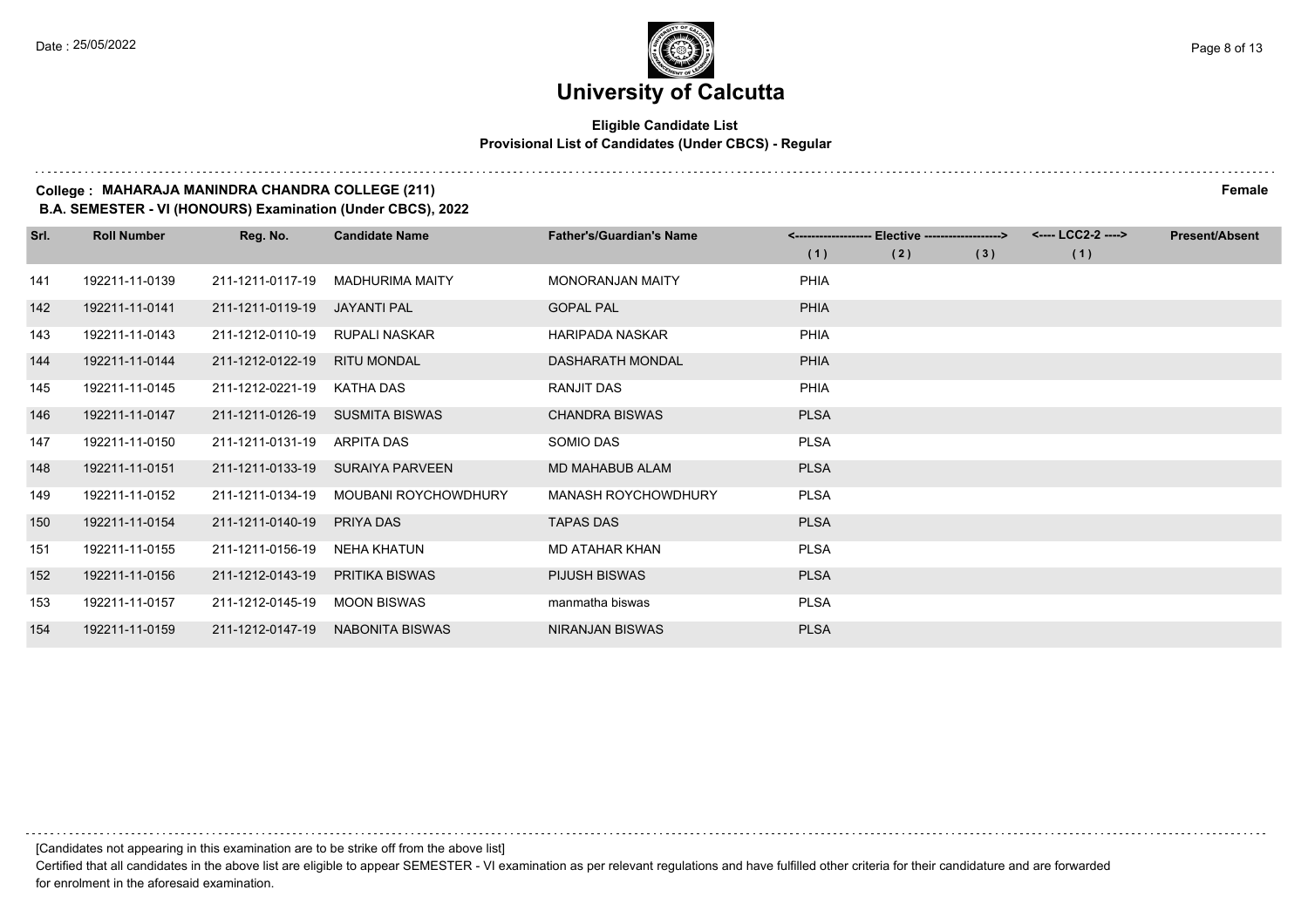#### **Eligible Candidate List Provisional List of Candidates (Under CBCS) - Regular**

#### **College : MAHARAJA MANINDRA CHANDRA COLLEGE (211) Female**

**B.A. SEMESTER - VI (HONOURS) Examination (Under CBCS), 2022**

| Srl. | <b>Roll Number</b> | Reg. No.         | <b>Candidate Name</b>       | <b>Father's/Guardian's Name</b> | <-------------------- | - Elective -------------------> |     | <---- LCC2-2 ----> | <b>Present/Absent</b> |
|------|--------------------|------------------|-----------------------------|---------------------------------|-----------------------|---------------------------------|-----|--------------------|-----------------------|
|      |                    |                  |                             |                                 | (1)                   | (2)                             | (3) | (1)                |                       |
| 141  | 192211-11-0139     | 211-1211-0117-19 | <b>MADHURIMA MAITY</b>      | <b>MONORANJAN MAITY</b>         | PHIA                  |                                 |     |                    |                       |
| 142  | 192211-11-0141     | 211-1211-0119-19 | <b>JAYANTI PAL</b>          | <b>GOPAL PAL</b>                | <b>PHIA</b>           |                                 |     |                    |                       |
| 143  | 192211-11-0143     | 211-1212-0110-19 | RUPALI NASKAR               | <b>HARIPADA NASKAR</b>          | PHIA                  |                                 |     |                    |                       |
| 144  | 192211-11-0144     | 211-1212-0122-19 | <b>RITU MONDAL</b>          | DASHARATH MONDAL                | <b>PHIA</b>           |                                 |     |                    |                       |
| 145  | 192211-11-0145     | 211-1212-0221-19 | KATHA DAS                   | RANJIT DAS                      | <b>PHIA</b>           |                                 |     |                    |                       |
| 146  | 192211-11-0147     | 211-1211-0126-19 | <b>SUSMITA BISWAS</b>       | <b>CHANDRA BISWAS</b>           | <b>PLSA</b>           |                                 |     |                    |                       |
| 147  | 192211-11-0150     | 211-1211-0131-19 | <b>ARPITA DAS</b>           | SOMIO DAS                       | <b>PLSA</b>           |                                 |     |                    |                       |
| 148  | 192211-11-0151     | 211-1211-0133-19 | SURAIYA PARVEEN             | MD MAHABUB ALAM                 | <b>PLSA</b>           |                                 |     |                    |                       |
| 149  | 192211-11-0152     | 211-1211-0134-19 | <b>MOUBANI ROYCHOWDHURY</b> | MANASH ROYCHOWDHURY             | <b>PLSA</b>           |                                 |     |                    |                       |
| 150  | 192211-11-0154     | 211-1211-0140-19 | PRIYA DAS                   | <b>TAPAS DAS</b>                | <b>PLSA</b>           |                                 |     |                    |                       |
| 151  | 192211-11-0155     | 211-1211-0156-19 | NEHA KHATUN                 | <b>MD ATAHAR KHAN</b>           | <b>PLSA</b>           |                                 |     |                    |                       |
| 152  | 192211-11-0156     | 211-1212-0143-19 | <b>PRITIKA BISWAS</b>       | <b>PIJUSH BISWAS</b>            | <b>PLSA</b>           |                                 |     |                    |                       |
| 153  | 192211-11-0157     | 211-1212-0145-19 | <b>MOON BISWAS</b>          | manmatha biswas                 | <b>PLSA</b>           |                                 |     |                    |                       |
| 154  | 192211-11-0159     | 211-1212-0147-19 | <b>NABONITA BISWAS</b>      | NIRANJAN BISWAS                 | <b>PLSA</b>           |                                 |     |                    |                       |

[Candidates not appearing in this examination are to be strike off from the above list]

Certified that all candidates in the above list are eligible to appear SEMESTER - VI examination as per relevant regulations and have fulfilled other criteria for their candidature and are forwarded for enrolment in the aforesaid examination.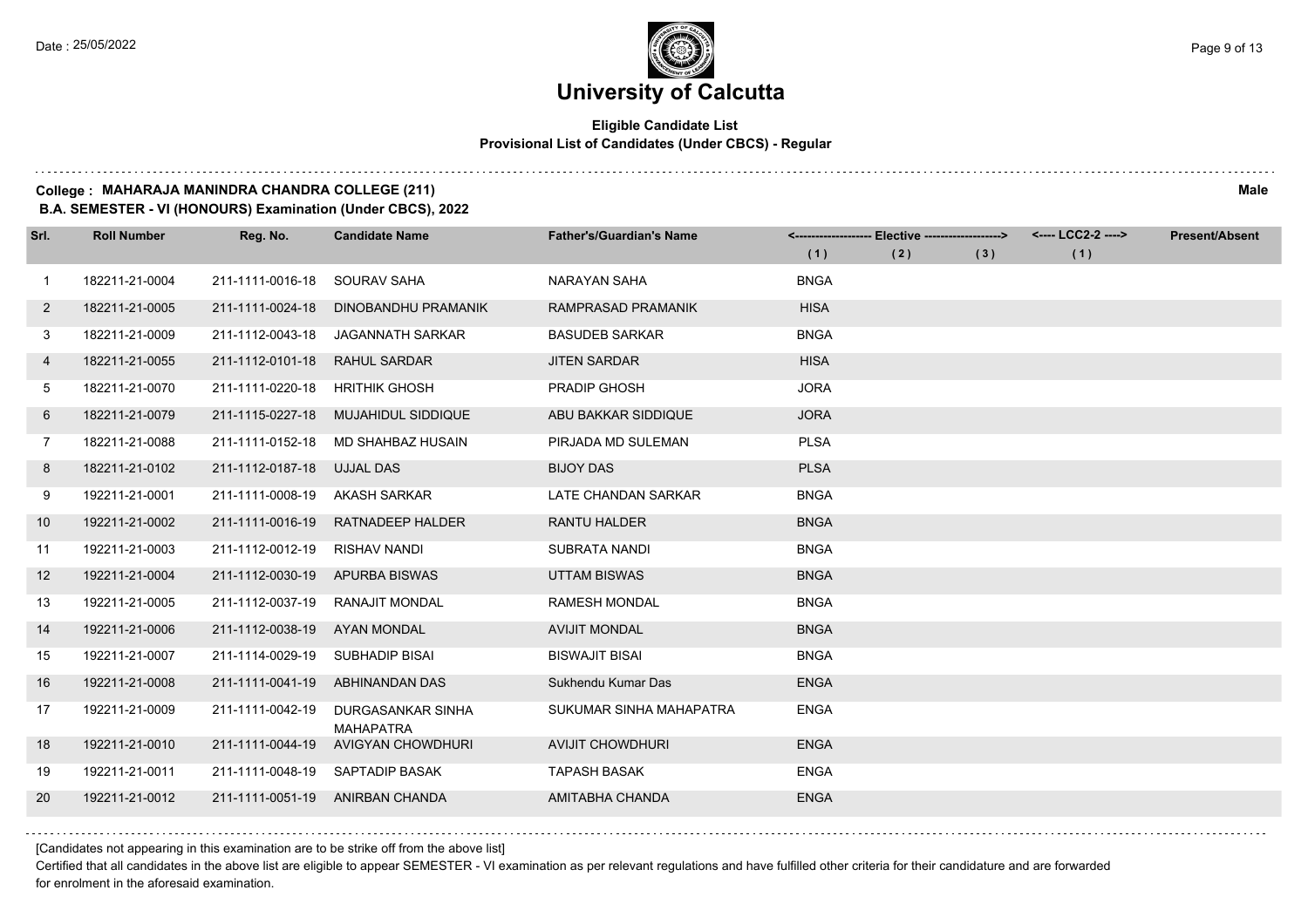#### **Eligible Candidate List Provisional List of Candidates (Under CBCS) - Regular**

#### **College : MAHARAJA MANINDRA CHANDRA COLLEGE (211) Male**

**B.A. SEMESTER - VI (HONOURS) Examination (Under CBCS), 2022**

| Srl.           | <b>Roll Number</b> | Reg. No.                     | <b>Candidate Name</b>                 | <b>Father's/Guardian's Name</b> |             | <------------------- Elective ------------------> |     | <---- LCC2-2 ----> | <b>Present/Absent</b> |
|----------------|--------------------|------------------------------|---------------------------------------|---------------------------------|-------------|---------------------------------------------------|-----|--------------------|-----------------------|
|                |                    |                              |                                       |                                 | (1)         | (2)                                               | (3) | (1)                |                       |
| $\overline{1}$ | 182211-21-0004     | 211-1111-0016-18             | SOURAV SAHA                           | NARAYAN SAHA                    | <b>BNGA</b> |                                                   |     |                    |                       |
| $\overline{2}$ | 182211-21-0005     | 211-1111-0024-18             | DINOBANDHU PRAMANIK                   | RAMPRASAD PRAMANIK              | <b>HISA</b> |                                                   |     |                    |                       |
| 3              | 182211-21-0009     | 211-1112-0043-18             | JAGANNATH SARKAR                      | <b>BASUDEB SARKAR</b>           | <b>BNGA</b> |                                                   |     |                    |                       |
| 4              | 182211-21-0055     | 211-1112-0101-18             | <b>RAHUL SARDAR</b>                   | <b>JITEN SARDAR</b>             | <b>HISA</b> |                                                   |     |                    |                       |
| 5              | 182211-21-0070     | 211-1111-0220-18             | <b>HRITHIK GHOSH</b>                  | <b>PRADIP GHOSH</b>             | <b>JORA</b> |                                                   |     |                    |                       |
| 6              | 182211-21-0079     | 211-1115-0227-18             | MUJAHIDUL SIDDIQUE                    | ABU BAKKAR SIDDIQUE             | <b>JORA</b> |                                                   |     |                    |                       |
| $7^{\circ}$    | 182211-21-0088     |                              | 211-1111-0152-18 MD SHAHBAZ HUSAIN    | PIRJADA MD SULEMAN              | <b>PLSA</b> |                                                   |     |                    |                       |
| 8              | 182211-21-0102     | 211-1112-0187-18             | <b>UJJAL DAS</b>                      | <b>BIJOY DAS</b>                | <b>PLSA</b> |                                                   |     |                    |                       |
| 9              | 192211-21-0001     | 211-1111-0008-19             | AKASH SARKAR                          | LATE CHANDAN SARKAR             | <b>BNGA</b> |                                                   |     |                    |                       |
| 10             | 192211-21-0002     | 211-1111-0016-19             | RATNADEEP HALDER                      | <b>RANTU HALDER</b>             | <b>BNGA</b> |                                                   |     |                    |                       |
| 11             | 192211-21-0003     | 211-1112-0012-19             | RISHAV NANDI                          | <b>SUBRATA NANDI</b>            | <b>BNGA</b> |                                                   |     |                    |                       |
| 12             | 192211-21-0004     | 211-1112-0030-19             | <b>APURBA BISWAS</b>                  | <b>UTTAM BISWAS</b>             | <b>BNGA</b> |                                                   |     |                    |                       |
| 13             | 192211-21-0005     | 211-1112-0037-19             | RANAJIT MONDAL                        | <b>RAMESH MONDAL</b>            | <b>BNGA</b> |                                                   |     |                    |                       |
| 14             | 192211-21-0006     | 211-1112-0038-19 AYAN MONDAL |                                       | <b>AVIJIT MONDAL</b>            | <b>BNGA</b> |                                                   |     |                    |                       |
| 15             | 192211-21-0007     | 211-1114-0029-19             | SUBHADIP BISAI                        | <b>BISWAJIT BISAI</b>           | <b>BNGA</b> |                                                   |     |                    |                       |
| 16             | 192211-21-0008     | 211-1111-0041-19             | ABHINANDAN DAS                        | Sukhendu Kumar Das              | <b>ENGA</b> |                                                   |     |                    |                       |
| 17             | 192211-21-0009     | 211-1111-0042-19             | DURGASANKAR SINHA<br><b>MAHAPATRA</b> | SUKUMAR SINHA MAHAPATRA         | <b>ENGA</b> |                                                   |     |                    |                       |
| 18             | 192211-21-0010     | 211-1111-0044-19             | AVIGYAN CHOWDHURI                     | <b>AVIJIT CHOWDHURI</b>         | <b>ENGA</b> |                                                   |     |                    |                       |
| 19             | 192211-21-0011     |                              | 211-1111-0048-19 SAPTADIP BASAK       | <b>TAPASH BASAK</b>             | <b>ENGA</b> |                                                   |     |                    |                       |
| 20             | 192211-21-0012     |                              | 211-1111-0051-19 ANIRBAN CHANDA       | AMITABHA CHANDA                 | <b>ENGA</b> |                                                   |     |                    |                       |

[Candidates not appearing in this examination are to be strike off from the above list]

Certified that all candidates in the above list are eligible to appear SEMESTER - VI examination as per relevant regulations and have fulfilled other criteria for their candidature and are forwarded for enrolment in the aforesaid examination.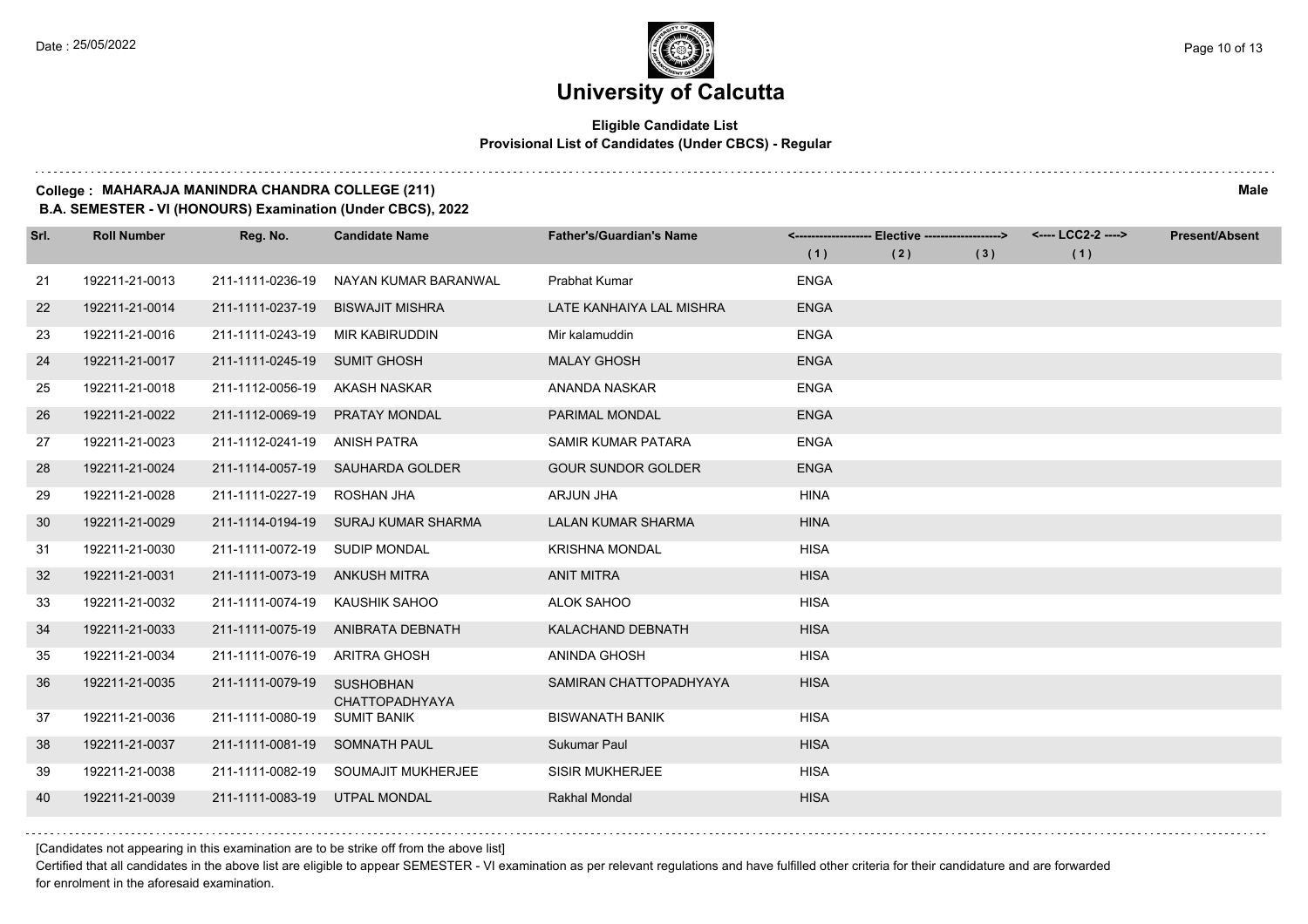#### **Eligible Candidate List Provisional List of Candidates (Under CBCS) - Regular**

#### **College : MAHARAJA MANINDRA CHANDRA COLLEGE (211) Male**

**B.A. SEMESTER - VI (HONOURS) Examination (Under CBCS), 2022**

| Srl. | <b>Roll Number</b> | Reg. No.                      | <b>Candidate Name</b>                     | <b>Father's/Guardian's Name</b> |             | <------------------- Elective -------------------> |     | <---- LCC2-2 ----> | <b>Present/Absent</b> |
|------|--------------------|-------------------------------|-------------------------------------------|---------------------------------|-------------|----------------------------------------------------|-----|--------------------|-----------------------|
|      |                    |                               |                                           |                                 | (1)         | (2)                                                | (3) | (1)                |                       |
| 21   | 192211-21-0013     | 211-1111-0236-19              | NAYAN KUMAR BARANWAL                      | <b>Prabhat Kumar</b>            | <b>ENGA</b> |                                                    |     |                    |                       |
| 22   | 192211-21-0014     | 211-1111-0237-19              | <b>BISWAJIT MISHRA</b>                    | LATE KANHAIYA LAL MISHRA        | <b>ENGA</b> |                                                    |     |                    |                       |
| 23   | 192211-21-0016     | 211-1111-0243-19              | MIR KABIRUDDIN                            | Mir kalamuddin                  | <b>ENGA</b> |                                                    |     |                    |                       |
| 24   | 192211-21-0017     | 211-1111-0245-19 SUMIT GHOSH  |                                           | <b>MALAY GHOSH</b>              | <b>ENGA</b> |                                                    |     |                    |                       |
| 25   | 192211-21-0018     | 211-1112-0056-19              | AKASH NASKAR                              | ANANDA NASKAR                   | <b>ENGA</b> |                                                    |     |                    |                       |
| 26   | 192211-21-0022     | 211-1112-0069-19              | <b>PRATAY MONDAL</b>                      | <b>PARIMAL MONDAL</b>           | <b>ENGA</b> |                                                    |     |                    |                       |
| 27   | 192211-21-0023     | 211-1112-0241-19              | ANISH PATRA                               | SAMIR KUMAR PATARA              | <b>ENGA</b> |                                                    |     |                    |                       |
| 28   | 192211-21-0024     | 211-1114-0057-19              | SAUHARDA GOLDER                           | <b>GOUR SUNDOR GOLDER</b>       | <b>ENGA</b> |                                                    |     |                    |                       |
| 29   | 192211-21-0028     | 211-1111-0227-19              | ROSHAN JHA                                | <b>ARJUN JHA</b>                | <b>HINA</b> |                                                    |     |                    |                       |
| 30   | 192211-21-0029     |                               | 211-1114-0194-19 SURAJ KUMAR SHARMA       | <b>LALAN KUMAR SHARMA</b>       | <b>HINA</b> |                                                    |     |                    |                       |
| 31   | 192211-21-0030     | 211-1111-0072-19 SUDIP MONDAL |                                           | <b>KRISHNA MONDAL</b>           | <b>HISA</b> |                                                    |     |                    |                       |
| 32   | 192211-21-0031     | 211-1111-0073-19              | ANKUSH MITRA                              | <b>ANIT MITRA</b>               | <b>HISA</b> |                                                    |     |                    |                       |
| 33   | 192211-21-0032     | 211-1111-0074-19              | KAUSHIK SAHOO                             | ALOK SAHOO                      | <b>HISA</b> |                                                    |     |                    |                       |
| 34   | 192211-21-0033     |                               | 211-1111-0075-19 ANIBRATA DEBNATH         | KALACHAND DEBNATH               | <b>HISA</b> |                                                    |     |                    |                       |
| 35   | 192211-21-0034     | 211-1111-0076-19              | ARITRA GHOSH                              | ANINDA GHOSH                    | <b>HISA</b> |                                                    |     |                    |                       |
| 36   | 192211-21-0035     | 211-1111-0079-19              | <b>SUSHOBHAN</b><br><b>CHATTOPADHYAYA</b> | SAMIRAN CHATTOPADHYAYA          | <b>HISA</b> |                                                    |     |                    |                       |
| 37   | 192211-21-0036     | 211-1111-0080-19              | <b>SUMIT BANIK</b>                        | <b>BISWANATH BANIK</b>          | <b>HISA</b> |                                                    |     |                    |                       |
| 38   | 192211-21-0037     | 211-1111-0081-19              | SOMNATH PAUL                              | Sukumar Paul                    | <b>HISA</b> |                                                    |     |                    |                       |
| 39   | 192211-21-0038     |                               | 211-1111-0082-19 SOUMAJIT MUKHERJEE       | <b>SISIR MUKHERJEE</b>          | <b>HISA</b> |                                                    |     |                    |                       |
| 40   | 192211-21-0039     | 211-1111-0083-19 UTPAL MONDAL |                                           | <b>Rakhal Mondal</b>            | <b>HISA</b> |                                                    |     |                    |                       |

[Candidates not appearing in this examination are to be strike off from the above list]

Certified that all candidates in the above list are eligible to appear SEMESTER - VI examination as per relevant regulations and have fulfilled other criteria for their candidature and are forwarded for enrolment in the aforesaid examination.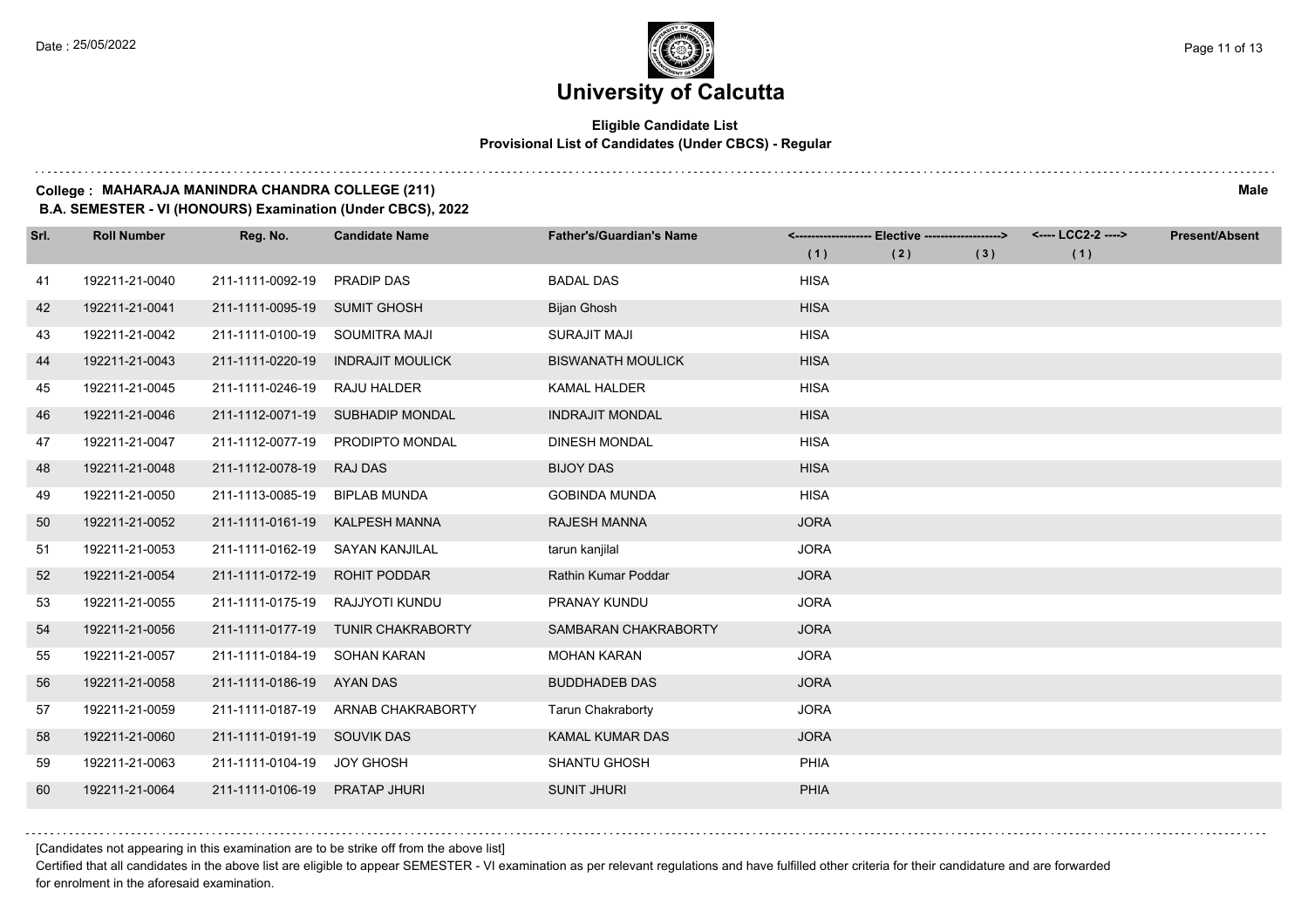$1.111$ 

## **University of Calcutta**

#### **Eligible Candidate List Provisional List of Candidates (Under CBCS) - Regular**

#### **College : MAHARAJA MANINDRA CHANDRA COLLEGE (211) Male**

**B.A. SEMESTER - VI (HONOURS) Examination (Under CBCS), 2022**

| Srl. | <b>Roll Number</b> | Reg. No.                    | <b>Candidate Name</b>            | <b>Father's/Guardian's Name</b> | (1)         | <------------------- Elective -------------------><br>(2) | (3) | <---- LCC2-2 ----><br>(1) | <b>Present/Absent</b> |
|------|--------------------|-----------------------------|----------------------------------|---------------------------------|-------------|-----------------------------------------------------------|-----|---------------------------|-----------------------|
| 41   | 192211-21-0040     | 211-1111-0092-19            | <b>PRADIP DAS</b>                | <b>BADAL DAS</b>                | <b>HISA</b> |                                                           |     |                           |                       |
| 42   | 192211-21-0041     | 211-1111-0095-19            | <b>SUMIT GHOSH</b>               | Bijan Ghosh                     | <b>HISA</b> |                                                           |     |                           |                       |
| 43   | 192211-21-0042     | 211-1111-0100-19            | SOUMITRA MAJI                    | <b>SURAJIT MAJI</b>             | <b>HISA</b> |                                                           |     |                           |                       |
| 44   | 192211-21-0043     | 211-1111-0220-19            | <b>INDRAJIT MOULICK</b>          | <b>BISWANATH MOULICK</b>        | <b>HISA</b> |                                                           |     |                           |                       |
| 45   | 192211-21-0045     | 211-1111-0246-19            | RAJU HALDER                      | <b>KAMAL HALDER</b>             | <b>HISA</b> |                                                           |     |                           |                       |
| -46  | 192211-21-0046     |                             | 211-1112-0071-19 SUBHADIP MONDAL | <b>INDRAJIT MONDAL</b>          | <b>HISA</b> |                                                           |     |                           |                       |
| 47   | 192211-21-0047     |                             | 211-1112-0077-19 PRODIPTO MONDAL | <b>DINESH MONDAL</b>            | <b>HISA</b> |                                                           |     |                           |                       |
| 48   | 192211-21-0048     | 211-1112-0078-19            | <b>RAJ DAS</b>                   | <b>BIJOY DAS</b>                | <b>HISA</b> |                                                           |     |                           |                       |
| 49   | 192211-21-0050     | 211-1113-0085-19            | <b>BIPLAB MUNDA</b>              | <b>GOBINDA MUNDA</b>            | <b>HISA</b> |                                                           |     |                           |                       |
| 50   | 192211-21-0052     | 211-1111-0161-19            | <b>KALPESH MANNA</b>             | <b>RAJESH MANNA</b>             | <b>JORA</b> |                                                           |     |                           |                       |
| 51   | 192211-21-0053     | 211-1111-0162-19            | SAYAN KANJILAL                   | tarun kanjilal                  | <b>JORA</b> |                                                           |     |                           |                       |
| 52   | 192211-21-0054     | 211-1111-0172-19            | <b>ROHIT PODDAR</b>              | Rathin Kumar Poddar             | <b>JORA</b> |                                                           |     |                           |                       |
| 53   | 192211-21-0055     | 211-1111-0175-19            | RAJJYOTI KUNDU                   | PRANAY KUNDU                    | <b>JORA</b> |                                                           |     |                           |                       |
| 54   | 192211-21-0056     | 211-1111-0177-19            | <b>TUNIR CHAKRABORTY</b>         | SAMBARAN CHAKRABORTY            | <b>JORA</b> |                                                           |     |                           |                       |
|      | 192211-21-0057     |                             | SOHAN KARAN                      |                                 | <b>JORA</b> |                                                           |     |                           |                       |
| 55   |                    | 211-1111-0184-19            |                                  | <b>MOHAN KARAN</b>              |             |                                                           |     |                           |                       |
| 56   | 192211-21-0058     | 211-1111-0186-19            | AYAN DAS                         | <b>BUDDHADEB DAS</b>            | <b>JORA</b> |                                                           |     |                           |                       |
| 57   | 192211-21-0059     | 211-1111-0187-19            | ARNAB CHAKRABORTY                | <b>Tarun Chakraborty</b>        | <b>JORA</b> |                                                           |     |                           |                       |
| 58   | 192211-21-0060     | 211-1111-0191-19 SOUVIK DAS |                                  | <b>KAMAL KUMAR DAS</b>          | <b>JORA</b> |                                                           |     |                           |                       |
| 59   | 192211-21-0063     | 211-1111-0104-19 JOY GHOSH  |                                  | <b>SHANTU GHOSH</b>             | PHIA        |                                                           |     |                           |                       |
| 60   | 192211-21-0064     | 211-1111-0106-19            | <b>PRATAP JHURI</b>              | <b>SUNIT JHURI</b>              | PHIA        |                                                           |     |                           |                       |

[Candidates not appearing in this examination are to be strike off from the above list]

Certified that all candidates in the above list are eligible to appear SEMESTER - VI examination as per relevant regulations and have fulfilled other criteria for their candidature and are forwarded for enrolment in the aforesaid examination.

. . . . . . .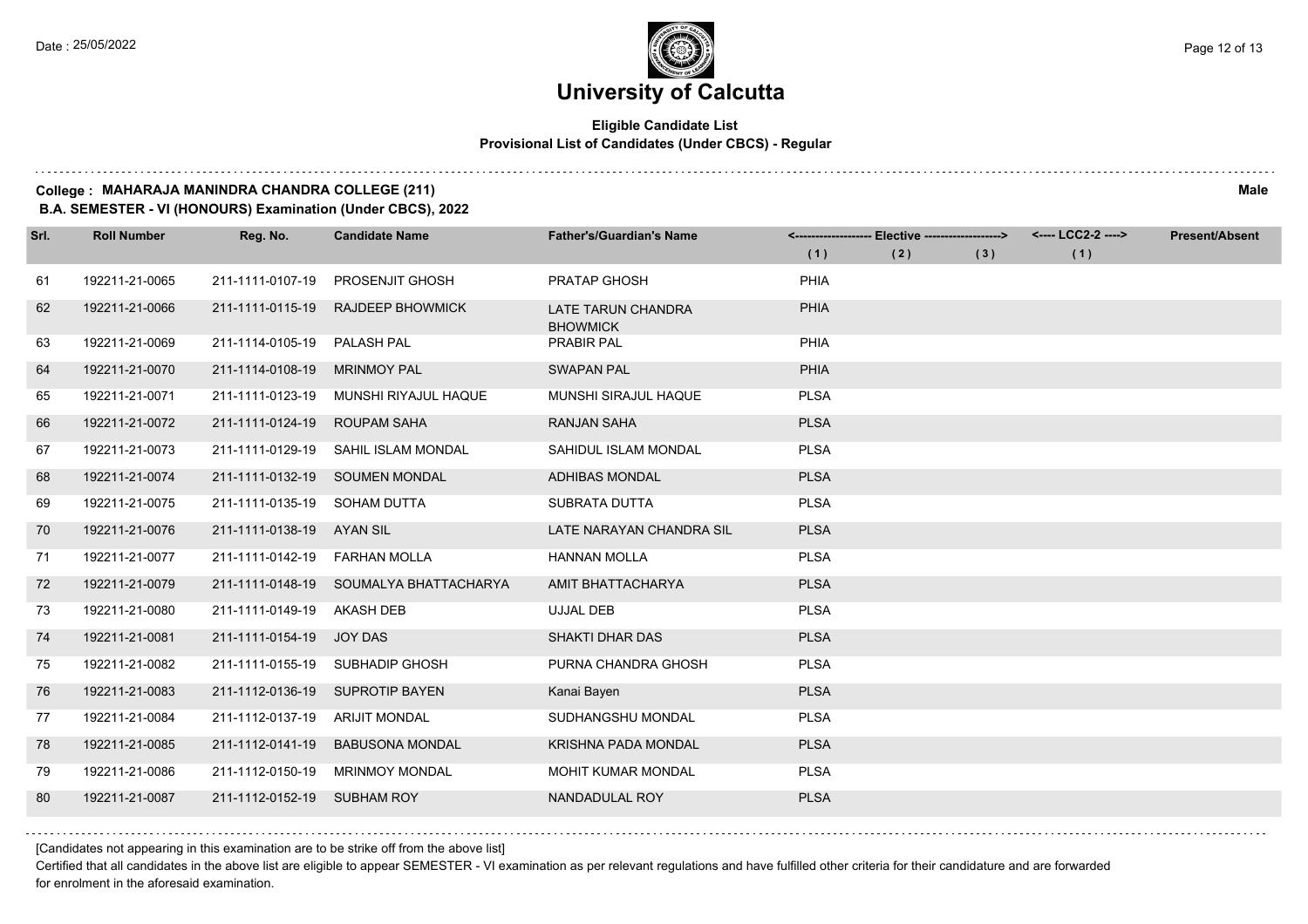#### **Eligible Candidate List Provisional List of Candidates (Under CBCS) - Regular**

#### **College : MAHARAJA MANINDRA CHANDRA COLLEGE (211) Male**

**B.A. SEMESTER - VI (HONOURS) Examination (Under CBCS), 2022**

| Srl. | <b>Roll Number</b> | Reg. No.                     | <b>Candidate Name</b>                  | <b>Father's/Guardian's Name</b>       |             | <------------------- Elective ------------------> |     | <---- LCC2-2 ----> | <b>Present/Absent</b> |
|------|--------------------|------------------------------|----------------------------------------|---------------------------------------|-------------|---------------------------------------------------|-----|--------------------|-----------------------|
|      |                    |                              |                                        |                                       | (1)         | (2)                                               | (3) | (1)                |                       |
| 61   | 192211-21-0065     | 211-1111-0107-19             | <b>PROSENJIT GHOSH</b>                 | <b>PRATAP GHOSH</b>                   | <b>PHIA</b> |                                                   |     |                    |                       |
| 62   | 192211-21-0066     | 211-1111-0115-19             | <b>RAJDEEP BHOWMICK</b>                | LATE TARUN CHANDRA<br><b>BHOWMICK</b> | <b>PHIA</b> |                                                   |     |                    |                       |
| 63   | 192211-21-0069     | 211-1114-0105-19             | PALASH PAL                             | <b>PRABIR PAL</b>                     | PHIA        |                                                   |     |                    |                       |
| 64   | 192211-21-0070     | 211-1114-0108-19             | <b>MRINMOY PAL</b>                     | <b>SWAPAN PAL</b>                     | <b>PHIA</b> |                                                   |     |                    |                       |
| 65   | 192211-21-0071     | 211-1111-0123-19             | MUNSHI RIYAJUL HAQUE                   | MUNSHI SIRAJUL HAQUE                  | <b>PLSA</b> |                                                   |     |                    |                       |
| 66   | 192211-21-0072     | 211-1111-0124-19             | <b>ROUPAM SAHA</b>                     | <b>RANJAN SAHA</b>                    | <b>PLSA</b> |                                                   |     |                    |                       |
| 67   | 192211-21-0073     | 211-1111-0129-19             | SAHIL ISLAM MONDAL                     | SAHIDUL ISLAM MONDAL                  | <b>PLSA</b> |                                                   |     |                    |                       |
| 68   | 192211-21-0074     |                              | 211-1111-0132-19 SOUMEN MONDAL         | <b>ADHIBAS MONDAL</b>                 | <b>PLSA</b> |                                                   |     |                    |                       |
| 69   | 192211-21-0075     | 211-1111-0135-19 SOHAM DUTTA |                                        | SUBRATA DUTTA                         | <b>PLSA</b> |                                                   |     |                    |                       |
| 70   | 192211-21-0076     | 211-1111-0138-19             | AYAN SIL                               | LATE NARAYAN CHANDRA SIL              | <b>PLSA</b> |                                                   |     |                    |                       |
| 71   | 192211-21-0077     | 211-1111-0142-19             | <b>FARHAN MOLLA</b>                    | <b>HANNAN MOLLA</b>                   | <b>PLSA</b> |                                                   |     |                    |                       |
| 72   | 192211-21-0079     |                              | 211-1111-0148-19 SOUMALYA BHATTACHARYA | AMIT BHATTACHARYA                     | <b>PLSA</b> |                                                   |     |                    |                       |
| 73   | 192211-21-0080     | 211-1111-0149-19 AKASH DEB   |                                        | <b>UJJAL DEB</b>                      | <b>PLSA</b> |                                                   |     |                    |                       |
| 74   | 192211-21-0081     | 211-1111-0154-19             | <b>JOY DAS</b>                         | SHAKTI DHAR DAS                       | <b>PLSA</b> |                                                   |     |                    |                       |
| 75   | 192211-21-0082     |                              | 211-1111-0155-19 SUBHADIP GHOSH        | PURNA CHANDRA GHOSH                   | <b>PLSA</b> |                                                   |     |                    |                       |
| 76   | 192211-21-0083     |                              | 211-1112-0136-19 SUPROTIP BAYEN        | Kanai Bayen                           | <b>PLSA</b> |                                                   |     |                    |                       |
| 77   | 192211-21-0084     | 211-1112-0137-19             | ARIJIT MONDAL                          | SUDHANGSHU MONDAL                     | <b>PLSA</b> |                                                   |     |                    |                       |
| 78   | 192211-21-0085     | 211-1112-0141-19             | <b>BABUSONA MONDAL</b>                 | <b>KRISHNA PADA MONDAL</b>            | <b>PLSA</b> |                                                   |     |                    |                       |
| 79   | 192211-21-0086     | 211-1112-0150-19             | <b>MRINMOY MONDAL</b>                  | MOHIT KUMAR MONDAL                    | <b>PLSA</b> |                                                   |     |                    |                       |
| 80   | 192211-21-0087     | 211-1112-0152-19 SUBHAM ROY  |                                        | NANDADULAL ROY                        | <b>PLSA</b> |                                                   |     |                    |                       |

[Candidates not appearing in this examination are to be strike off from the above list]

Certified that all candidates in the above list are eligible to appear SEMESTER - VI examination as per relevant regulations and have fulfilled other criteria for their candidature and are forwarded for enrolment in the aforesaid examination.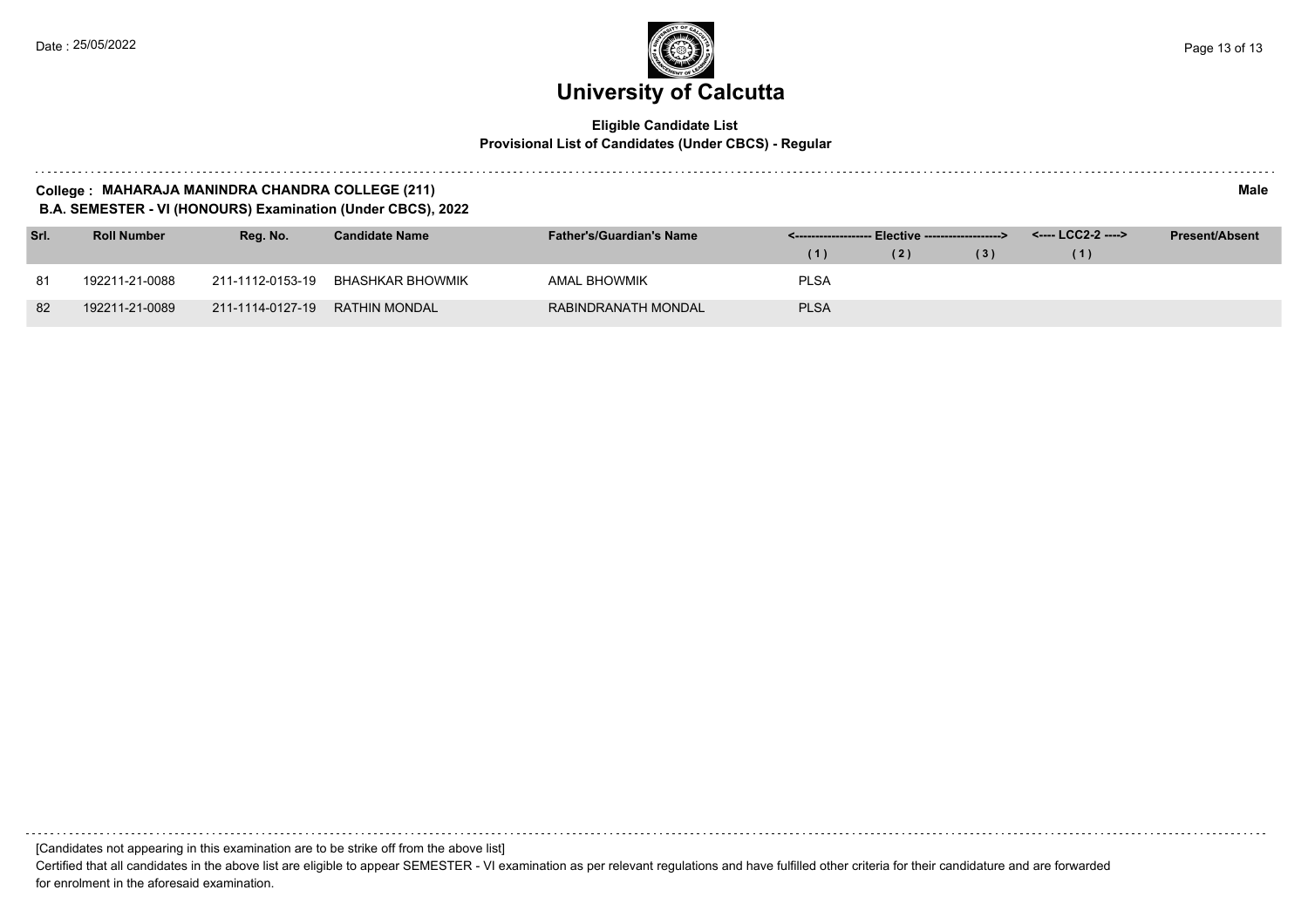$\sim 100$  km s  $^{-1}$ 

# **University of Calcutta**

#### **Eligible Candidate List Provisional List of Candidates (Under CBCS) - Regular**

| Male<br>College : MAHARAJA MANINDRA CHANDRA COLLEGE (211)<br><b>B.A. SEMESTER - VI (HONOURS) Examination (Under CBCS), 2022</b> |                    |                  |                       |                                 |                      |                                  |     |                    |                       |  |  |  |
|---------------------------------------------------------------------------------------------------------------------------------|--------------------|------------------|-----------------------|---------------------------------|----------------------|----------------------------------|-----|--------------------|-----------------------|--|--|--|
| Srl.                                                                                                                            | <b>Roll Number</b> | Reg. No.         | <b>Candidate Name</b> | <b>Father's/Guardian's Name</b> | <------------------- | -- Elective -------------------> |     | <---- LCC2-2 ----> | <b>Present/Absent</b> |  |  |  |
|                                                                                                                                 |                    |                  |                       |                                 | (1)                  | (2)                              | (3) | (1)                |                       |  |  |  |
| 81                                                                                                                              | 192211-21-0088     | 211-1112-0153-19 | BHASHKAR BHOWMIK      | AMAL BHOWMIK                    | <b>PLSA</b>          |                                  |     |                    |                       |  |  |  |
| 82                                                                                                                              | 192211-21-0089     | 211-1114-0127-19 | RATHIN MONDAL         | RABINDRANATH MONDAL             | <b>PLSA</b>          |                                  |     |                    |                       |  |  |  |

[Candidates not appearing in this examination are to be strike off from the above list]

Certified that all candidates in the above list are eligible to appear SEMESTER - VI examination as per relevant regulations and have fulfilled other criteria for their candidature and are forwarded for enrolment in the aforesaid examination.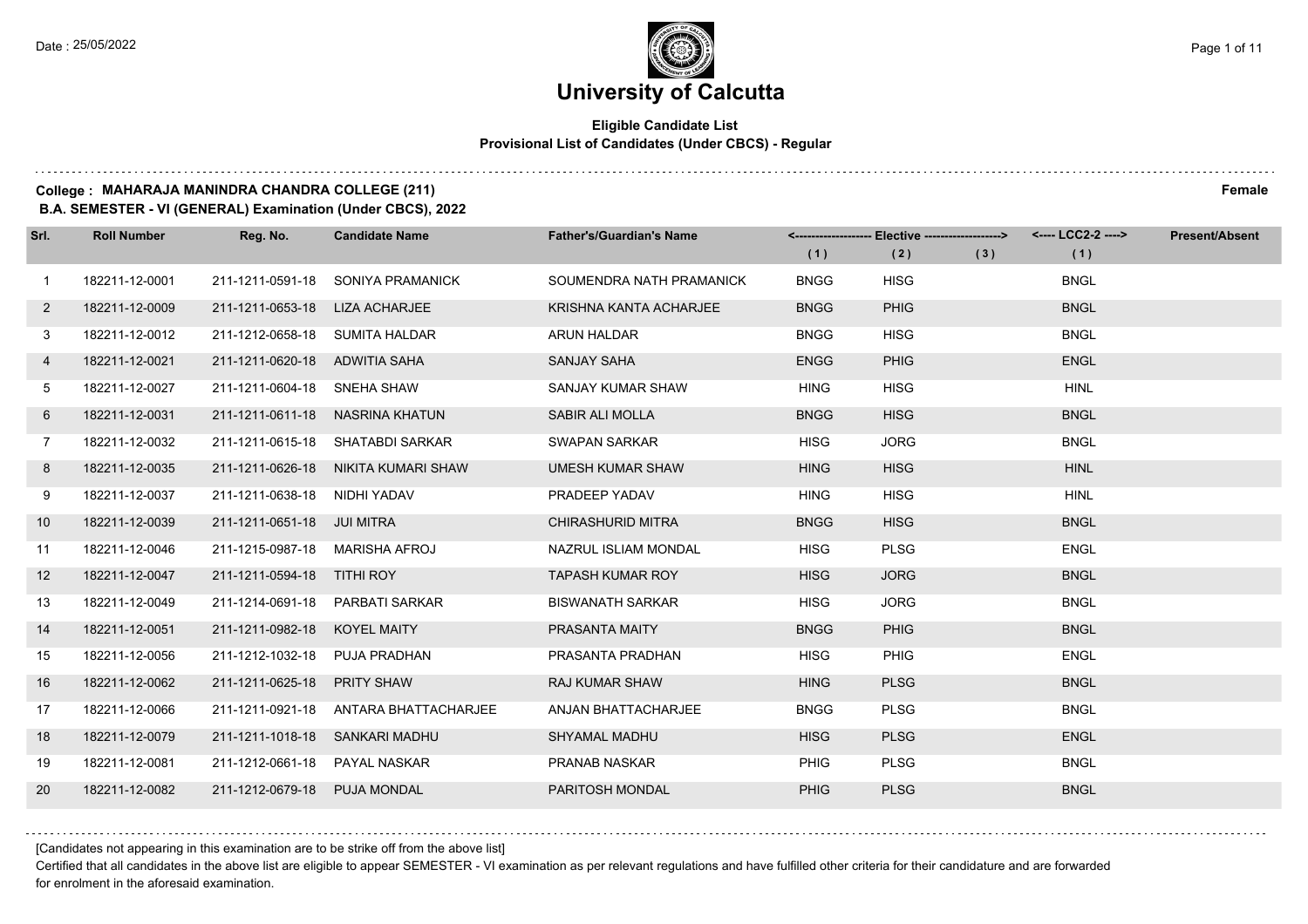#### **Eligible Candidate List Provisional List of Candidates (Under CBCS) - Regular**

#### **College : MAHARAJA MANINDRA CHANDRA COLLEGE (211) Female**

**B.A. SEMESTER - VI (GENERAL) Examination (Under CBCS), 2022**

| Srl.           | <b>Roll Number</b> | Reg. No.                       | <b>Candidate Name</b>               | <b>Father's/Guardian's Name</b> | (1)         | <------------------- Elective ------------------><br>(2) | (3) | <---- LCC2-2 ----><br>(1) | <b>Present/Absent</b> |
|----------------|--------------------|--------------------------------|-------------------------------------|---------------------------------|-------------|----------------------------------------------------------|-----|---------------------------|-----------------------|
| $\mathbf{1}$   | 182211-12-0001     | 211-1211-0591-18               | SONIYA PRAMANICK                    | SOUMENDRA NATH PRAMANICK        | <b>BNGG</b> | <b>HISG</b>                                              |     | <b>BNGL</b>               |                       |
| $\mathbf{2}$   | 182211-12-0009     | 211-1211-0653-18               | LIZA ACHARJEE                       | KRISHNA KANTA ACHARJEE          | <b>BNGG</b> | <b>PHIG</b>                                              |     | <b>BNGL</b>               |                       |
| 3              | 182211-12-0012     | 211-1212-0658-18 SUMITA HALDAR |                                     | ARUN HALDAR                     | <b>BNGG</b> | <b>HISG</b>                                              |     | <b>BNGL</b>               |                       |
| 4              | 182211-12-0021     | 211-1211-0620-18 ADWITIA SAHA  |                                     | SANJAY SAHA                     | <b>ENGG</b> | <b>PHIG</b>                                              |     | <b>ENGL</b>               |                       |
| 5              | 182211-12-0027     | 211-1211-0604-18 SNEHA SHAW    |                                     | SANJAY KUMAR SHAW               | <b>HING</b> | <b>HISG</b>                                              |     | <b>HINL</b>               |                       |
| 6              | 182211-12-0031     | 211-1211-0611-18               | NASRINA KHATUN                      | <b>SABIR ALI MOLLA</b>          | <b>BNGG</b> | <b>HISG</b>                                              |     | <b>BNGL</b>               |                       |
| $\overline{7}$ | 182211-12-0032     |                                | 211-1211-0615-18 SHATABDI SARKAR    | <b>SWAPAN SARKAR</b>            | <b>HISG</b> | <b>JORG</b>                                              |     | <b>BNGL</b>               |                       |
| 8              | 182211-12-0035     |                                | 211-1211-0626-18 NIKITA KUMARI SHAW | <b>UMESH KUMAR SHAW</b>         | <b>HING</b> | <b>HISG</b>                                              |     | <b>HINL</b>               |                       |
| 9              | 182211-12-0037     | 211-1211-0638-18 NIDHI YADAV   |                                     | PRADEEP YADAV                   | <b>HING</b> | <b>HISG</b>                                              |     | <b>HINL</b>               |                       |
| 10             | 182211-12-0039     | 211-1211-0651-18 JUI MITRA     |                                     | <b>CHIRASHURID MITRA</b>        | <b>BNGG</b> | <b>HISG</b>                                              |     | <b>BNGL</b>               |                       |
| 11             | 182211-12-0046     | 211-1215-0987-18 MARISHA AFROJ |                                     | NAZRUL ISLIAM MONDAL            | <b>HISG</b> | <b>PLSG</b>                                              |     | <b>ENGL</b>               |                       |
| 12             | 182211-12-0047     | 211-1211-0594-18 TITHI ROY     |                                     | <b>TAPASH KUMAR ROY</b>         | <b>HISG</b> | <b>JORG</b>                                              |     | <b>BNGL</b>               |                       |
| 13             | 182211-12-0049     |                                | 211-1214-0691-18 PARBATI SARKAR     | <b>BISWANATH SARKAR</b>         | <b>HISG</b> | <b>JORG</b>                                              |     | <b>BNGL</b>               |                       |
| 14             | 182211-12-0051     | 211-1211-0982-18 KOYEL MAITY   |                                     | PRASANTA MAITY                  | <b>BNGG</b> | <b>PHIG</b>                                              |     | <b>BNGL</b>               |                       |
| 15             | 182211-12-0056     | 211-1212-1032-18 PUJA PRADHAN  |                                     | PRASANTA PRADHAN                | <b>HISG</b> | <b>PHIG</b>                                              |     | <b>ENGL</b>               |                       |
| 16             | 182211-12-0062     | 211-1211-0625-18 PRITY SHAW    |                                     | <b>RAJ KUMAR SHAW</b>           | <b>HING</b> | <b>PLSG</b>                                              |     | <b>BNGL</b>               |                       |
| 17             | 182211-12-0066     | 211-1211-0921-18               | ANTARA BHATTACHARJEE                | ANJAN BHATTACHARJEE             | <b>BNGG</b> | <b>PLSG</b>                                              |     | <b>BNGL</b>               |                       |
| 18             | 182211-12-0079     | 211-1211-1018-18 SANKARI MADHU |                                     | SHYAMAL MADHU                   | <b>HISG</b> | <b>PLSG</b>                                              |     | <b>ENGL</b>               |                       |
| 19             | 182211-12-0081     | 211-1212-0661-18 PAYAL NASKAR  |                                     | PRANAB NASKAR                   | <b>PHIG</b> | <b>PLSG</b>                                              |     | <b>BNGL</b>               |                       |
| 20             | 182211-12-0082     | 211-1212-0679-18 PUJA MONDAL   |                                     | PARITOSH MONDAL                 | <b>PHIG</b> | <b>PLSG</b>                                              |     | <b>BNGL</b>               |                       |

[Candidates not appearing in this examination are to be strike off from the above list]

Certified that all candidates in the above list are eligible to appear SEMESTER - VI examination as per relevant regulations and have fulfilled other criteria for their candidature and are forwarded for enrolment in the aforesaid examination.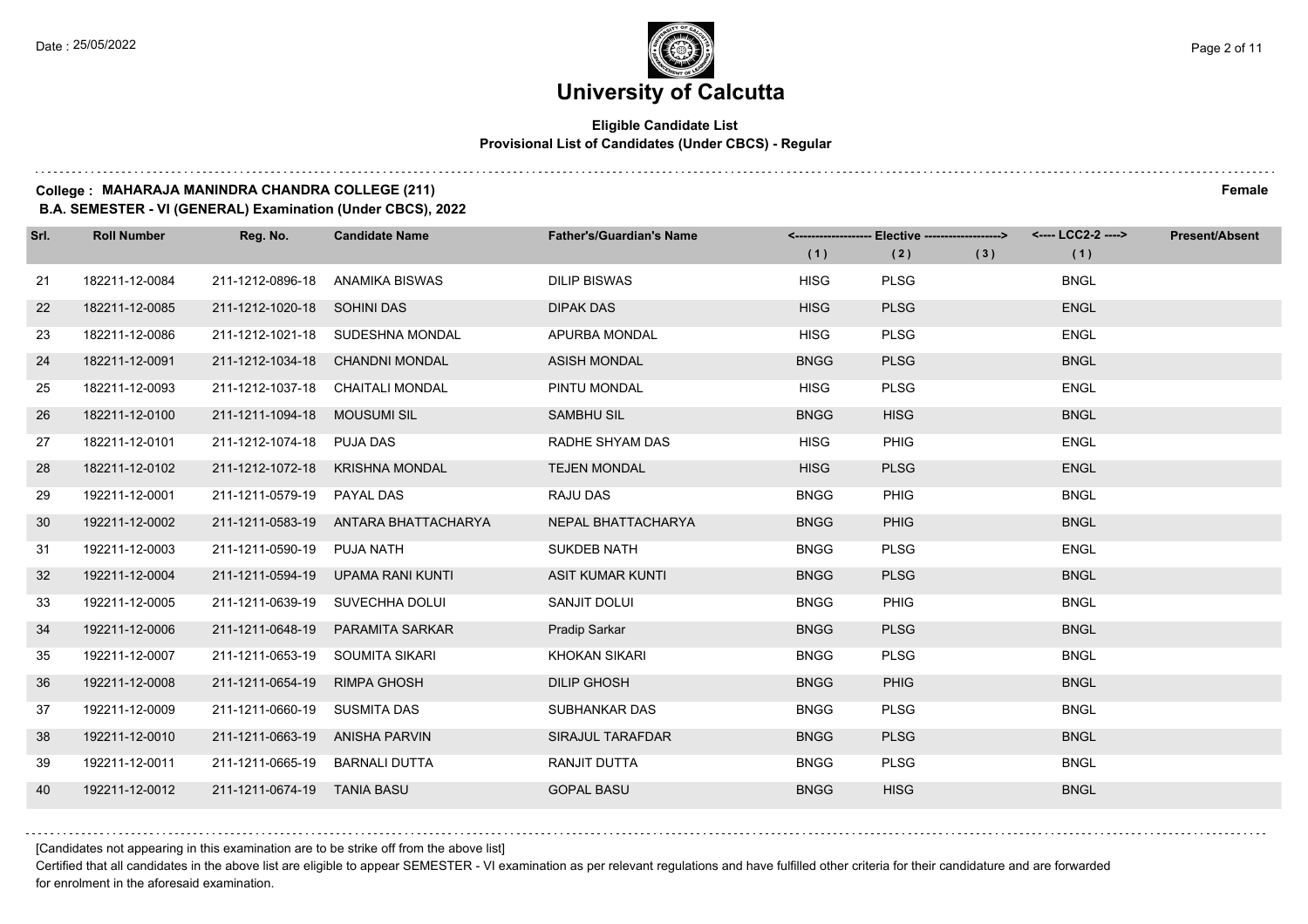$1.111$ 

### **University of Calcutta**

#### **Eligible Candidate List Provisional List of Candidates (Under CBCS) - Regular**

#### **College : MAHARAJA MANINDRA CHANDRA COLLEGE (211) Female**

**B.A. SEMESTER - VI (GENERAL) Examination (Under CBCS), 2022**

| Srl. | <b>Roll Number</b> | Reg. No.                       | <b>Candidate Name</b>                | <b>Father's/Guardian's Name</b> | (1)         | <------------------- Elective ------------------><br>(2) | (3) | <---- LCC2-2 ----><br>(1) | <b>Present/Absent</b> |
|------|--------------------|--------------------------------|--------------------------------------|---------------------------------|-------------|----------------------------------------------------------|-----|---------------------------|-----------------------|
| 21   | 182211-12-0084     | 211-1212-0896-18               | ANAMIKA BISWAS                       | <b>DILIP BISWAS</b>             | <b>HISG</b> | <b>PLSG</b>                                              |     | <b>BNGL</b>               |                       |
| 22   | 182211-12-0085     | 211-1212-1020-18 SOHINI DAS    |                                      | <b>DIPAK DAS</b>                | <b>HISG</b> | <b>PLSG</b>                                              |     | <b>ENGL</b>               |                       |
| 23   | 182211-12-0086     |                                | 211-1212-1021-18 SUDESHNA MONDAL     | APURBA MONDAL                   | <b>HISG</b> | <b>PLSG</b>                                              |     | <b>ENGL</b>               |                       |
| 24   | 182211-12-0091     |                                | 211-1212-1034-18 CHANDNI MONDAL      | <b>ASISH MONDAL</b>             | <b>BNGG</b> | <b>PLSG</b>                                              |     | <b>BNGL</b>               |                       |
| 25   | 182211-12-0093     |                                | 211-1212-1037-18 CHAITALI MONDAL     | PINTU MONDAL                    | <b>HISG</b> | <b>PLSG</b>                                              |     | <b>ENGL</b>               |                       |
| 26   | 182211-12-0100     | 211-1211-1094-18 MOUSUMI SIL   |                                      | <b>SAMBHU SIL</b>               | <b>BNGG</b> | <b>HISG</b>                                              |     | <b>BNGL</b>               |                       |
| 27   | 182211-12-0101     | 211-1212-1074-18 PUJA DAS      |                                      | RADHE SHYAM DAS                 | <b>HISG</b> | PHIG                                                     |     | <b>ENGL</b>               |                       |
| 28   | 182211-12-0102     |                                | 211-1212-1072-18 KRISHNA MONDAL      | <b>TEJEN MONDAL</b>             | <b>HISG</b> | <b>PLSG</b>                                              |     | <b>ENGL</b>               |                       |
| 29   | 192211-12-0001     | 211-1211-0579-19               | <b>PAYAL DAS</b>                     | <b>RAJU DAS</b>                 | <b>BNGG</b> | PHIG                                                     |     | <b>BNGL</b>               |                       |
| 30   | 192211-12-0002     |                                | 211-1211-0583-19 ANTARA BHATTACHARYA | NEPAL BHATTACHARYA              | <b>BNGG</b> | PHIG                                                     |     | <b>BNGL</b>               |                       |
| 31   | 192211-12-0003     | 211-1211-0590-19 PUJA NATH     |                                      | <b>SUKDEB NATH</b>              | <b>BNGG</b> | <b>PLSG</b>                                              |     | <b>ENGL</b>               |                       |
| 32   | 192211-12-0004     | 211-1211-0594-19               | UPAMA RANI KUNTI                     | <b>ASIT KUMAR KUNTI</b>         | <b>BNGG</b> | <b>PLSG</b>                                              |     | <b>BNGL</b>               |                       |
| 33   | 192211-12-0005     | 211-1211-0639-19               | SUVECHHA DOLUI                       | SANJIT DOLUI                    | <b>BNGG</b> | PHIG                                                     |     | <b>BNGL</b>               |                       |
| 34   | 192211-12-0006     | 211-1211-0648-19               | <b>PARAMITA SARKAR</b>               | Pradip Sarkar                   | <b>BNGG</b> | <b>PLSG</b>                                              |     | <b>BNGL</b>               |                       |
| 35   | 192211-12-0007     | 211-1211-0653-19               | SOUMITA SIKARI                       | <b>KHOKAN SIKARI</b>            | <b>BNGG</b> | <b>PLSG</b>                                              |     | <b>BNGL</b>               |                       |
| 36   | 192211-12-0008     | 211-1211-0654-19               | <b>RIMPA GHOSH</b>                   | <b>DILIP GHOSH</b>              | <b>BNGG</b> | <b>PHIG</b>                                              |     | <b>BNGL</b>               |                       |
| 37   | 192211-12-0009     | 211-1211-0660-19               | <b>SUSMITA DAS</b>                   | SUBHANKAR DAS                   | <b>BNGG</b> | <b>PLSG</b>                                              |     | <b>BNGL</b>               |                       |
| 38   | 192211-12-0010     | 211-1211-0663-19 ANISHA PARVIN |                                      | SIRAJUL TARAFDAR                | <b>BNGG</b> | <b>PLSG</b>                                              |     | <b>BNGL</b>               |                       |
| 39   | 192211-12-0011     | 211-1211-0665-19 BARNALI DUTTA |                                      | RANJIT DUTTA                    | <b>BNGG</b> | <b>PLSG</b>                                              |     | <b>BNGL</b>               |                       |
| 40   | 192211-12-0012     | 211-1211-0674-19 TANIA BASU    |                                      | <b>GOPAL BASU</b>               | <b>BNGG</b> | <b>HISG</b>                                              |     | <b>BNGL</b>               |                       |

[Candidates not appearing in this examination are to be strike off from the above list]

Certified that all candidates in the above list are eligible to appear SEMESTER - VI examination as per relevant regulations and have fulfilled other criteria for their candidature and are forwarded for enrolment in the aforesaid examination.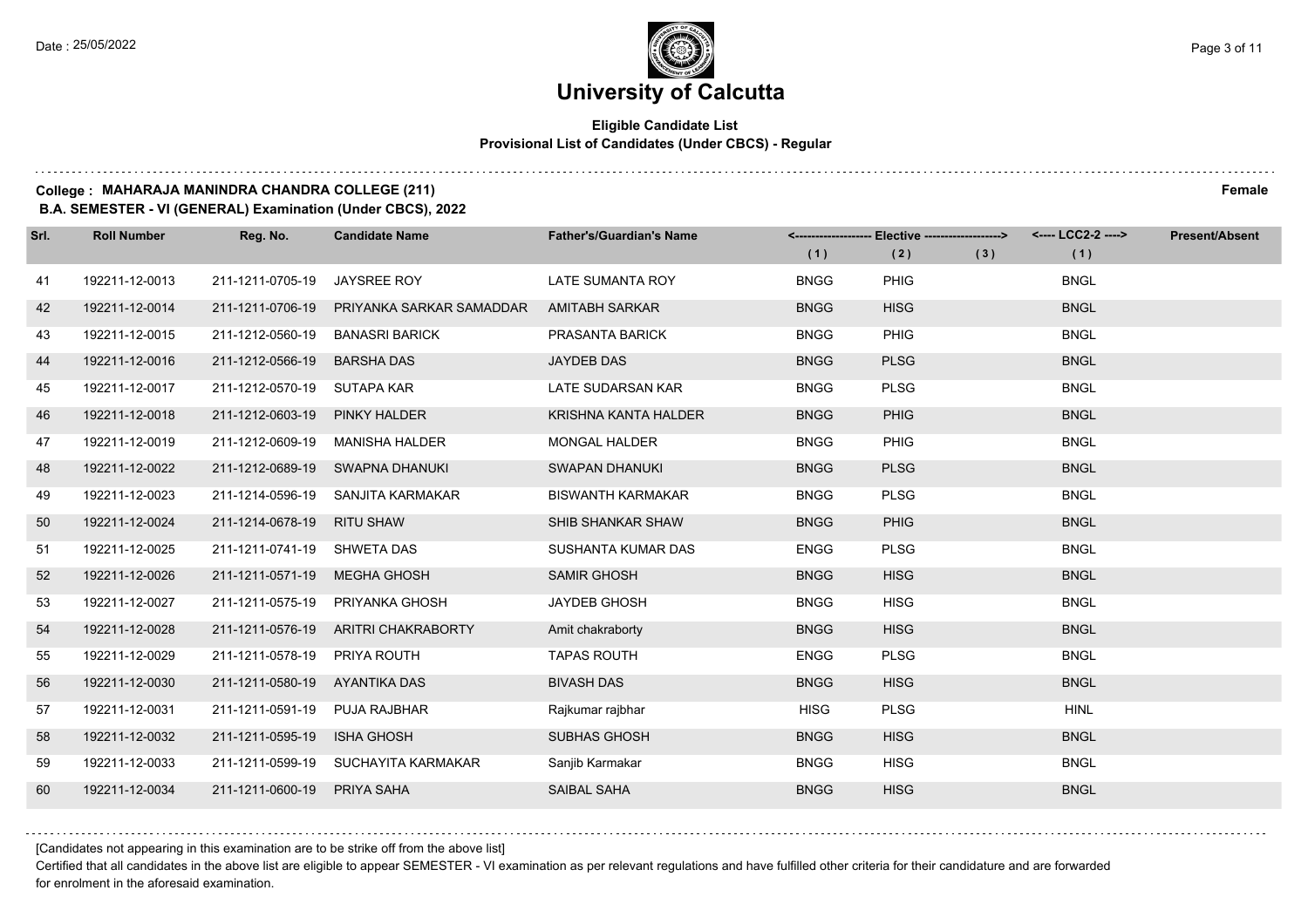#### **Eligible Candidate List Provisional List of Candidates (Under CBCS) - Regular**

#### **College : MAHARAJA MANINDRA CHANDRA COLLEGE (211) Female**

**B.A. SEMESTER - VI (GENERAL) Examination (Under CBCS), 2022**

| Srl. | <b>Roll Number</b> | Reg. No.                    | <b>Candidate Name</b>    | <b>Father's/Guardian's Name</b> | (1)         | <------------------- Elective ------------------><br>(2) | (3) | <---- LCC2-2 ----><br>(1) | <b>Present/Absent</b> |
|------|--------------------|-----------------------------|--------------------------|---------------------------------|-------------|----------------------------------------------------------|-----|---------------------------|-----------------------|
| 41   | 192211-12-0013     | 211-1211-0705-19            | <b>JAYSREE ROY</b>       | LATE SUMANTA ROY                | <b>BNGG</b> | <b>PHIG</b>                                              |     | <b>BNGL</b>               |                       |
| 42   | 192211-12-0014     | 211-1211-0706-19            | PRIYANKA SARKAR SAMADDAR | <b>AMITABH SARKAR</b>           | <b>BNGG</b> | <b>HISG</b>                                              |     | <b>BNGL</b>               |                       |
| 43   | 192211-12-0015     | 211-1212-0560-19            | <b>BANASRI BARICK</b>    | PRASANTA BARICK                 | <b>BNGG</b> | <b>PHIG</b>                                              |     | <b>BNGL</b>               |                       |
| 44   | 192211-12-0016     | 211-1212-0566-19            | <b>BARSHA DAS</b>        | JAYDEB DAS                      | <b>BNGG</b> | <b>PLSG</b>                                              |     | <b>BNGL</b>               |                       |
| 45   | 192211-12-0017     | 211-1212-0570-19            | SUTAPA KAR               | LATE SUDARSAN KAR               | <b>BNGG</b> | <b>PLSG</b>                                              |     | <b>BNGL</b>               |                       |
| 46   | 192211-12-0018     | 211-1212-0603-19            | PINKY HALDER             | <b>KRISHNA KANTA HALDER</b>     | <b>BNGG</b> | <b>PHIG</b>                                              |     | <b>BNGL</b>               |                       |
| 47   | 192211-12-0019     | 211-1212-0609-19            | <b>MANISHA HALDER</b>    | <b>MONGAL HALDER</b>            | <b>BNGG</b> | <b>PHIG</b>                                              |     | <b>BNGL</b>               |                       |
| 48   | 192211-12-0022     | 211-1212-0689-19            | SWAPNA DHANUKI           | <b>SWAPAN DHANUKI</b>           | <b>BNGG</b> | <b>PLSG</b>                                              |     | <b>BNGL</b>               |                       |
| 49   | 192211-12-0023     | 211-1214-0596-19            | SANJITA KARMAKAR         | <b>BISWANTH KARMAKAR</b>        | <b>BNGG</b> | <b>PLSG</b>                                              |     | <b>BNGL</b>               |                       |
| 50   | 192211-12-0024     | 211-1214-0678-19            | <b>RITU SHAW</b>         | SHIB SHANKAR SHAW               | <b>BNGG</b> | PHIG                                                     |     | <b>BNGL</b>               |                       |
| 51   | 192211-12-0025     | 211-1211-0741-19 SHWETA DAS |                          | SUSHANTA KUMAR DAS              | <b>ENGG</b> | <b>PLSG</b>                                              |     | <b>BNGL</b>               |                       |
| 52   | 192211-12-0026     | 211-1211-0571-19            | <b>MEGHA GHOSH</b>       | <b>SAMIR GHOSH</b>              | <b>BNGG</b> | <b>HISG</b>                                              |     | <b>BNGL</b>               |                       |
| 53   | 192211-12-0027     | 211-1211-0575-19            | PRIYANKA GHOSH           | <b>JAYDEB GHOSH</b>             | <b>BNGG</b> | <b>HISG</b>                                              |     | <b>BNGL</b>               |                       |
| 54   | 192211-12-0028     | 211-1211-0576-19            | ARITRI CHAKRABORTY       | Amit chakraborty                | <b>BNGG</b> | <b>HISG</b>                                              |     | <b>BNGL</b>               |                       |
| 55   | 192211-12-0029     | 211-1211-0578-19            | PRIYA ROUTH              | <b>TAPAS ROUTH</b>              | <b>ENGG</b> | <b>PLSG</b>                                              |     | <b>BNGL</b>               |                       |
| 56   | 192211-12-0030     | 211-1211-0580-19            | AYANTIKA DAS             | <b>BIVASH DAS</b>               | <b>BNGG</b> | <b>HISG</b>                                              |     | <b>BNGL</b>               |                       |
| 57   | 192211-12-0031     | 211-1211-0591-19            | <b>PUJA RAJBHAR</b>      | Rajkumar rajbhar                | <b>HISG</b> | <b>PLSG</b>                                              |     | <b>HINL</b>               |                       |
| 58   | 192211-12-0032     | 211-1211-0595-19            | ISHA GHOSH               | <b>SUBHAS GHOSH</b>             | <b>BNGG</b> | <b>HISG</b>                                              |     | <b>BNGL</b>               |                       |
| 59   | 192211-12-0033     | 211-1211-0599-19            | SUCHAYITA KARMAKAR       | Sanjib Karmakar                 | <b>BNGG</b> | <b>HISG</b>                                              |     | <b>BNGL</b>               |                       |
| 60   | 192211-12-0034     | 211-1211-0600-19            | PRIYA SAHA               | <b>SAIBAL SAHA</b>              | <b>BNGG</b> | <b>HISG</b>                                              |     | <b>BNGL</b>               |                       |

[Candidates not appearing in this examination are to be strike off from the above list]

Certified that all candidates in the above list are eligible to appear SEMESTER - VI examination as per relevant regulations and have fulfilled other criteria for their candidature and are forwarded for enrolment in the aforesaid examination.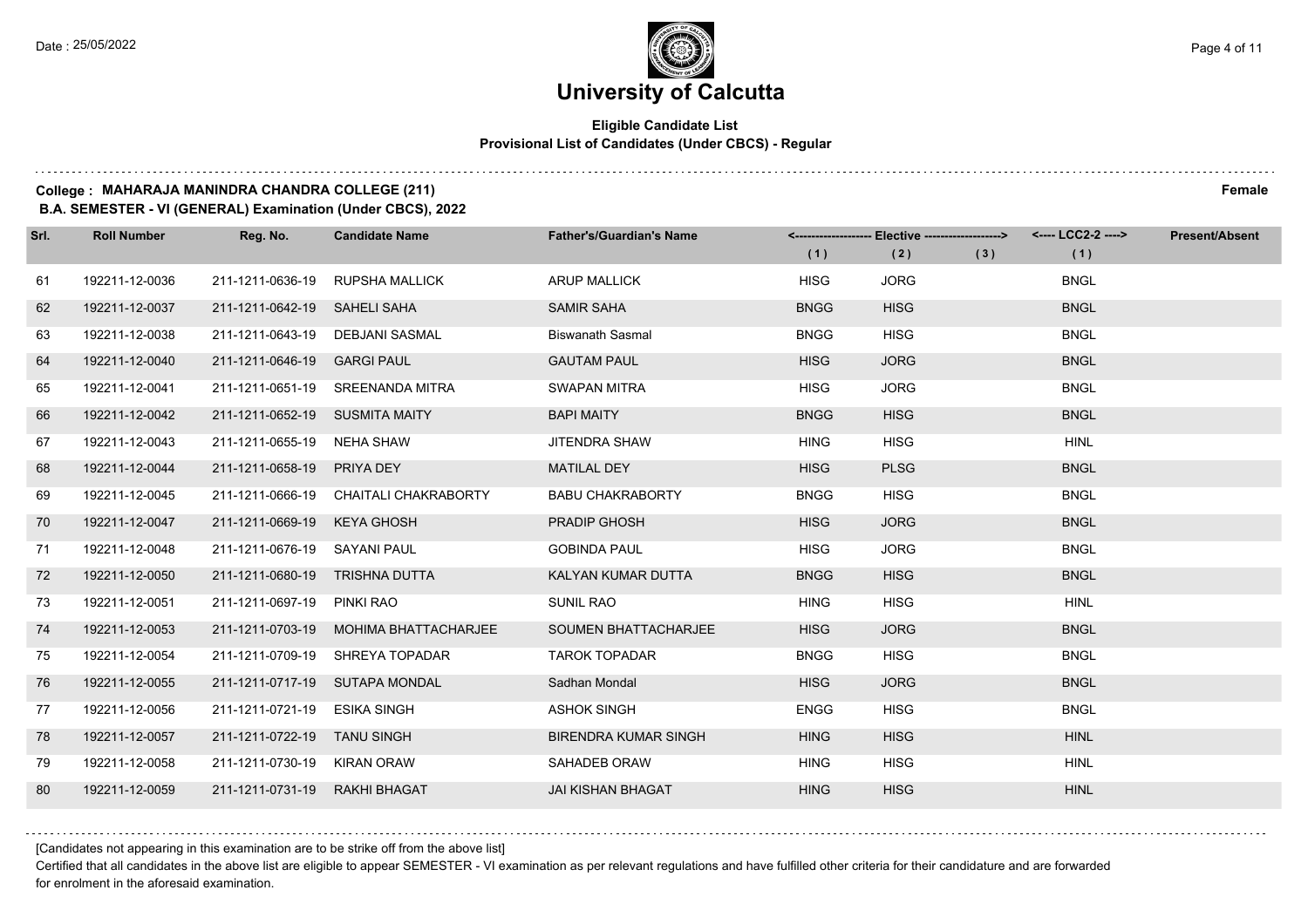### **University of Calcutta**

#### **Eligible Candidate List Provisional List of Candidates (Under CBCS) - Regular**

#### **College : MAHARAJA MANINDRA CHANDRA COLLEGE (211) Female**

**B.A. SEMESTER - VI (GENERAL) Examination (Under CBCS), 2022**

| Srl. | <b>Roll Number</b> | Reg. No.                       | <b>Candidate Name</b>                 | <b>Father's/Guardian's Name</b> | (1)         | <------------------- Elective ------------------><br>(2) | (3) | <---- LCC2-2 ----><br>(1) | <b>Present/Absent</b> |
|------|--------------------|--------------------------------|---------------------------------------|---------------------------------|-------------|----------------------------------------------------------|-----|---------------------------|-----------------------|
| 61   | 192211-12-0036     | 211-1211-0636-19               | <b>RUPSHA MALLICK</b>                 | <b>ARUP MALLICK</b>             | <b>HISG</b> | <b>JORG</b>                                              |     | <b>BNGL</b>               |                       |
| 62   | 192211-12-0037     | 211-1211-0642-19 SAHELI SAHA   |                                       | <b>SAMIR SAHA</b>               | <b>BNGG</b> | <b>HISG</b>                                              |     | <b>BNGL</b>               |                       |
| 63   | 192211-12-0038     |                                | 211-1211-0643-19 DEBJANI SASMAL       | <b>Biswanath Sasmal</b>         | <b>BNGG</b> | <b>HISG</b>                                              |     | <b>BNGL</b>               |                       |
| 64   | 192211-12-0040     | 211-1211-0646-19 GARGI PAUL    |                                       | <b>GAUTAM PAUL</b>              | <b>HISG</b> | <b>JORG</b>                                              |     | <b>BNGL</b>               |                       |
| 65   | 192211-12-0041     |                                | 211-1211-0651-19 SREENANDA MITRA      | <b>SWAPAN MITRA</b>             | <b>HISG</b> | <b>JORG</b>                                              |     | <b>BNGL</b>               |                       |
| 66   | 192211-12-0042     | 211-1211-0652-19 SUSMITA MAITY |                                       | <b>BAPI MAITY</b>               | <b>BNGG</b> | <b>HISG</b>                                              |     | <b>BNGL</b>               |                       |
| 67   | 192211-12-0043     | 211-1211-0655-19 NEHA SHAW     |                                       | JITENDRA SHAW                   | <b>HING</b> | <b>HISG</b>                                              |     | <b>HINL</b>               |                       |
| 68   | 192211-12-0044     | 211-1211-0658-19 PRIYA DEY     |                                       | <b>MATILAL DEY</b>              | <b>HISG</b> | <b>PLSG</b>                                              |     | <b>BNGL</b>               |                       |
| 69   | 192211-12-0045     |                                | 211-1211-0666-19 CHAITALI CHAKRABORTY | <b>BABU CHAKRABORTY</b>         | <b>BNGG</b> | <b>HISG</b>                                              |     | <b>BNGL</b>               |                       |
| 70   | 192211-12-0047     | 211-1211-0669-19 KEYA GHOSH    |                                       | PRADIP GHOSH                    | <b>HISG</b> | <b>JORG</b>                                              |     | <b>BNGL</b>               |                       |
| 71   | 192211-12-0048     | 211-1211-0676-19 SAYANI PAUL   |                                       | <b>GOBINDA PAUL</b>             | <b>HISG</b> | <b>JORG</b>                                              |     | <b>BNGL</b>               |                       |
| 72   | 192211-12-0050     | 211-1211-0680-19 TRISHNA DUTTA |                                       | KALYAN KUMAR DUTTA              | <b>BNGG</b> | <b>HISG</b>                                              |     | <b>BNGL</b>               |                       |
| 73   | 192211-12-0051     | 211-1211-0697-19               | PINKI RAO                             | <b>SUNIL RAO</b>                | <b>HING</b> | <b>HISG</b>                                              |     | <b>HINL</b>               |                       |
| 74   | 192211-12-0053     |                                | 211-1211-0703-19 MOHIMA BHATTACHARJEE | <b>SOUMEN BHATTACHARJEE</b>     | <b>HISG</b> | <b>JORG</b>                                              |     | <b>BNGL</b>               |                       |
| 75   | 192211-12-0054     |                                | 211-1211-0709-19 SHREYA TOPADAR       | <b>TAROK TOPADAR</b>            | <b>BNGG</b> | <b>HISG</b>                                              |     | <b>BNGL</b>               |                       |
| 76   | 192211-12-0055     |                                | 211-1211-0717-19 SUTAPA MONDAL        | Sadhan Mondal                   | <b>HISG</b> | <b>JORG</b>                                              |     | <b>BNGL</b>               |                       |
| 77   | 192211-12-0056     | 211-1211-0721-19               | <b>ESIKA SINGH</b>                    | <b>ASHOK SINGH</b>              | <b>ENGG</b> | <b>HISG</b>                                              |     | <b>BNGL</b>               |                       |
| 78   | 192211-12-0057     | 211-1211-0722-19               | <b>TANU SINGH</b>                     | <b>BIRENDRA KUMAR SINGH</b>     | <b>HING</b> | <b>HISG</b>                                              |     | <b>HINL</b>               |                       |
| 79   | 192211-12-0058     | 211-1211-0730-19 KIRAN ORAW    |                                       | SAHADEB ORAW                    | <b>HING</b> | <b>HISG</b>                                              |     | <b>HINL</b>               |                       |
| 80   | 192211-12-0059     | 211-1211-0731-19               | RAKHI BHAGAT                          | <b>JAI KISHAN BHAGAT</b>        | <b>HING</b> | <b>HISG</b>                                              |     | <b>HINL</b>               |                       |

[Candidates not appearing in this examination are to be strike off from the above list]

Certified that all candidates in the above list are eligible to appear SEMESTER - VI examination as per relevant regulations and have fulfilled other criteria for their candidature and are forwarded for enrolment in the aforesaid examination.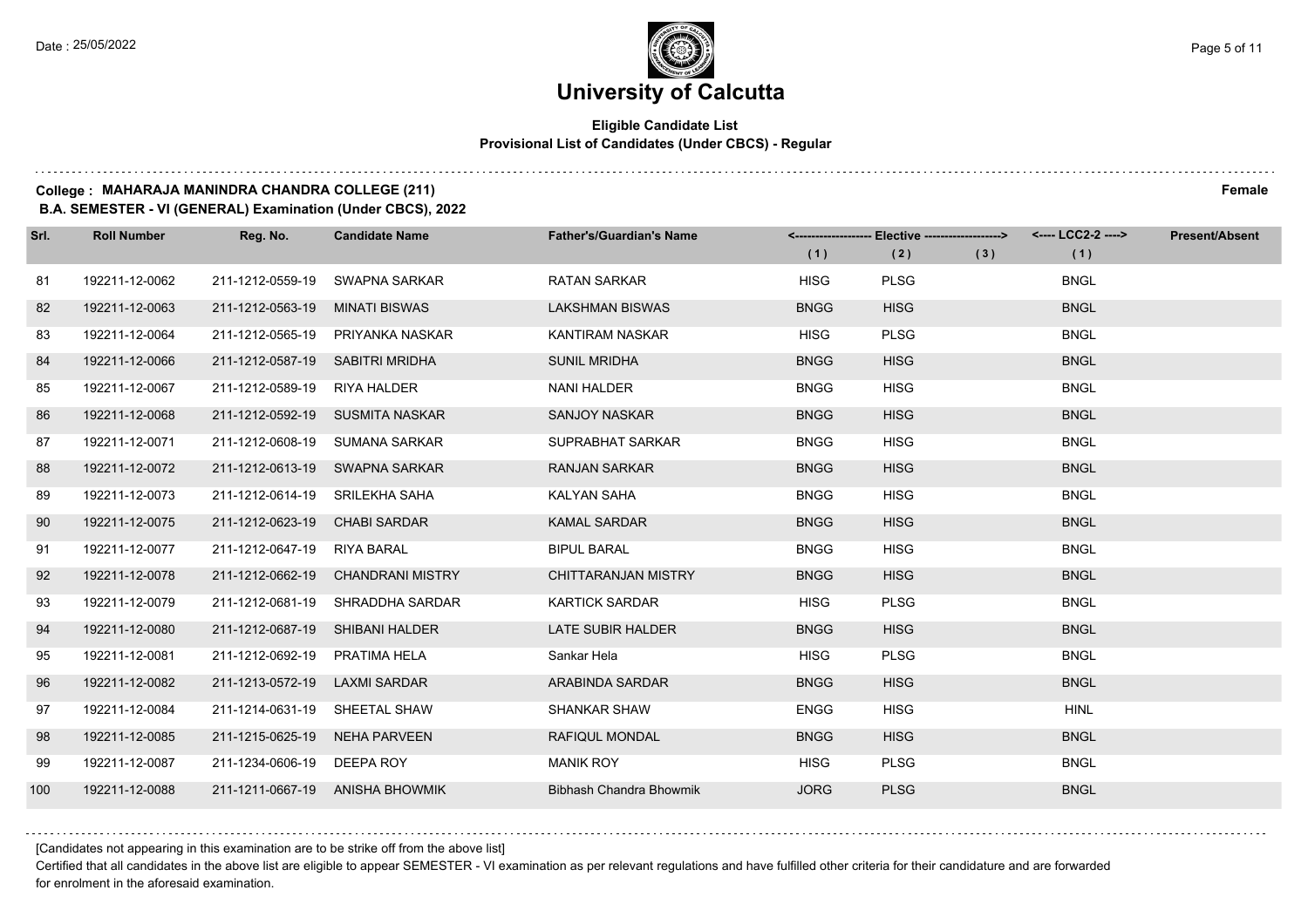#### **Eligible Candidate List Provisional List of Candidates (Under CBCS) - Regular**

**College : MAHARAJA MANINDRA CHANDRA COLLEGE (211) Female**

**B.A. SEMESTER - VI (GENERAL) Examination (Under CBCS), 2022**

| Srl. | <b>Roll Number</b> | Reg. No.                        | <b>Candidate Name</b>             | <b>Father's/Guardian's Name</b> |             | <------------------- Elective -------------------> |     | <---- LCC2-2 ----> | <b>Present/Absent</b> |
|------|--------------------|---------------------------------|-----------------------------------|---------------------------------|-------------|----------------------------------------------------|-----|--------------------|-----------------------|
|      |                    |                                 |                                   |                                 | (1)         | (2)                                                | (3) | (1)                |                       |
| 81   | 192211-12-0062     | 211-1212-0559-19                | SWAPNA SARKAR                     | <b>RATAN SARKAR</b>             | <b>HISG</b> | <b>PLSG</b>                                        |     | <b>BNGL</b>        |                       |
| 82   | 192211-12-0063     | 211-1212-0563-19                | <b>MINATI BISWAS</b>              | <b>LAKSHMAN BISWAS</b>          | <b>BNGG</b> | <b>HISG</b>                                        |     | <b>BNGL</b>        |                       |
| 83   | 192211-12-0064     | 211-1212-0565-19                | PRIYANKA NASKAR                   | KANTIRAM NASKAR                 | <b>HISG</b> | <b>PLSG</b>                                        |     | <b>BNGL</b>        |                       |
| 84   | 192211-12-0066     | 211-1212-0587-19 SABITRI MRIDHA |                                   | <b>SUNIL MRIDHA</b>             | <b>BNGG</b> | <b>HISG</b>                                        |     | <b>BNGL</b>        |                       |
| 85   | 192211-12-0067     | 211-1212-0589-19                | RIYA HALDER                       | <b>NANI HALDER</b>              | <b>BNGG</b> | <b>HISG</b>                                        |     | <b>BNGL</b>        |                       |
| 86   | 192211-12-0068     |                                 | 211-1212-0592-19 SUSMITA NASKAR   | <b>SANJOY NASKAR</b>            | <b>BNGG</b> | <b>HISG</b>                                        |     | <b>BNGL</b>        |                       |
| 87   | 192211-12-0071     |                                 | 211-1212-0608-19 SUMANA SARKAR    | SUPRABHAT SARKAR                | <b>BNGG</b> | <b>HISG</b>                                        |     | <b>BNGL</b>        |                       |
| 88   | 192211-12-0072     |                                 | 211-1212-0613-19 SWAPNA SARKAR    | <b>RANJAN SARKAR</b>            | <b>BNGG</b> | <b>HISG</b>                                        |     | <b>BNGL</b>        |                       |
| 89   | 192211-12-0073     | 211-1212-0614-19 SRILEKHA SAHA  |                                   | KALYAN SAHA                     | <b>BNGG</b> | <b>HISG</b>                                        |     | <b>BNGL</b>        |                       |
| 90   | 192211-12-0075     | 211-1212-0623-19                | <b>CHABI SARDAR</b>               | <b>KAMAL SARDAR</b>             | <b>BNGG</b> | <b>HISG</b>                                        |     | <b>BNGL</b>        |                       |
| 91   | 192211-12-0077     | 211-1212-0647-19                | RIYA BARAL                        | <b>BIPUL BARAL</b>              | <b>BNGG</b> | <b>HISG</b>                                        |     | <b>BNGL</b>        |                       |
| 92   | 192211-12-0078     |                                 | 211-1212-0662-19 CHANDRANI MISTRY | <b>CHITTARANJAN MISTRY</b>      | <b>BNGG</b> | <b>HISG</b>                                        |     | <b>BNGL</b>        |                       |
| 93   | 192211-12-0079     | 211-1212-0681-19                | SHRADDHA SARDAR                   | <b>KARTICK SARDAR</b>           | <b>HISG</b> | <b>PLSG</b>                                        |     | <b>BNGL</b>        |                       |
| 94   | 192211-12-0080     | 211-1212-0687-19                | SHIBANI HALDER                    | LATE SUBIR HALDER               | <b>BNGG</b> | <b>HISG</b>                                        |     | <b>BNGL</b>        |                       |
| 95   | 192211-12-0081     | 211-1212-0692-19                | PRATIMA HELA                      | Sankar Hela                     | <b>HISG</b> | <b>PLSG</b>                                        |     | <b>BNGL</b>        |                       |
| 96   | 192211-12-0082     | 211-1213-0572-19                | <b>LAXMI SARDAR</b>               | ARABINDA SARDAR                 | <b>BNGG</b> | <b>HISG</b>                                        |     | <b>BNGL</b>        |                       |
| 97   | 192211-12-0084     | 211-1214-0631-19 SHEETAL SHAW   |                                   | SHANKAR SHAW                    | <b>ENGG</b> | <b>HISG</b>                                        |     | <b>HINL</b>        |                       |
| 98   | 192211-12-0085     | 211-1215-0625-19 NEHA PARVEEN   |                                   | RAFIQUL MONDAL                  | <b>BNGG</b> | <b>HISG</b>                                        |     | <b>BNGL</b>        |                       |
| 99   | 192211-12-0087     | 211-1234-0606-19 DEEPA ROY      |                                   | <b>MANIK ROY</b>                | <b>HISG</b> | <b>PLSG</b>                                        |     | <b>BNGL</b>        |                       |
| 100  | 192211-12-0088     |                                 | 211-1211-0667-19 ANISHA BHOWMIK   | Bibhash Chandra Bhowmik         | <b>JORG</b> | <b>PLSG</b>                                        |     | <b>BNGL</b>        |                       |

[Candidates not appearing in this examination are to be strike off from the above list]

Certified that all candidates in the above list are eligible to appear SEMESTER - VI examination as per relevant regulations and have fulfilled other criteria for their candidature and are forwarded for enrolment in the aforesaid examination.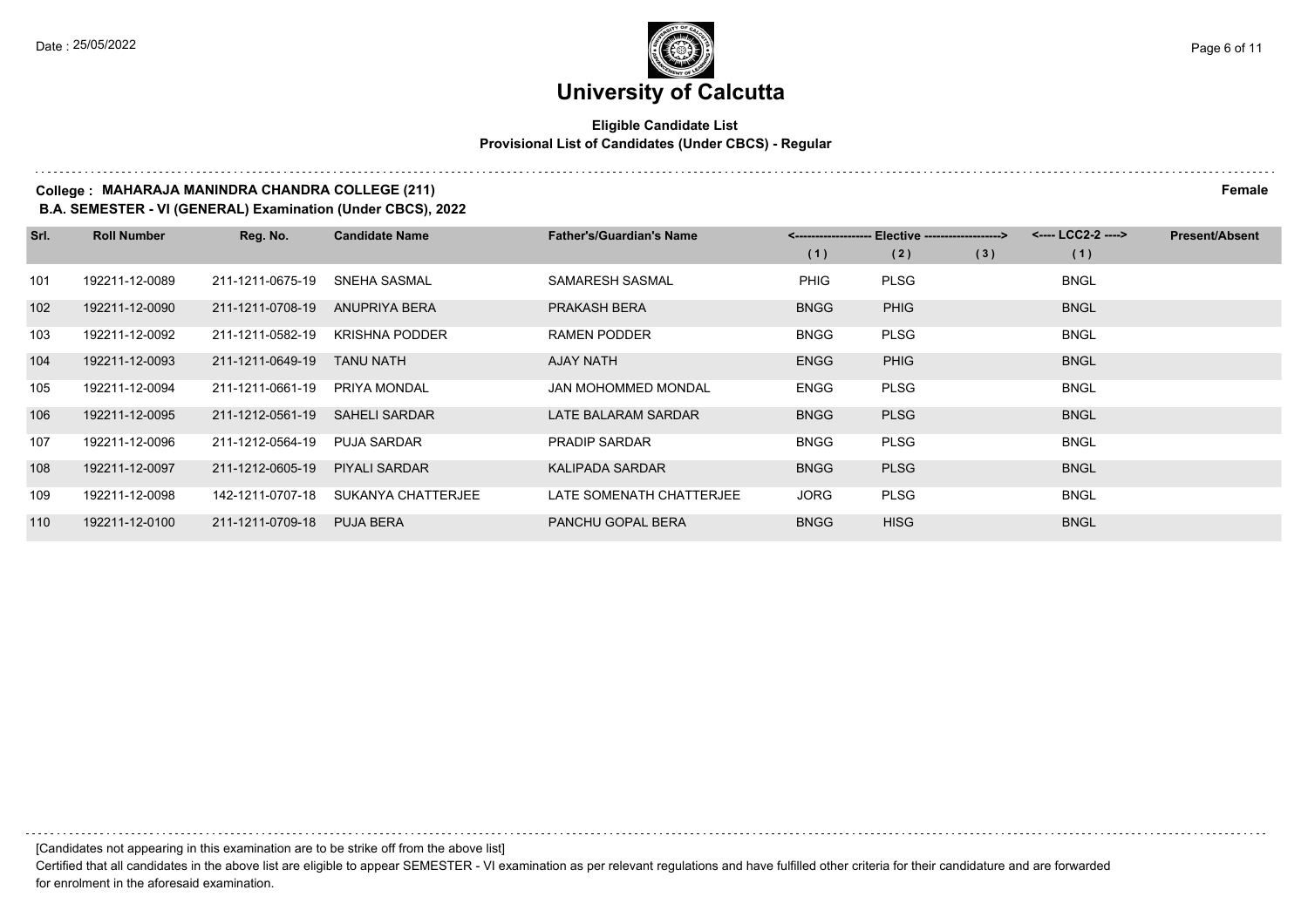#### **Eligible Candidate List Provisional List of Candidates (Under CBCS) - Regular**

#### **College : MAHARAJA MANINDRA CHANDRA COLLEGE (211) Female**

**B.A. SEMESTER - VI (GENERAL) Examination (Under CBCS), 2022**

| Srl. | <b>Roll Number</b> | Reg. No.         | <b>Candidate Name</b> | <b>Father's/Guardian's Name</b> |             | Elective -------------------> |     | <---- LCC2-2 ----> | <b>Present/Absent</b> |
|------|--------------------|------------------|-----------------------|---------------------------------|-------------|-------------------------------|-----|--------------------|-----------------------|
|      |                    |                  |                       |                                 | (1)         | (2)                           | (3) | (1)                |                       |
| 101  | 192211-12-0089     | 211-1211-0675-19 | <b>SNEHA SASMAL</b>   | SAMARESH SASMAL                 | <b>PHIG</b> | <b>PLSG</b>                   |     | <b>BNGL</b>        |                       |
| 102  | 192211-12-0090     | 211-1211-0708-19 | <b>ANUPRIYA BERA</b>  | <b>PRAKASH BERA</b>             | <b>BNGG</b> | <b>PHIG</b>                   |     | <b>BNGL</b>        |                       |
| 103  | 192211-12-0092     | 211-1211-0582-19 | <b>KRISHNA PODDER</b> | <b>RAMEN PODDER</b>             | <b>BNGG</b> | <b>PLSG</b>                   |     | <b>BNGL</b>        |                       |
| 104  | 192211-12-0093     | 211-1211-0649-19 | <b>TANU NATH</b>      | AJAY NATH                       | <b>ENGG</b> | <b>PHIG</b>                   |     | <b>BNGL</b>        |                       |
| 105  | 192211-12-0094     | 211-1211-0661-19 | PRIYA MONDAL          | <b>JAN MOHOMMED MONDAL</b>      | <b>ENGG</b> | <b>PLSG</b>                   |     | <b>BNGL</b>        |                       |
| 106  | 192211-12-0095     | 211-1212-0561-19 | <b>SAHELI SARDAR</b>  | LATE BALARAM SARDAR             | <b>BNGG</b> | <b>PLSG</b>                   |     | <b>BNGL</b>        |                       |
| 107  | 192211-12-0096     | 211-1212-0564-19 | <b>PUJA SARDAR</b>    | <b>PRADIP SARDAR</b>            | <b>BNGG</b> | <b>PLSG</b>                   |     | <b>BNGL</b>        |                       |
| 108  | 192211-12-0097     | 211-1212-0605-19 | <b>PIYALI SARDAR</b>  | <b>KALIPADA SARDAR</b>          | <b>BNGG</b> | <b>PLSG</b>                   |     | <b>BNGL</b>        |                       |
| 109  | 192211-12-0098     | 142-1211-0707-18 | SUKANYA CHATTERJEE    | LATE SOMENATH CHATTERJEE        | <b>JORG</b> | <b>PLSG</b>                   |     | <b>BNGL</b>        |                       |
| 110  | 192211-12-0100     | 211-1211-0709-18 | PUJA BERA             | PANCHU GOPAL BERA               | <b>BNGG</b> | <b>HISG</b>                   |     | <b>BNGL</b>        |                       |

[Candidates not appearing in this examination are to be strike off from the above list]

Certified that all candidates in the above list are eligible to appear SEMESTER - VI examination as per relevant regulations and have fulfilled other criteria for their candidature and are forwarded for enrolment in the aforesaid examination.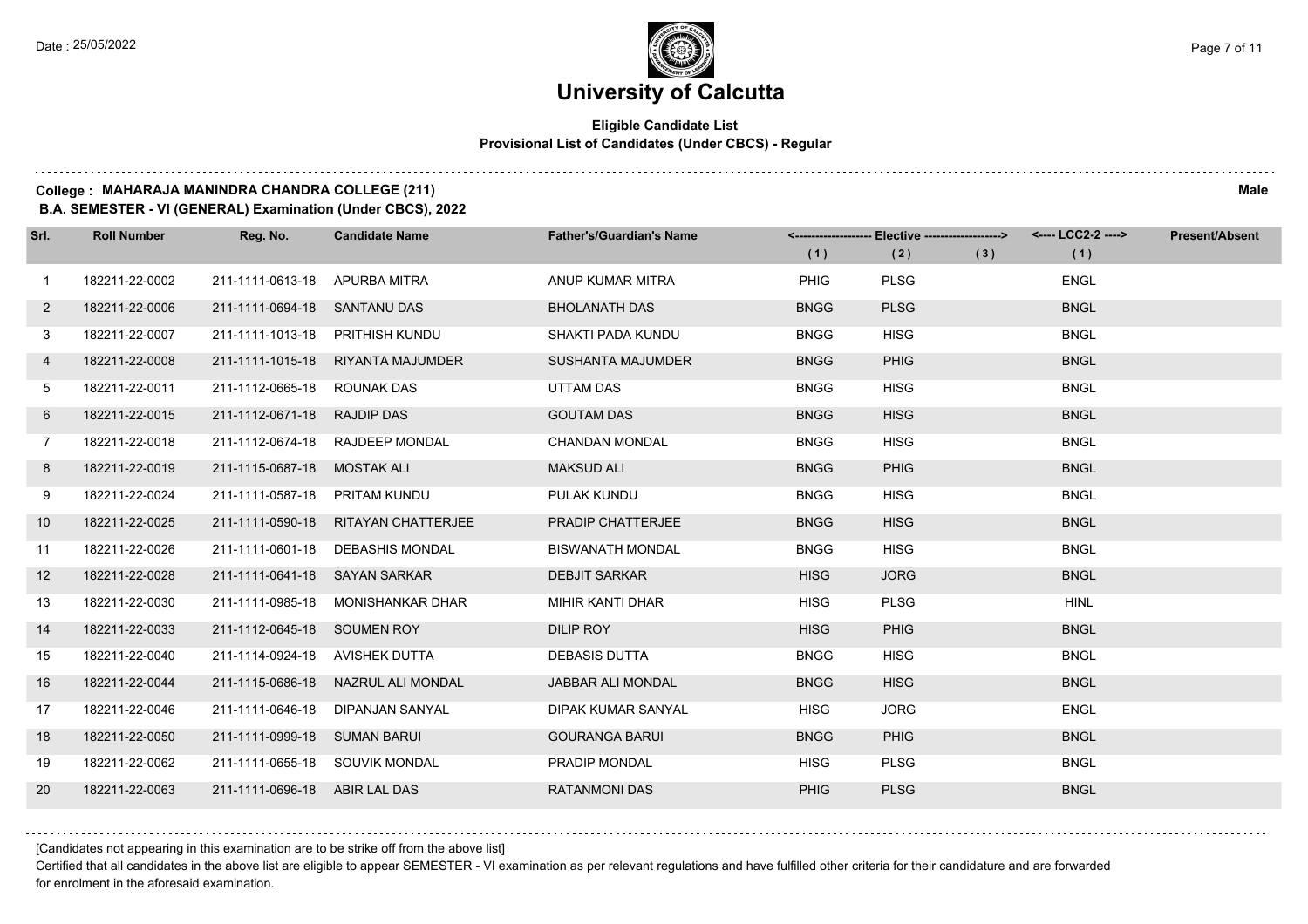#### **Eligible Candidate List Provisional List of Candidates (Under CBCS) - Regular**

#### **College : MAHARAJA MANINDRA CHANDRA COLLEGE (211) Male**

**B.A. SEMESTER - VI (GENERAL) Examination (Under CBCS), 2022**

| Srl.         | <b>Roll Number</b> | Reg. No.                       | <b>Candidate Name</b>               | <b>Father's/Guardian's Name</b> | (1)         | <-------------------- Elective -------------------><br>(2) | (3) | <---- LCC2-2 ----><br>(1) | <b>Present/Absent</b> |
|--------------|--------------------|--------------------------------|-------------------------------------|---------------------------------|-------------|------------------------------------------------------------|-----|---------------------------|-----------------------|
| $\mathbf 1$  | 182211-22-0002     | 211-1111-0613-18 APURBA MITRA  |                                     | ANUP KUMAR MITRA                | <b>PHIG</b> | <b>PLSG</b>                                                |     | <b>ENGL</b>               |                       |
| $\mathbf{2}$ | 182211-22-0006     | 211-1111-0694-18 SANTANU DAS   |                                     | <b>BHOLANATH DAS</b>            | <b>BNGG</b> | <b>PLSG</b>                                                |     | <b>BNGL</b>               |                       |
| 3            | 182211-22-0007     |                                | 211-1111-1013-18 PRITHISH KUNDU     | SHAKTI PADA KUNDU               | <b>BNGG</b> | <b>HISG</b>                                                |     | <b>BNGL</b>               |                       |
| 4            | 182211-22-0008     |                                | 211-1111-1015-18 RIYANTA MAJUMDER   | <b>SUSHANTA MAJUMDER</b>        | <b>BNGG</b> | <b>PHIG</b>                                                |     | <b>BNGL</b>               |                       |
| 5            | 182211-22-0011     | 211-1112-0665-18 ROUNAK DAS    |                                     | <b>UTTAM DAS</b>                | <b>BNGG</b> | <b>HISG</b>                                                |     | <b>BNGL</b>               |                       |
| 6            | 182211-22-0015     | 211-1112-0671-18 RAJDIP DAS    |                                     | <b>GOUTAM DAS</b>               | <b>BNGG</b> | <b>HISG</b>                                                |     | <b>BNGL</b>               |                       |
| $7^{\circ}$  | 182211-22-0018     |                                | 211-1112-0674-18 RAJDEEP MONDAL     | <b>CHANDAN MONDAL</b>           | <b>BNGG</b> | <b>HISG</b>                                                |     | <b>BNGL</b>               |                       |
| 8            | 182211-22-0019     | 211-1115-0687-18 MOSTAK ALI    |                                     | <b>MAKSUD ALI</b>               | <b>BNGG</b> | <b>PHIG</b>                                                |     | <b>BNGL</b>               |                       |
| 9            | 182211-22-0024     | 211-1111-0587-18 PRITAM KUNDU  |                                     | PULAK KUNDU                     | <b>BNGG</b> | <b>HISG</b>                                                |     | <b>BNGL</b>               |                       |
| 10           | 182211-22-0025     |                                | 211-1111-0590-18 RITAYAN CHATTERJEE | <b>PRADIP CHATTERJEE</b>        | <b>BNGG</b> | <b>HISG</b>                                                |     | <b>BNGL</b>               |                       |
| 11           | 182211-22-0026     |                                | 211-1111-0601-18 DEBASHIS MONDAL    | <b>BISWANATH MONDAL</b>         | <b>BNGG</b> | <b>HISG</b>                                                |     | <b>BNGL</b>               |                       |
| 12           | 182211-22-0028     | 211-1111-0641-18 SAYAN SARKAR  |                                     | <b>DEBJIT SARKAR</b>            | <b>HISG</b> | <b>JORG</b>                                                |     | <b>BNGL</b>               |                       |
| 13           | 182211-22-0030     |                                | 211-1111-0985-18 MONISHANKAR DHAR   | MIHIR KANTI DHAR                | <b>HISG</b> | <b>PLSG</b>                                                |     | <b>HINL</b>               |                       |
| 14           | 182211-22-0033     | 211-1112-0645-18 SOUMEN ROY    |                                     | <b>DILIP ROY</b>                | <b>HISG</b> | <b>PHIG</b>                                                |     | <b>BNGL</b>               |                       |
| 15           | 182211-22-0040     | 211-1114-0924-18 AVISHEK DUTTA |                                     | <b>DEBASIS DUTTA</b>            | <b>BNGG</b> | <b>HISG</b>                                                |     | <b>BNGL</b>               |                       |
| 16           | 182211-22-0044     |                                | 211-1115-0686-18 NAZRUL ALI MONDAL  | JABBAR ALI MONDAL               | <b>BNGG</b> | <b>HISG</b>                                                |     | <b>BNGL</b>               |                       |
| 17           | 182211-22-0046     | 211-1111-0646-18               | DIPANJAN SANYAL                     | DIPAK KUMAR SANYAL              | <b>HISG</b> | <b>JORG</b>                                                |     | <b>ENGL</b>               |                       |
| 18           | 182211-22-0050     | 211-1111-0999-18 SUMAN BARUI   |                                     | <b>GOURANGA BARUI</b>           | <b>BNGG</b> | <b>PHIG</b>                                                |     | <b>BNGL</b>               |                       |
| 19           | 182211-22-0062     |                                | 211-1111-0655-18 SOUVIK MONDAL      | PRADIP MONDAL                   | <b>HISG</b> | <b>PLSG</b>                                                |     | <b>BNGL</b>               |                       |
| 20           | 182211-22-0063     | 211-1111-0696-18 ABIR LAL DAS  |                                     | <b>RATANMONI DAS</b>            | <b>PHIG</b> | <b>PLSG</b>                                                |     | <b>BNGL</b>               |                       |

[Candidates not appearing in this examination are to be strike off from the above list]

Certified that all candidates in the above list are eligible to appear SEMESTER - VI examination as per relevant regulations and have fulfilled other criteria for their candidature and are forwarded for enrolment in the aforesaid examination.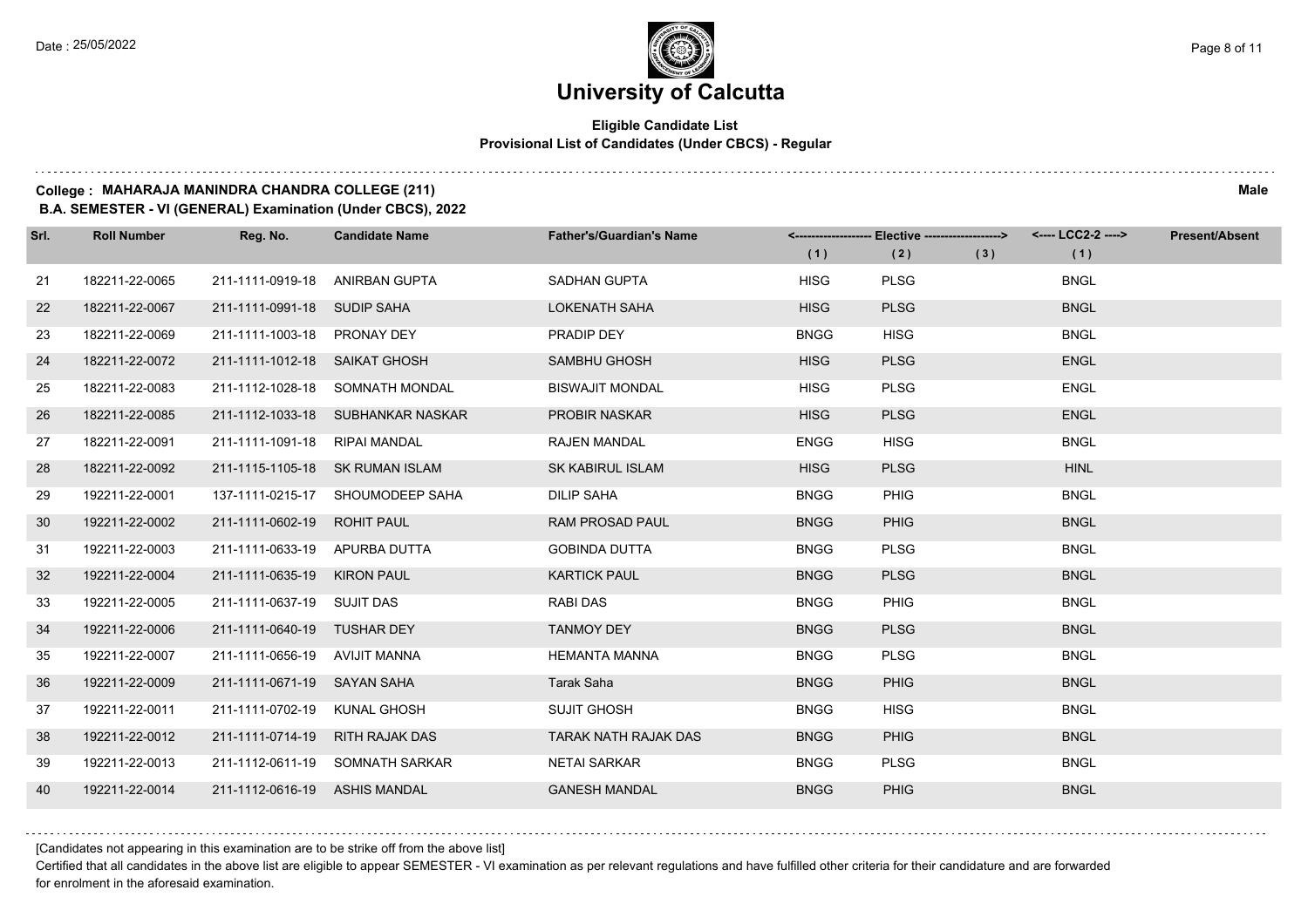#### **Eligible Candidate List Provisional List of Candidates (Under CBCS) - Regular**

#### **College : MAHARAJA MANINDRA CHANDRA COLLEGE (211) Male**

**B.A. SEMESTER - VI (GENERAL) Examination (Under CBCS), 2022**

| Srl. | <b>Roll Number</b> | Reg. No.                        | <b>Candidate Name</b>             | <b>Father's/Guardian's Name</b> | (1)         | <-------------------- Elective -------------------><br>(2) | (3) | (1)         | <b>Present/Absent</b> |
|------|--------------------|---------------------------------|-----------------------------------|---------------------------------|-------------|------------------------------------------------------------|-----|-------------|-----------------------|
| 21   | 182211-22-0065     | 211-1111-0919-18 ANIRBAN GUPTA  |                                   | SADHAN GUPTA                    | <b>HISG</b> | <b>PLSG</b>                                                |     | <b>BNGL</b> |                       |
| 22   | 182211-22-0067     | 211-1111-0991-18 SUDIP SAHA     |                                   | <b>LOKENATH SAHA</b>            | <b>HISG</b> | <b>PLSG</b>                                                |     | <b>BNGL</b> |                       |
| 23   | 182211-22-0069     | 211-1111-1003-18 PRONAY DEY     |                                   | PRADIP DEY                      | <b>BNGG</b> | <b>HISG</b>                                                |     | <b>BNGL</b> |                       |
| 24   | 182211-22-0072     | 211-1111-1012-18 SAIKAT GHOSH   |                                   | SAMBHU GHOSH                    | <b>HISG</b> | <b>PLSG</b>                                                |     | <b>ENGL</b> |                       |
| 25   | 182211-22-0083     |                                 | 211-1112-1028-18 SOMNATH MONDAL   | <b>BISWAJIT MONDAL</b>          | <b>HISG</b> | <b>PLSG</b>                                                |     | <b>ENGL</b> |                       |
| 26   | 182211-22-0085     |                                 | 211-1112-1033-18 SUBHANKAR NASKAR | PROBIR NASKAR                   | <b>HISG</b> | <b>PLSG</b>                                                |     | <b>ENGL</b> |                       |
| 27   | 182211-22-0091     | 211-1111-1091-18 RIPAI MANDAL   |                                   | <b>RAJEN MANDAL</b>             | <b>ENGG</b> | <b>HISG</b>                                                |     | <b>BNGL</b> |                       |
| 28   | 182211-22-0092     |                                 | 211-1115-1105-18 SK RUMAN ISLAM   | <b>SK KABIRUL ISLAM</b>         | <b>HISG</b> | <b>PLSG</b>                                                |     | <b>HINL</b> |                       |
| 29   | 192211-22-0001     |                                 | 137-1111-0215-17 SHOUMODEEP SAHA  | <b>DILIP SAHA</b>               | <b>BNGG</b> | <b>PHIG</b>                                                |     | <b>BNGL</b> |                       |
| 30   | 192211-22-0002     | 211-1111-0602-19 ROHIT PAUL     |                                   | <b>RAM PROSAD PAUL</b>          | <b>BNGG</b> | <b>PHIG</b>                                                |     | <b>BNGL</b> |                       |
| -31  | 192211-22-0003     | 211-1111-0633-19 APURBA DUTTA   |                                   | <b>GOBINDA DUTTA</b>            | <b>BNGG</b> | <b>PLSG</b>                                                |     | <b>BNGL</b> |                       |
| 32   | 192211-22-0004     | 211-1111-0635-19 KIRON PAUL     |                                   | <b>KARTICK PAUL</b>             | <b>BNGG</b> | <b>PLSG</b>                                                |     | <b>BNGL</b> |                       |
| 33   | 192211-22-0005     | 211-1111-0637-19 SUJIT DAS      |                                   | <b>RABI DAS</b>                 | <b>BNGG</b> | PHIG                                                       |     | <b>BNGL</b> |                       |
| 34   | 192211-22-0006     | 211-1111-0640-19 TUSHAR DEY     |                                   | <b>TANMOY DEY</b>               | <b>BNGG</b> | <b>PLSG</b>                                                |     | <b>BNGL</b> |                       |
| 35   | 192211-22-0007     | 211-1111-0656-19 AVIJIT MANNA   |                                   | <b>HEMANTA MANNA</b>            | <b>BNGG</b> | <b>PLSG</b>                                                |     | <b>BNGL</b> |                       |
| 36   | 192211-22-0009     | 211-1111-0671-19 SAYAN SAHA     |                                   | Tarak Saha                      | <b>BNGG</b> | <b>PHIG</b>                                                |     | <b>BNGL</b> |                       |
| 37   | 192211-22-0011     | 211-1111-0702-19 KUNAL GHOSH    |                                   | <b>SUJIT GHOSH</b>              | <b>BNGG</b> | <b>HISG</b>                                                |     | <b>BNGL</b> |                       |
| 38   | 192211-22-0012     | 211-1111-0714-19 RITH RAJAK DAS |                                   | <b>TARAK NATH RAJAK DAS</b>     | <b>BNGG</b> | <b>PHIG</b>                                                |     | <b>BNGL</b> |                       |
| 39   | 192211-22-0013     |                                 | 211-1112-0611-19 SOMNATH SARKAR   | <b>NETAI SARKAR</b>             | <b>BNGG</b> | <b>PLSG</b>                                                |     | <b>BNGL</b> |                       |
| 40   | 192211-22-0014     | 211-1112-0616-19 ASHIS MANDAL   |                                   | <b>GANESH MANDAL</b>            | <b>BNGG</b> | <b>PHIG</b>                                                |     | <b>BNGL</b> |                       |

[Candidates not appearing in this examination are to be strike off from the above list]

Certified that all candidates in the above list are eligible to appear SEMESTER - VI examination as per relevant regulations and have fulfilled other criteria for their candidature and are forwarded for enrolment in the aforesaid examination.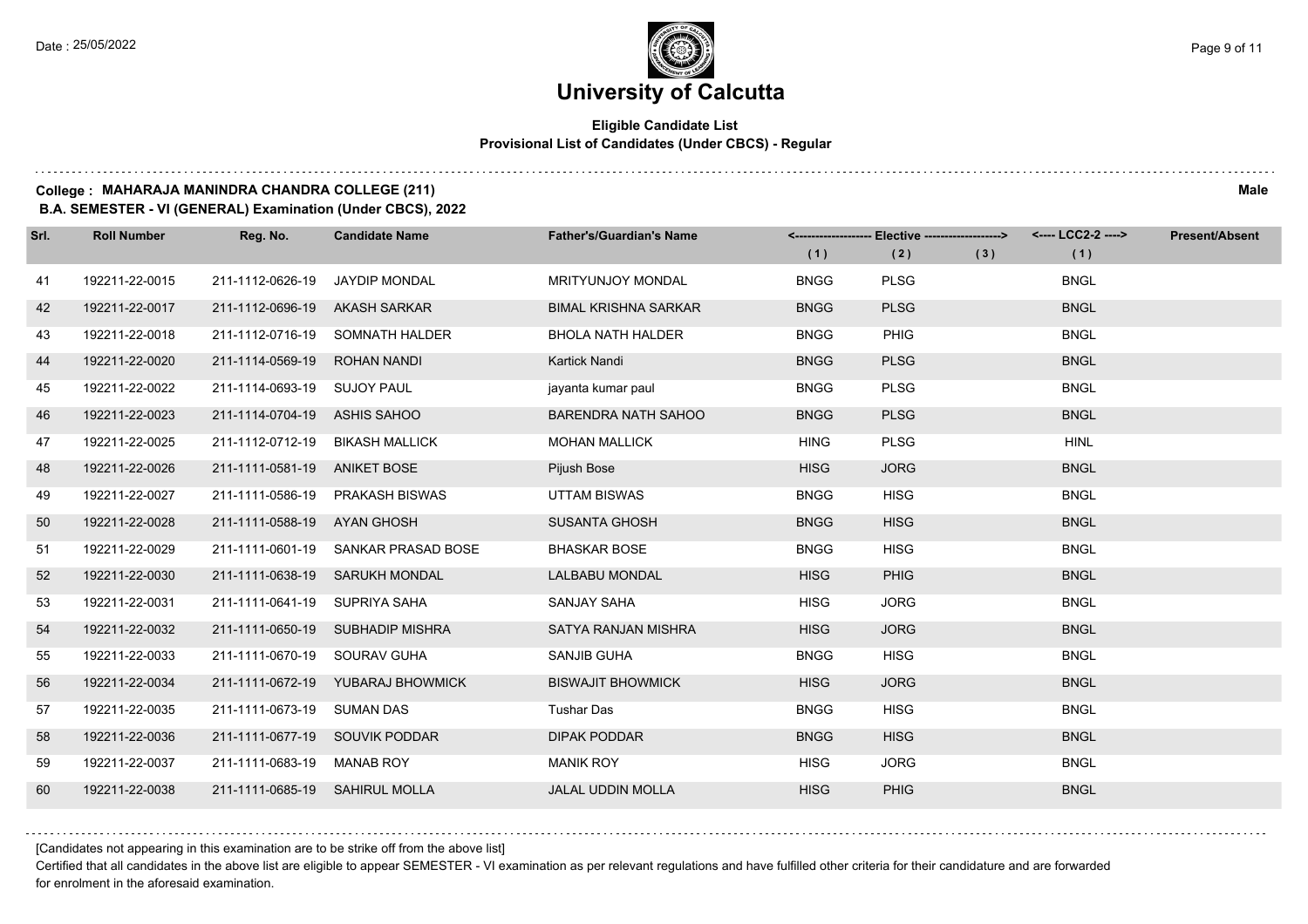#### **Eligible Candidate List Provisional List of Candidates (Under CBCS) - Regular**

#### **College : MAHARAJA MANINDRA CHANDRA COLLEGE (211) Male**

**B.A. SEMESTER - VI (GENERAL) Examination (Under CBCS), 2022**

| Srl. | <b>Roll Number</b> | Reg. No.                       | <b>Candidate Name</b>               | <b>Father's/Guardian's Name</b> | (1)         | <------------------- Elective ------------------><br>(2) | (3) | <---- LCC2-2 ----><br>(1) | <b>Present/Absent</b> |
|------|--------------------|--------------------------------|-------------------------------------|---------------------------------|-------------|----------------------------------------------------------|-----|---------------------------|-----------------------|
|      |                    |                                |                                     |                                 |             |                                                          |     |                           |                       |
| 41   | 192211-22-0015     | 211-1112-0626-19               | <b>JAYDIP MONDAL</b>                | <b>MRITYUNJOY MONDAL</b>        | <b>BNGG</b> | <b>PLSG</b>                                              |     | <b>BNGL</b>               |                       |
| 42   | 192211-22-0017     | 211-1112-0696-19               | AKASH SARKAR                        | <b>BIMAL KRISHNA SARKAR</b>     | <b>BNGG</b> | <b>PLSG</b>                                              |     | <b>BNGL</b>               |                       |
| 43   | 192211-22-0018     |                                | 211-1112-0716-19 SOMNATH HALDER     | <b>BHOLA NATH HALDER</b>        | <b>BNGG</b> | PHIG                                                     |     | <b>BNGL</b>               |                       |
| 44   | 192211-22-0020     | 211-1114-0569-19               | ROHAN NANDI                         | Kartick Nandi                   | <b>BNGG</b> | <b>PLSG</b>                                              |     | <b>BNGL</b>               |                       |
| 45   | 192211-22-0022     | 211-1114-0693-19 SUJOY PAUL    |                                     | jayanta kumar paul              | <b>BNGG</b> | <b>PLSG</b>                                              |     | <b>BNGL</b>               |                       |
| 46   | 192211-22-0023     | 211-1114-0704-19               | ASHIS SAHOO                         | <b>BARENDRA NATH SAHOO</b>      | <b>BNGG</b> | <b>PLSG</b>                                              |     | <b>BNGL</b>               |                       |
| 47   | 192211-22-0025     |                                | 211-1112-0712-19 BIKASH MALLICK     | <b>MOHAN MALLICK</b>            | <b>HING</b> | <b>PLSG</b>                                              |     | <b>HINL</b>               |                       |
| 48   | 192211-22-0026     | 211-1111-0581-19 ANIKET BOSE   |                                     | Pijush Bose                     | <b>HISG</b> | <b>JORG</b>                                              |     | <b>BNGL</b>               |                       |
| 49   | 192211-22-0027     |                                | 211-1111-0586-19 PRAKASH BISWAS     | <b>UTTAM BISWAS</b>             | <b>BNGG</b> | <b>HISG</b>                                              |     | <b>BNGL</b>               |                       |
| 50   | 192211-22-0028     | 211-1111-0588-19               | AYAN GHOSH                          | <b>SUSANTA GHOSH</b>            | <b>BNGG</b> | <b>HISG</b>                                              |     | <b>BNGL</b>               |                       |
| 51   | 192211-22-0029     |                                | 211-1111-0601-19 SANKAR PRASAD BOSE | <b>BHASKAR BOSE</b>             | <b>BNGG</b> | <b>HISG</b>                                              |     | <b>BNGL</b>               |                       |
| 52   | 192211-22-0030     |                                | 211-1111-0638-19 SARUKH MONDAL      | <b>LALBABU MONDAL</b>           | <b>HISG</b> | <b>PHIG</b>                                              |     | <b>BNGL</b>               |                       |
| 53   | 192211-22-0031     | 211-1111-0641-19 SUPRIYA SAHA  |                                     | SANJAY SAHA                     | <b>HISG</b> | <b>JORG</b>                                              |     | <b>BNGL</b>               |                       |
| 54   | 192211-22-0032     |                                | 211-1111-0650-19 SUBHADIP MISHRA    | <b>SATYA RANJAN MISHRA</b>      | <b>HISG</b> | <b>JORG</b>                                              |     | <b>BNGL</b>               |                       |
| 55   | 192211-22-0033     | 211-1111-0670-19 SOURAV GUHA   |                                     | SANJIB GUHA                     | <b>BNGG</b> | <b>HISG</b>                                              |     | <b>BNGL</b>               |                       |
| 56   | 192211-22-0034     |                                | 211-1111-0672-19 YUBARAJ BHOWMICK   | <b>BISWAJIT BHOWMICK</b>        | <b>HISG</b> | <b>JORG</b>                                              |     | <b>BNGL</b>               |                       |
| 57   | 192211-22-0035     | 211-1111-0673-19 SUMAN DAS     |                                     | <b>Tushar Das</b>               | <b>BNGG</b> | <b>HISG</b>                                              |     | <b>BNGL</b>               |                       |
| 58   | 192211-22-0036     |                                | 211-1111-0677-19 SOUVIK PODDAR      | <b>DIPAK PODDAR</b>             | <b>BNGG</b> | <b>HISG</b>                                              |     | <b>BNGL</b>               |                       |
| 59   | 192211-22-0037     | 211-1111-0683-19 MANAB ROY     |                                     | <b>MANIK ROY</b>                | <b>HISG</b> | <b>JORG</b>                                              |     | <b>BNGL</b>               |                       |
| 60   | 192211-22-0038     | 211-1111-0685-19 SAHIRUL MOLLA |                                     | <b>JALAL UDDIN MOLLA</b>        | <b>HISG</b> | <b>PHIG</b>                                              |     | <b>BNGL</b>               |                       |

[Candidates not appearing in this examination are to be strike off from the above list]

Certified that all candidates in the above list are eligible to appear SEMESTER - VI examination as per relevant regulations and have fulfilled other criteria for their candidature and are forwarded for enrolment in the aforesaid examination.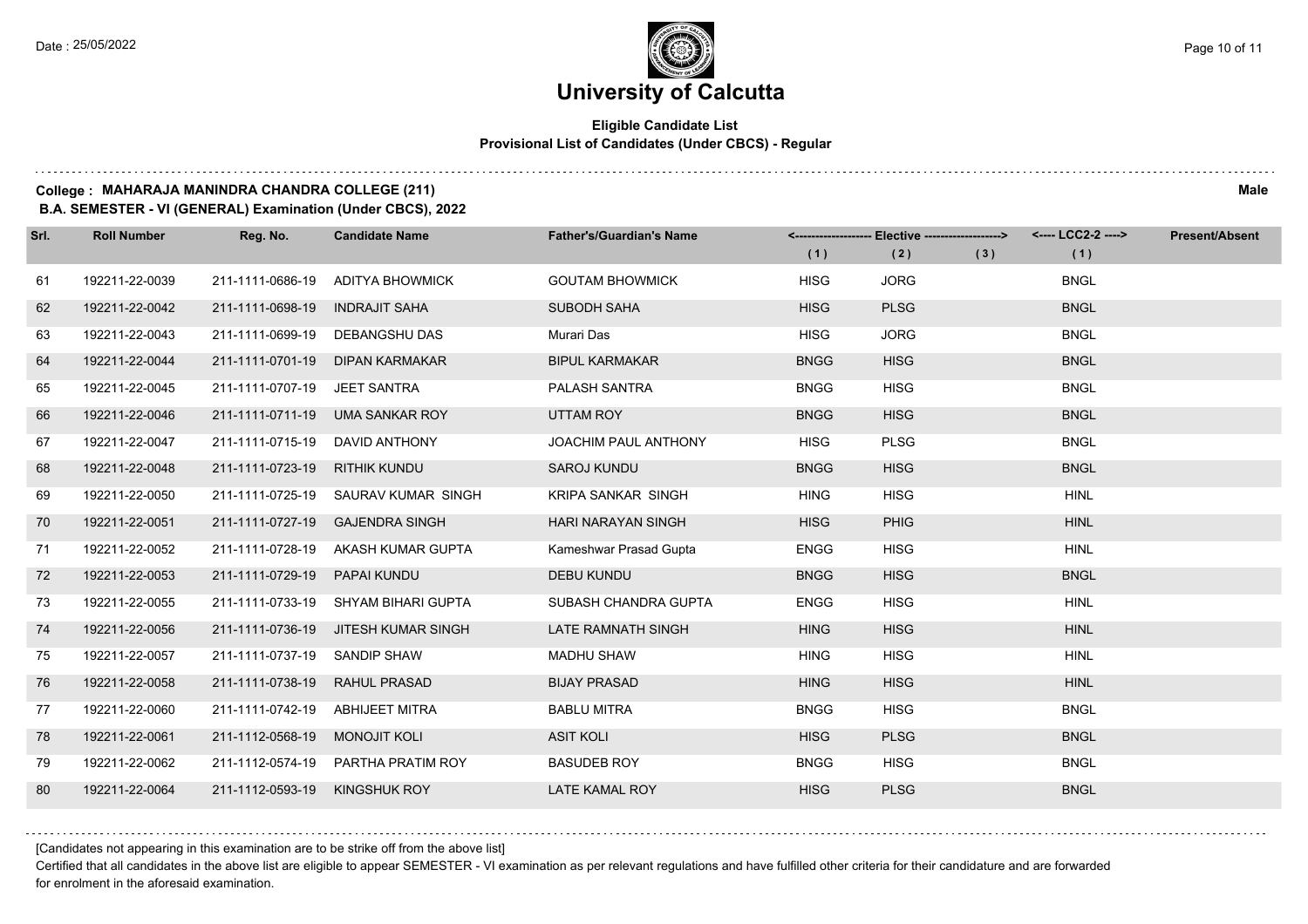#### **Eligible Candidate List Provisional List of Candidates (Under CBCS) - Regular**

**College : MAHARAJA MANINDRA CHANDRA COLLEGE (211) Male**

**B.A. SEMESTER - VI (GENERAL) Examination (Under CBCS), 2022**

| Srl. | <b>Roll Number</b> | Reg. No.                        | <b>Candidate Name</b>               | <b>Father's/Guardian's Name</b> | (1)         | <-------------------- Elective -------------------><br>(2) | (3) | (1)         | <b>Present/Absent</b> |
|------|--------------------|---------------------------------|-------------------------------------|---------------------------------|-------------|------------------------------------------------------------|-----|-------------|-----------------------|
| 61   | 192211-22-0039     | 211-1111-0686-19                | ADITYA BHOWMICK                     | <b>GOUTAM BHOWMICK</b>          | <b>HISG</b> | <b>JORG</b>                                                |     | <b>BNGL</b> |                       |
| 62   | 192211-22-0042     | 211-1111-0698-19                | <b>INDRAJIT SAHA</b>                | <b>SUBODH SAHA</b>              | <b>HISG</b> | <b>PLSG</b>                                                |     | <b>BNGL</b> |                       |
| 63   | 192211-22-0043     | 211-1111-0699-19                | DEBANGSHU DAS                       | Murari Das                      | <b>HISG</b> | <b>JORG</b>                                                |     | <b>BNGL</b> |                       |
| 64   | 192211-22-0044     | 211-1111-0701-19                | <b>DIPAN KARMAKAR</b>               | <b>BIPUL KARMAKAR</b>           | <b>BNGG</b> | <b>HISG</b>                                                |     | <b>BNGL</b> |                       |
| 65   | 192211-22-0045     | 211-1111-0707-19                | JEET SANTRA                         | PALASH SANTRA                   | <b>BNGG</b> | <b>HISG</b>                                                |     | <b>BNGL</b> |                       |
| 66   | 192211-22-0046     | 211-1111-0711-19                | <b>UMA SANKAR ROY</b>               | <b>UTTAM ROY</b>                | <b>BNGG</b> | <b>HISG</b>                                                |     | <b>BNGL</b> |                       |
| 67   | 192211-22-0047     | 211-1111-0715-19                | DAVID ANTHONY                       | <b>JOACHIM PAUL ANTHONY</b>     | <b>HISG</b> | <b>PLSG</b>                                                |     | <b>BNGL</b> |                       |
| 68   | 192211-22-0048     | 211-1111-0723-19 RITHIK KUNDU   |                                     | <b>SAROJ KUNDU</b>              | <b>BNGG</b> | <b>HISG</b>                                                |     | <b>BNGL</b> |                       |
| 69   | 192211-22-0050     |                                 | 211-1111-0725-19 SAURAV KUMAR SINGH | <b>KRIPA SANKAR SINGH</b>       | <b>HING</b> | <b>HISG</b>                                                |     | <b>HINL</b> |                       |
| 70   | 192211-22-0051     | 211-1111-0727-19                | <b>GAJENDRA SINGH</b>               | <b>HARI NARAYAN SINGH</b>       | <b>HISG</b> | <b>PHIG</b>                                                |     | <b>HINL</b> |                       |
| 71   | 192211-22-0052     |                                 | 211-1111-0728-19 AKASH KUMAR GUPTA  | Kameshwar Prasad Gupta          | <b>ENGG</b> | <b>HISG</b>                                                |     | <b>HINL</b> |                       |
| 72   | 192211-22-0053     | 211-1111-0729-19 PAPAI KUNDU    |                                     | <b>DEBU KUNDU</b>               | <b>BNGG</b> | <b>HISG</b>                                                |     | <b>BNGL</b> |                       |
| 73   | 192211-22-0055     |                                 | 211-1111-0733-19 SHYAM BIHARI GUPTA | SUBASH CHANDRA GUPTA            | <b>ENGG</b> | <b>HISG</b>                                                |     | <b>HINL</b> |                       |
| 74   | 192211-22-0056     |                                 | 211-1111-0736-19 JITESH KUMAR SINGH | LATE RAMNATH SINGH              | <b>HING</b> | <b>HISG</b>                                                |     | <b>HINL</b> |                       |
| 75   | 192211-22-0057     | 211-1111-0737-19 SANDIP SHAW    |                                     | <b>MADHU SHAW</b>               | <b>HING</b> | <b>HISG</b>                                                |     | <b>HINL</b> |                       |
| 76   | 192211-22-0058     | 211-1111-0738-19 RAHUL PRASAD   |                                     | <b>BIJAY PRASAD</b>             | <b>HING</b> | <b>HISG</b>                                                |     | <b>HINL</b> |                       |
| 77   | 192211-22-0060     | 211-1111-0742-19 ABHIJEET MITRA |                                     | <b>BABLU MITRA</b>              | <b>BNGG</b> | <b>HISG</b>                                                |     | <b>BNGL</b> |                       |
| 78   | 192211-22-0061     | 211-1112-0568-19                | <b>MONOJIT KOLI</b>                 | <b>ASIT KOLI</b>                | <b>HISG</b> | <b>PLSG</b>                                                |     | <b>BNGL</b> |                       |
| 79   | 192211-22-0062     |                                 | 211-1112-0574-19 PARTHA PRATIM ROY  | <b>BASUDEB ROY</b>              | <b>BNGG</b> | <b>HISG</b>                                                |     | <b>BNGL</b> |                       |
| 80   | 192211-22-0064     | 211-1112-0593-19 KINGSHUK ROY   |                                     | <b>LATE KAMAL ROY</b>           | <b>HISG</b> | <b>PLSG</b>                                                |     | <b>BNGL</b> |                       |

[Candidates not appearing in this examination are to be strike off from the above list]

Certified that all candidates in the above list are eligible to appear SEMESTER - VI examination as per relevant regulations and have fulfilled other criteria for their candidature and are forwarded for enrolment in the aforesaid examination.

and a state of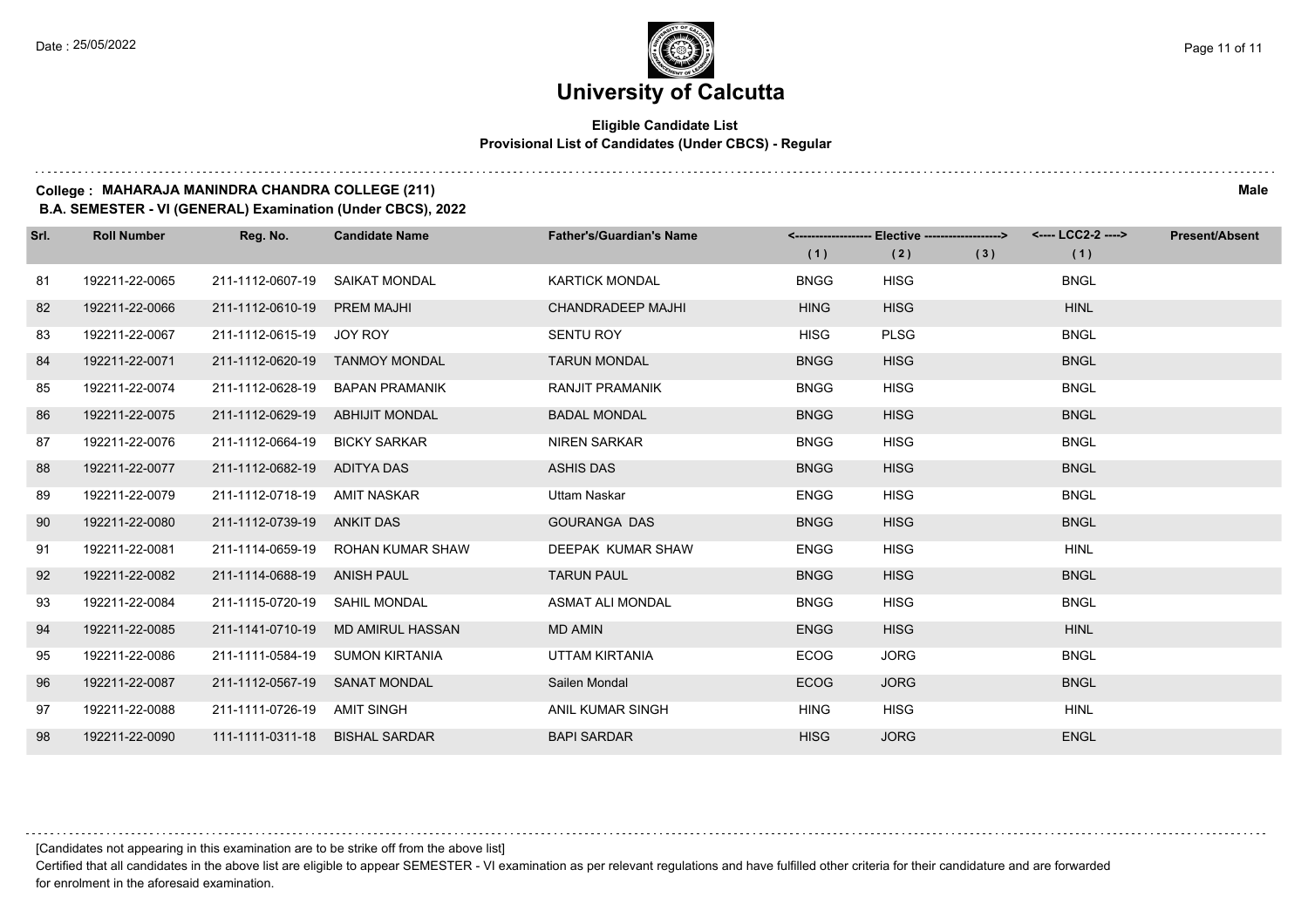$1.1111$ 

### **University of Calcutta**

#### **Eligible Candidate List Provisional List of Candidates (Under CBCS) - Regular**

**College : MAHARAJA MANINDRA CHANDRA COLLEGE (211) Male**

**B.A. SEMESTER - VI (GENERAL) Examination (Under CBCS), 2022**

| Srl. | <b>Roll Number</b> | Reg. No.                       | <b>Candidate Name</b>             | <b>Father's/Guardian's Name</b> | (1)         | <-------------------- Elective ------------------><br>(2) | (3) | (1)         | <b>Present/Absent</b> |
|------|--------------------|--------------------------------|-----------------------------------|---------------------------------|-------------|-----------------------------------------------------------|-----|-------------|-----------------------|
|      |                    |                                |                                   |                                 |             |                                                           |     |             |                       |
| 81   | 192211-22-0065     | 211-1112-0607-19 SAIKAT MONDAL |                                   | <b>KARTICK MONDAL</b>           | <b>BNGG</b> | <b>HISG</b>                                               |     | <b>BNGL</b> |                       |
| 82   | 192211-22-0066     | 211-1112-0610-19 PREM MAJHI    |                                   | <b>CHANDRADEEP MAJHI</b>        | <b>HING</b> | <b>HISG</b>                                               |     | <b>HINL</b> |                       |
| 83   | 192211-22-0067     | 211-1112-0615-19 JOY ROY       |                                   | <b>SENTU ROY</b>                | <b>HISG</b> | <b>PLSG</b>                                               |     | <b>BNGL</b> |                       |
| 84   | 192211-22-0071     |                                | 211-1112-0620-19 TANMOY MONDAL    | <b>TARUN MONDAL</b>             | <b>BNGG</b> | <b>HISG</b>                                               |     | <b>BNGL</b> |                       |
| 85   | 192211-22-0074     |                                | 211-1112-0628-19 BAPAN PRAMANIK   | RANJIT PRAMANIK                 | <b>BNGG</b> | <b>HISG</b>                                               |     | <b>BNGL</b> |                       |
| 86   | 192211-22-0075     | 211-1112-0629-19               | ABHIJIT MONDAL                    | <b>BADAL MONDAL</b>             | <b>BNGG</b> | <b>HISG</b>                                               |     | <b>BNGL</b> |                       |
| 87   | 192211-22-0076     | 211-1112-0664-19               | <b>BICKY SARKAR</b>               | <b>NIREN SARKAR</b>             | <b>BNGG</b> | <b>HISG</b>                                               |     | <b>BNGL</b> |                       |
| 88   | 192211-22-0077     | 211-1112-0682-19               | ADITYA DAS                        | <b>ASHIS DAS</b>                | <b>BNGG</b> | <b>HISG</b>                                               |     | <b>BNGL</b> |                       |
| 89   | 192211-22-0079     | 211-1112-0718-19               | AMIT NASKAR                       | Uttam Naskar                    | <b>ENGG</b> | <b>HISG</b>                                               |     | <b>BNGL</b> |                       |
| 90   | 192211-22-0080     | 211-1112-0739-19 ANKIT DAS     |                                   | <b>GOURANGA DAS</b>             | <b>BNGG</b> | <b>HISG</b>                                               |     | <b>BNGL</b> |                       |
| 91   | 192211-22-0081     |                                | 211-1114-0659-19 ROHAN KUMAR SHAW | DEEPAK KUMAR SHAW               | <b>ENGG</b> | <b>HISG</b>                                               |     | <b>HINL</b> |                       |
| 92   | 192211-22-0082     | 211-1114-0688-19 ANISH PAUL    |                                   | <b>TARUN PAUL</b>               | <b>BNGG</b> | <b>HISG</b>                                               |     | <b>BNGL</b> |                       |
| 93   | 192211-22-0084     | 211-1115-0720-19 SAHIL MONDAL  |                                   | <b>ASMAT ALI MONDAL</b>         | <b>BNGG</b> | <b>HISG</b>                                               |     | <b>BNGL</b> |                       |
| 94   | 192211-22-0085     | 211-1141-0710-19               | MD AMIRUL HASSAN                  | <b>MD AMIN</b>                  | <b>ENGG</b> | <b>HISG</b>                                               |     | <b>HINL</b> |                       |
| 95   | 192211-22-0086     |                                | 211-1111-0584-19 SUMON KIRTANIA   | UTTAM KIRTANIA                  | <b>ECOG</b> | <b>JORG</b>                                               |     | <b>BNGL</b> |                       |
| 96   | 192211-22-0087     | 211-1112-0567-19 SANAT MONDAL  |                                   | Sailen Mondal                   | <b>ECOG</b> | <b>JORG</b>                                               |     | <b>BNGL</b> |                       |
| 97   | 192211-22-0088     | 211-1111-0726-19 AMIT SINGH    |                                   | ANIL KUMAR SINGH                | <b>HING</b> | <b>HISG</b>                                               |     | <b>HINL</b> |                       |
| 98   | 192211-22-0090     | 111-1111-0311-18 BISHAL SARDAR |                                   | <b>BAPI SARDAR</b>              | <b>HISG</b> | <b>JORG</b>                                               |     | <b>ENGL</b> |                       |

[Candidates not appearing in this examination are to be strike off from the above list]

Certified that all candidates in the above list are eligible to appear SEMESTER - VI examination as per relevant regulations and have fulfilled other criteria for their candidature and are forwarded for enrolment in the aforesaid examination.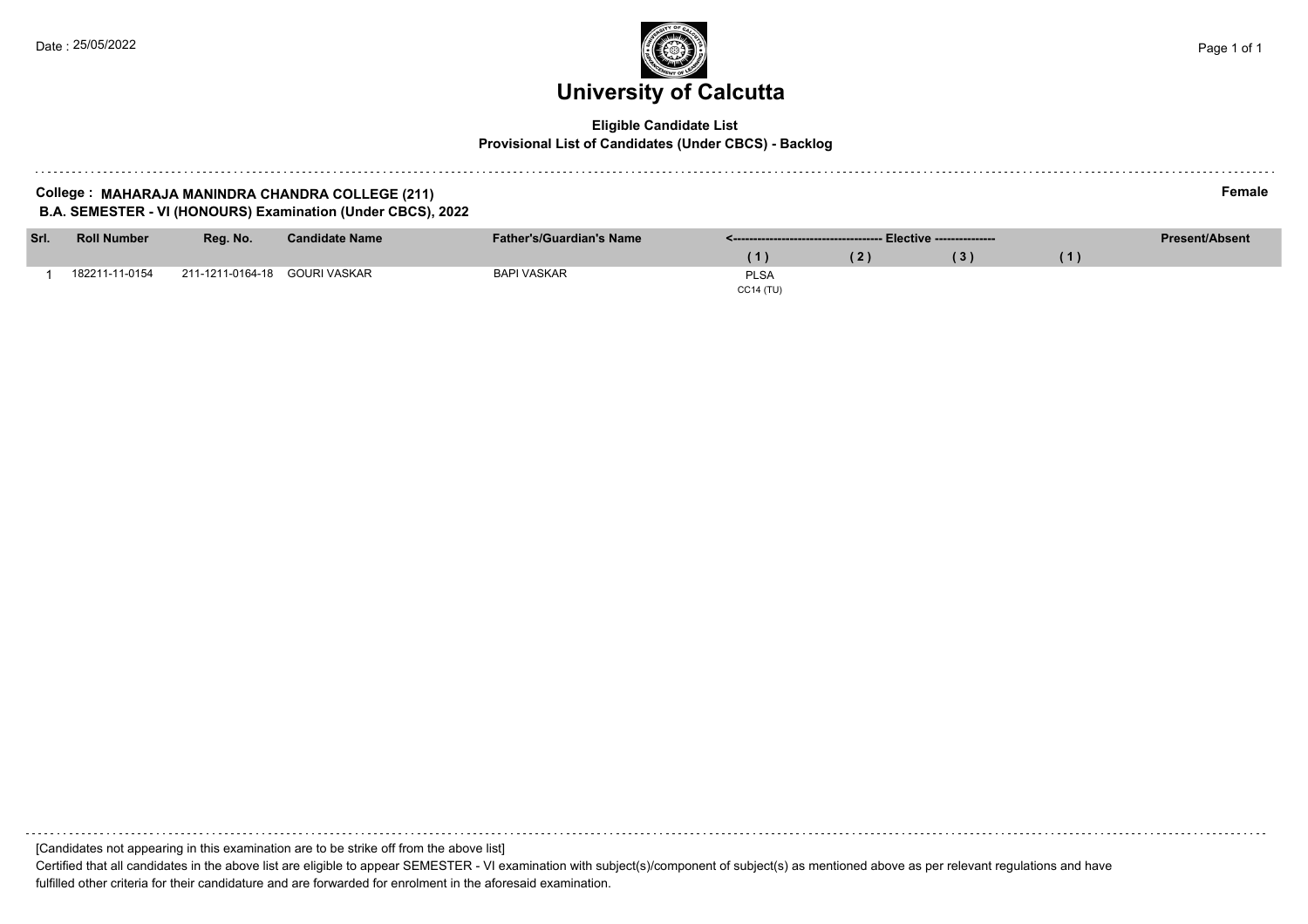#### **Eligible Candidate List Provisional List of Candidates (Under CBCS) - Backlog**

#### **College : MAHARAJA MANINDRA CHANDRA COLLEGE (211) Female B.A. SEMESTER - VI (HONOURS) Examination (Under CBCS), 2022**

| Srl. | <b>Roll Number</b> | Reg. No.         | <b>Candidate Name</b> | <b>Father's/Guardian's Name</b> |                  |               |  |  | <b>Present/Absent</b> |
|------|--------------------|------------------|-----------------------|---------------------------------|------------------|---------------|--|--|-----------------------|
|      |                    |                  |                       |                                 |                  | $^{\prime}$ 2 |  |  |                       |
|      | 182211-11-0154     | 211-1211-0164-18 | GOURI VASKAR          | <b>BAPI VASKAR</b>              | <b>PLSA</b>      |               |  |  |                       |
|      |                    |                  |                       |                                 | <b>CC14 (TU)</b> |               |  |  |                       |

[Candidates not appearing in this examination are to be strike off from the above list]

Certified that all candidates in the above list are eligible to appear SEMESTER - VI examination with subject(s)/component of subject(s) as mentioned above as per relevant regulations and have fulfilled other criteria for their candidature and are forwarded for enrolment in the aforesaid examination.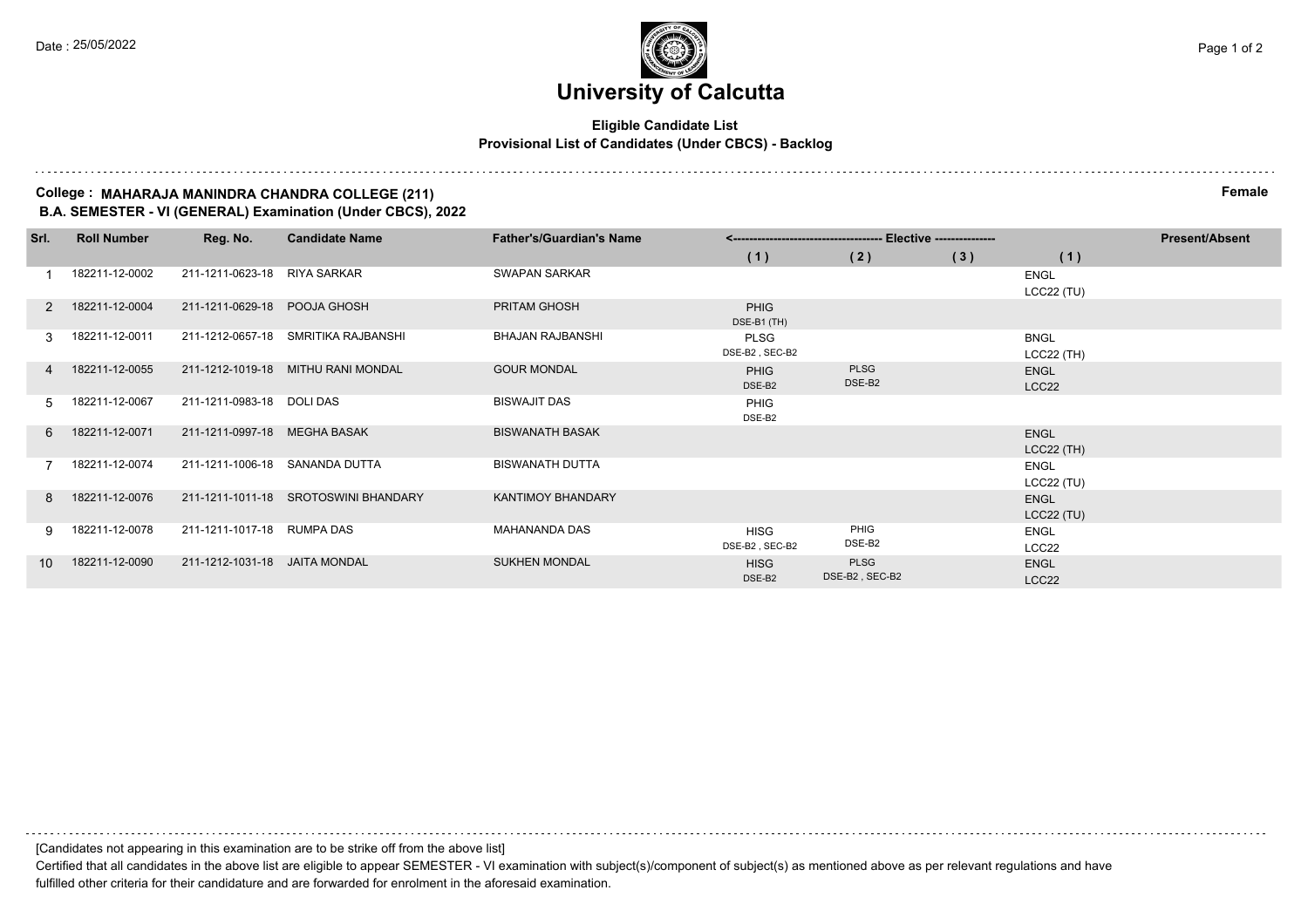#### **Eligible Candidate List Provisional List of Candidates (Under CBCS) - Backlog**

#### **College : MAHARAJA MANINDRA CHANDRA COLLEGE (211) Female B.A. SEMESTER - VI (GENERAL) Examination (Under CBCS), 2022**

| Srl.          | <b>Roll Number</b> | Reg. No.                       | <b>Candidate Name</b>                | <b>Father's/Guardian's Name</b> | -- Elective --------------- |                |     |              | <b>Present/Absent</b> |
|---------------|--------------------|--------------------------------|--------------------------------------|---------------------------------|-----------------------------|----------------|-----|--------------|-----------------------|
|               |                    |                                |                                      |                                 | (1)                         | (2)            | (3) | (1)          |                       |
|               | 182211-12-0002     | 211-1211-0623-18 RIYA SARKAR   |                                      | <b>SWAPAN SARKAR</b>            |                             |                |     | <b>ENGL</b>  |                       |
|               |                    |                                |                                      |                                 |                             |                |     | $LCC22$ (TU) |                       |
|               | 2 182211-12-0004   | 211-1211-0629-18 POOJA GHOSH   |                                      | PRITAM GHOSH                    | <b>PHIG</b><br>DSE-B1 (TH)  |                |     |              |                       |
| $\mathcal{R}$ | 182211-12-0011     |                                | 211-1212-0657-18 SMRITIKA RAJBANSHI  | <b>BHAJAN RAJBANSHI</b>         | <b>PLSG</b>                 |                |     | <b>BNGL</b>  |                       |
|               |                    |                                |                                      |                                 | DSE-B2, SEC-B2              |                |     | $LCC22$ (TH) |                       |
|               | 4 182211-12-0055   |                                | 211-1212-1019-18 MITHU RANI MONDAL   | <b>GOUR MONDAL</b>              | <b>PHIG</b>                 | <b>PLSG</b>    |     | <b>ENGL</b>  |                       |
|               |                    |                                |                                      |                                 | DSE-B2                      | DSE-B2         |     | LCC22        |                       |
| .5            | 182211-12-0067     | 211-1211-0983-18 DOLI DAS      |                                      | <b>BISWAJIT DAS</b>             | PHIG<br>DSE-B2              |                |     |              |                       |
|               | 6 182211-12-0071   | 211-1211-0997-18 MEGHA BASAK   |                                      | <b>BISWANATH BASAK</b>          |                             |                |     | <b>ENGL</b>  |                       |
|               |                    |                                |                                      |                                 |                             |                |     | $LCC22$ (TH) |                       |
|               | 182211-12-0074     | 211-1211-1006-18 SANANDA DUTTA |                                      | <b>BISWANATH DUTTA</b>          |                             |                |     | <b>ENGL</b>  |                       |
|               |                    |                                |                                      |                                 |                             |                |     | $LCC22$ (TU) |                       |
| $\mathsf{R}$  | 182211-12-0076     |                                | 211-1211-1011-18 SROTOSWINI BHANDARY | <b>KANTIMOY BHANDARY</b>        |                             |                |     | <b>ENGL</b>  |                       |
|               |                    |                                |                                      |                                 |                             |                |     | $LCC22$ (TU) |                       |
| 9.            | 182211-12-0078     | 211-1211-1017-18 RUMPA DAS     |                                      | <b>MAHANANDA DAS</b>            | <b>HISG</b>                 | PHIG           |     | ENGL         |                       |
|               |                    |                                |                                      |                                 | DSE-B2, SEC-B2              | DSE-B2         |     | LCC22        |                       |
| 10            | 182211-12-0090     | 211-1212-1031-18               | JAITA MONDAL                         | <b>SUKHEN MONDAL</b>            | <b>HISG</b>                 | <b>PLSG</b>    |     | <b>ENGL</b>  |                       |
|               |                    |                                |                                      |                                 | DSE-B2                      | DSE-B2, SEC-B2 |     | LCC22        |                       |

[Candidates not appearing in this examination are to be strike off from the above list]

Certified that all candidates in the above list are eligible to appear SEMESTER - VI examination with subject(s)/component of subject(s) as mentioned above as per relevant regulations and have fulfilled other criteria for their candidature and are forwarded for enrolment in the aforesaid examination.